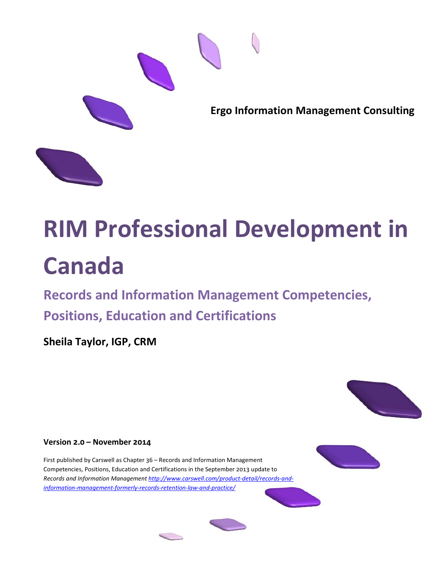

# **RIM Professional Development in Canada**

**Records and Information Management Competencies, Positions, Education and Certifications**

**Sheila Taylor, IGP, CRM**



First published by Carswell as Chapter 36 – Records and Information Management Competencies, Positions, Education and Certifications in the September 2013 update to *Records and Information Management [http://www.carswell.com/product-detail/records-and](http://www.carswell.com/product-detail/records-and-information-management-formerly-records-retention-law-and-practice/)[information-management-formerly-records-retention-law-and-practice/](http://www.carswell.com/product-detail/records-and-information-management-formerly-records-retention-law-and-practice/)*







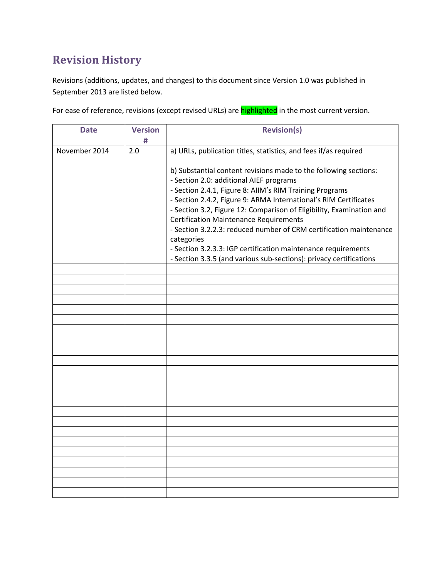# **Revision History**

Revisions (additions, updates, and changes) to this document since Version 1.0 was published in September 2013 are listed below.

For ease of reference, revisions (except revised URLs) are **highlighted** in the most current version.

| <b>Date</b>   | <b>Version</b> | <b>Revision(s)</b>                                                                                                                                                                                  |  |
|---------------|----------------|-----------------------------------------------------------------------------------------------------------------------------------------------------------------------------------------------------|--|
|               | #              |                                                                                                                                                                                                     |  |
| November 2014 | 2.0            | a) URLs, publication titles, statistics, and fees if/as required<br>b) Substantial content revisions made to the following sections:<br>- Section 2.0: additional AIEF programs                     |  |
|               |                | - Section 2.4.1, Figure 8: AllM's RIM Training Programs<br>- Section 2.4.2, Figure 9: ARMA International's RIM Certificates<br>- Section 3.2, Figure 12: Comparison of Eligibility, Examination and |  |
|               |                | <b>Certification Maintenance Requirements</b><br>- Section 3.2.2.3: reduced number of CRM certification maintenance<br>categories                                                                   |  |
|               |                | - Section 3.2.3.3: IGP certification maintenance requirements<br>- Section 3.3.5 (and various sub-sections): privacy certifications                                                                 |  |
|               |                |                                                                                                                                                                                                     |  |
|               |                |                                                                                                                                                                                                     |  |
|               |                |                                                                                                                                                                                                     |  |
|               |                |                                                                                                                                                                                                     |  |
|               |                |                                                                                                                                                                                                     |  |
|               |                |                                                                                                                                                                                                     |  |
|               |                |                                                                                                                                                                                                     |  |
|               |                |                                                                                                                                                                                                     |  |
|               |                |                                                                                                                                                                                                     |  |
|               |                |                                                                                                                                                                                                     |  |
|               |                |                                                                                                                                                                                                     |  |
|               |                |                                                                                                                                                                                                     |  |
|               |                |                                                                                                                                                                                                     |  |
|               |                |                                                                                                                                                                                                     |  |
|               |                |                                                                                                                                                                                                     |  |
|               |                |                                                                                                                                                                                                     |  |
|               |                |                                                                                                                                                                                                     |  |
|               |                |                                                                                                                                                                                                     |  |
|               |                |                                                                                                                                                                                                     |  |
|               |                |                                                                                                                                                                                                     |  |
|               |                |                                                                                                                                                                                                     |  |
|               |                |                                                                                                                                                                                                     |  |
|               |                |                                                                                                                                                                                                     |  |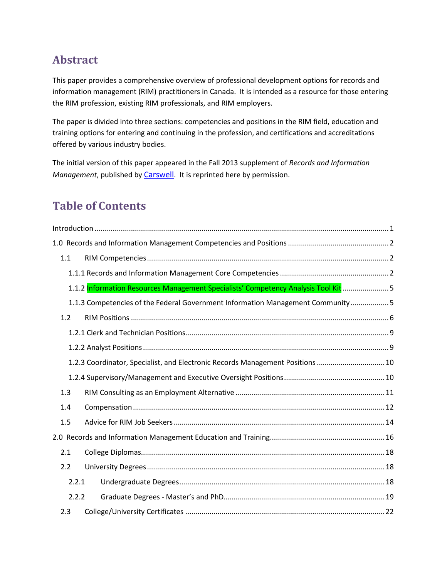## **Abstract**

This paper provides a comprehensive overview of professional development options for records and information management (RIM) practitioners in Canada. It is intended as a resource for those entering the RIM profession, existing RIM professionals, and RIM employers.

The paper is divided into three sections: competencies and positions in the RIM field, education and training options for entering and continuing in the profession, and certifications and accreditations offered by various industry bodies.

The initial version of this paper appeared in the Fall 2013 supplement of *Records and Information Management*, published by [Carswell.](http://www.carswell.com/) It is reprinted here by permission.

## **Table of Contents**

| 1.1   |                                                                                     |  |
|-------|-------------------------------------------------------------------------------------|--|
|       |                                                                                     |  |
|       | 1.1.2 Information Resources Management Specialists' Competency Analysis Tool Kit  5 |  |
|       | 1.1.3 Competencies of the Federal Government Information Management Community5      |  |
| 1.2   |                                                                                     |  |
|       |                                                                                     |  |
|       |                                                                                     |  |
|       | 1.2.3 Coordinator, Specialist, and Electronic Records Management Positions 10       |  |
|       |                                                                                     |  |
| 1.3   |                                                                                     |  |
| 1.4   |                                                                                     |  |
| 1.5   |                                                                                     |  |
|       |                                                                                     |  |
| 2.1   |                                                                                     |  |
| 2.2   |                                                                                     |  |
| 2.2.1 |                                                                                     |  |
| 2.2.2 |                                                                                     |  |
| 2.3   |                                                                                     |  |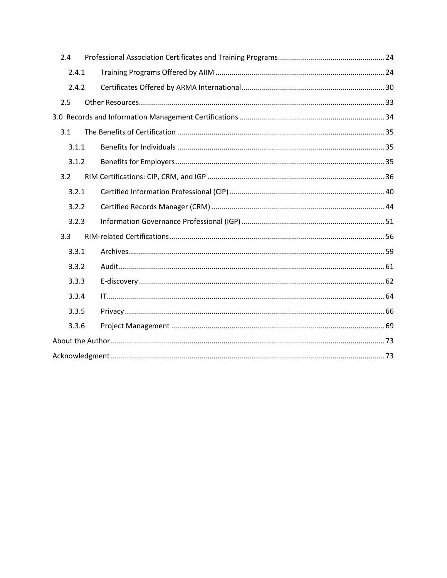| 2.4   |  |
|-------|--|
| 2.4.1 |  |
| 2.4.2 |  |
| 2.5   |  |
|       |  |
| 3.1   |  |
| 3.1.1 |  |
| 3.1.2 |  |
| 3.2   |  |
| 3.2.1 |  |
| 3.2.2 |  |
| 3.2.3 |  |
| 3.3   |  |
| 3.3.1 |  |
| 3.3.2 |  |
| 3.3.3 |  |
| 3.3.4 |  |
| 3.3.5 |  |
| 3.3.6 |  |
|       |  |
|       |  |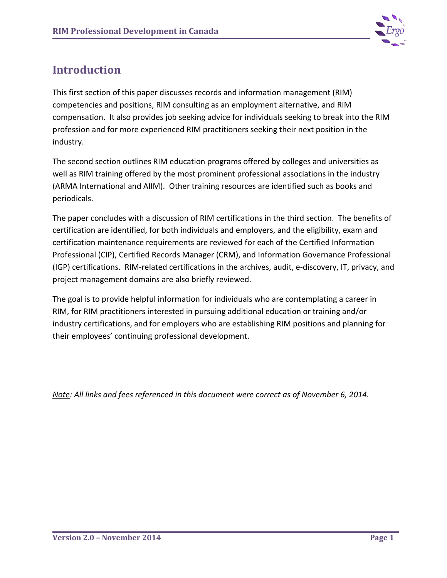

## <span id="page-4-0"></span>**Introduction**

This first section of this paper discusses records and information management (RIM) competencies and positions, RIM consulting as an employment alternative, and RIM compensation. It also provides job seeking advice for individuals seeking to break into the RIM profession and for more experienced RIM practitioners seeking their next position in the industry.

The second section outlines RIM education programs offered by colleges and universities as well as RIM training offered by the most prominent professional associations in the industry (ARMA International and AIIM). Other training resources are identified such as books and periodicals.

The paper concludes with a discussion of RIM certifications in the third section. The benefits of certification are identified, for both individuals and employers, and the eligibility, exam and certification maintenance requirements are reviewed for each of the Certified Information Professional (CIP), Certified Records Manager (CRM), and Information Governance Professional (IGP) certifications. RIM-related certifications in the archives, audit, e-discovery, IT, privacy, and project management domains are also briefly reviewed.

The goal is to provide helpful information for individuals who are contemplating a career in RIM, for RIM practitioners interested in pursuing additional education or training and/or industry certifications, and for employers who are establishing RIM positions and planning for their employees' continuing professional development.

*Note: All links and fees referenced in this document were correct as of November 6, 2014.*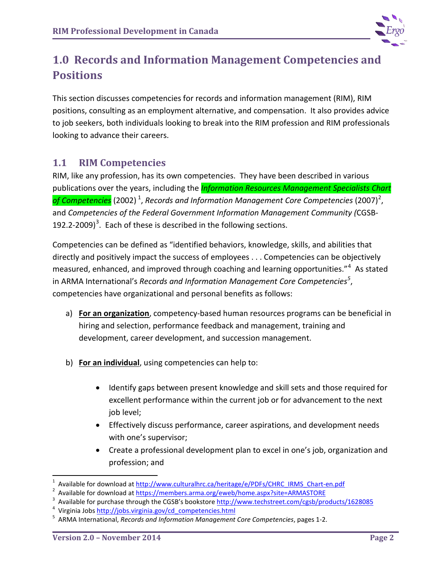

# <span id="page-5-0"></span>**1.0 Records and Information Management Competencies and Positions**

This section discusses competencies for records and information management (RIM), RIM positions, consulting as an employment alternative, and compensation. It also provides advice to job seekers, both individuals looking to break into the RIM profession and RIM professionals looking to advance their careers.

## <span id="page-5-1"></span>**1.1 RIM Competencies**

RIM, like any profession, has its own competencies. They have been described in various publications over the years, including the *Information Resources Management Specialists Chart*  of Competencies (2002) <sup>[1](#page-5-2)</sup>, Records and Information Management Core Competencies ([2](#page-5-3)007)<sup>2</sup>, and *Competencies of the Federal Government Information Management Community (*CGSB-192.2-2009)<sup>[3](#page-5-4)</sup>. Each of these is described in the following sections.

Competencies can be defined as "identified behaviors, knowledge, skills, and abilities that directly and positively impact the success of employees . . . Competencies can be objectively measured, enhanced, and improved through coaching and learning opportunities."<sup>[4](#page-5-5)</sup> As stated in ARMA International's *Records and Information Management Core Competencies[5](#page-5-6)* , competencies have organizational and personal benefits as follows:

- a) **For an organization**, competency-based human resources programs can be beneficial in hiring and selection, performance feedback and management, training and development, career development, and succession management.
- b) **For an individual**, using competencies can help to:
	- Identify gaps between present knowledge and skill sets and those required for excellent performance within the current job or for advancement to the next job level;
	- Effectively discuss performance, career aspirations, and development needs with one's supervisor;
	- Create a professional development plan to excel in one's job, organization and profession; and

 $\frac{1}{1}$ Available for download at [http://www.culturalhrc.ca/heritage/e/PDFs/CHRC\\_IRMS\\_Chart-en.pdf](http://www.culturalhrc.ca/heritage/e/PDFs/CHRC_IRMS_Chart-en.pdf)

<span id="page-5-3"></span><span id="page-5-2"></span>Available for download at<https://members.arma.org/eweb/home.aspx?site=ARMASTORE>3

<span id="page-5-4"></span>Available for purchase through the CGSB's bookstore http://www.techstreet.com/cgsb/products/1628085

<span id="page-5-5"></span><sup>&</sup>lt;sup>4</sup> Virginia Jobs [http://jobs.virginia.gov/cd\\_competencies.html](http://jobs.virginia.gov/cd_competencies.html)

<span id="page-5-6"></span>ARMA International, *Records and Information Management Core Competencies*, pages 1-2.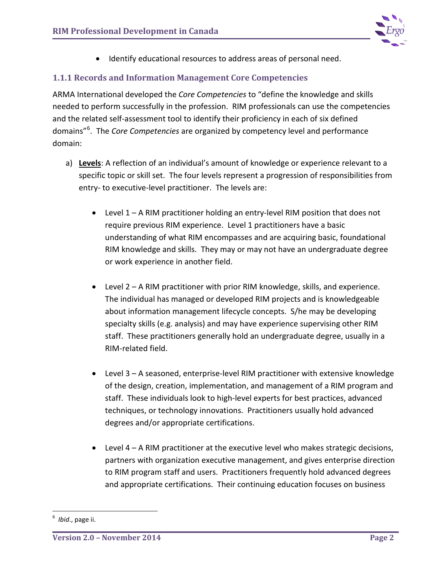

• Identify educational resources to address areas of personal need.

## <span id="page-6-0"></span>**1.1.1 Records and Information Management Core Competencies**

ARMA International developed the *Core Competencies* to "define the knowledge and skills needed to perform successfully in the profession. RIM professionals can use the competencies and the related self-assessment tool to identify their proficiency in each of six defined domains"[6](#page-6-1) . The *Core Competencies* are organized by competency level and performance domain:

- a) **Levels**: A reflection of an individual's amount of knowledge or experience relevant to a specific topic or skill set. The four levels represent a progression of responsibilities from entry- to executive-level practitioner. The levels are:
	- Level 1 A RIM practitioner holding an entry-level RIM position that does not require previous RIM experience. Level 1 practitioners have a basic understanding of what RIM encompasses and are acquiring basic, foundational RIM knowledge and skills. They may or may not have an undergraduate degree or work experience in another field.
	- Level 2 A RIM practitioner with prior RIM knowledge, skills, and experience. The individual has managed or developed RIM projects and is knowledgeable about information management lifecycle concepts. S/he may be developing specialty skills (e.g. analysis) and may have experience supervising other RIM staff. These practitioners generally hold an undergraduate degree, usually in a RIM-related field.
	- Level 3 A seasoned, enterprise-level RIM practitioner with extensive knowledge of the design, creation, implementation, and management of a RIM program and staff. These individuals look to high-level experts for best practices, advanced techniques, or technology innovations. Practitioners usually hold advanced degrees and/or appropriate certifications.
	- Level 4 A RIM practitioner at the executive level who makes strategic decisions, partners with organization executive management, and gives enterprise direction to RIM program staff and users. Practitioners frequently hold advanced degrees and appropriate certifications. Their continuing education focuses on business

<span id="page-6-1"></span><sup>-&</sup>lt;br>6 <sup>6</sup> Ibid., page ii.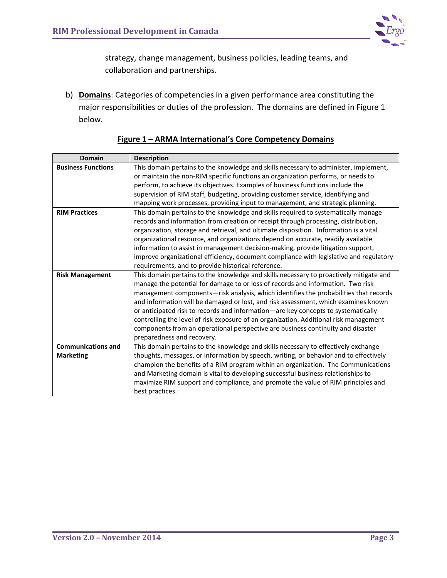

strategy, change management, business policies, leading teams, and collaboration and partnerships.

b) **Domains**: Categories of competencies in a given performance area constituting the major responsibilities or duties of the profession. The domains are defined in Figure 1 below.

| <b>Domain</b>             | <b>Description</b>                                                                     |  |  |
|---------------------------|----------------------------------------------------------------------------------------|--|--|
| <b>Business Functions</b> | This domain pertains to the knowledge and skills necessary to administer, implement,   |  |  |
|                           | or maintain the non-RIM specific functions an organization performs, or needs to       |  |  |
|                           | perform, to achieve its objectives. Examples of business functions include the         |  |  |
|                           | supervision of RIM staff, budgeting, providing customer service, identifying and       |  |  |
|                           | mapping work processes, providing input to management, and strategic planning.         |  |  |
| <b>RIM Practices</b>      | This domain pertains to the knowledge and skills required to systematically manage     |  |  |
|                           | records and information from creation or receipt through processing, distribution,     |  |  |
|                           | organization, storage and retrieval, and ultimate disposition. Information is a vital  |  |  |
|                           | organizational resource, and organizations depend on accurate, readily available       |  |  |
|                           | information to assist in management decision-making, provide litigation support,       |  |  |
|                           | improve organizational efficiency, document compliance with legislative and regulatory |  |  |
|                           | requirements, and to provide historical reference.                                     |  |  |
| <b>Risk Management</b>    | This domain pertains to the knowledge and skills necessary to proactively mitigate and |  |  |
|                           | manage the potential for damage to or loss of records and information. Two risk        |  |  |
|                           | management components-risk analysis, which identifies the probabilities that records   |  |  |
|                           | and information will be damaged or lost, and risk assessment, which examines known     |  |  |
|                           | or anticipated risk to records and information-are key concepts to systematically      |  |  |
|                           | controlling the level of risk exposure of an organization. Additional risk management  |  |  |
|                           | components from an operational perspective are business continuity and disaster        |  |  |
|                           | preparedness and recovery.                                                             |  |  |
| <b>Communications and</b> | This domain pertains to the knowledge and skills necessary to effectively exchange     |  |  |
| <b>Marketing</b>          | thoughts, messages, or information by speech, writing, or behavior and to effectively  |  |  |
|                           | champion the benefits of a RIM program within an organization. The Communications      |  |  |
|                           | and Marketing domain is vital to developing successful business relationships to       |  |  |
|                           | maximize RIM support and compliance, and promote the value of RIM principles and       |  |  |
|                           | best practices.                                                                        |  |  |

#### **Figure 1 – ARMA International's Core Competency Domains**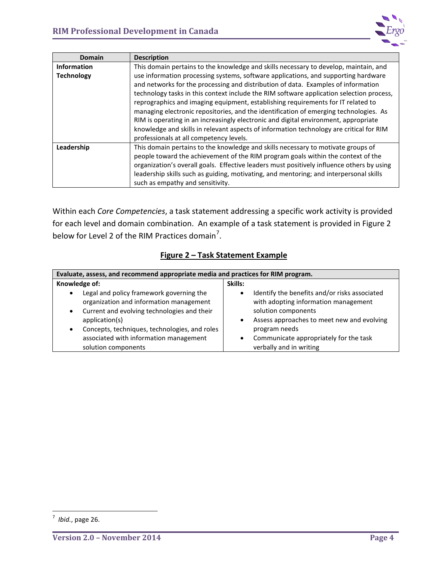

| <b>Domain</b>      | <b>Description</b>                                                                        |  |  |  |
|--------------------|-------------------------------------------------------------------------------------------|--|--|--|
| <b>Information</b> | This domain pertains to the knowledge and skills necessary to develop, maintain, and      |  |  |  |
| <b>Technology</b>  | use information processing systems, software applications, and supporting hardware        |  |  |  |
|                    | and networks for the processing and distribution of data. Examples of information         |  |  |  |
|                    | technology tasks in this context include the RIM software application selection process,  |  |  |  |
|                    | reprographics and imaging equipment, establishing requirements for IT related to          |  |  |  |
|                    | managing electronic repositories, and the identification of emerging technologies. As     |  |  |  |
|                    | RIM is operating in an increasingly electronic and digital environment, appropriate       |  |  |  |
|                    | knowledge and skills in relevant aspects of information technology are critical for RIM   |  |  |  |
|                    | professionals at all competency levels.                                                   |  |  |  |
| Leadership         | This domain pertains to the knowledge and skills necessary to motivate groups of          |  |  |  |
|                    | people toward the achievement of the RIM program goals within the context of the          |  |  |  |
|                    | organization's overall goals. Effective leaders must positively influence others by using |  |  |  |
|                    | leadership skills such as guiding, motivating, and mentoring; and interpersonal skills    |  |  |  |
|                    | such as empathy and sensitivity.                                                          |  |  |  |

Within each *Core Competencies*, a task statement addressing a specific work activity is provided for each level and domain combination. An example of a task statement is provided in Figure 2 below for Level 2 of the RIM Practices domain<sup>[7](#page-8-0)</sup>.

## **Figure 2 – Task Statement Example**

| Evaluate, assess, and recommend appropriate media and practices for RIM program. |                                               |  |  |
|----------------------------------------------------------------------------------|-----------------------------------------------|--|--|
| Knowledge of:                                                                    | Skills:                                       |  |  |
| Legal and policy framework governing the                                         | Identify the benefits and/or risks associated |  |  |
| $\bullet$                                                                        | $\bullet$                                     |  |  |
| organization and information management                                          | with adopting information management          |  |  |
| Current and evolving technologies and their                                      | solution components                           |  |  |
| $\bullet$                                                                        | Assess approaches to meet new and evolving    |  |  |
| application(s)                                                                   | $\bullet$                                     |  |  |
| Concepts, techniques, technologies, and roles                                    | program needs                                 |  |  |
| $\bullet$                                                                        | Communicate appropriately for the task        |  |  |
| associated with information management                                           | $\bullet$                                     |  |  |
| solution components                                                              | verbally and in writing                       |  |  |

<span id="page-8-0"></span><sup>-&</sup>lt;br>7 *Ibid.*, page 26.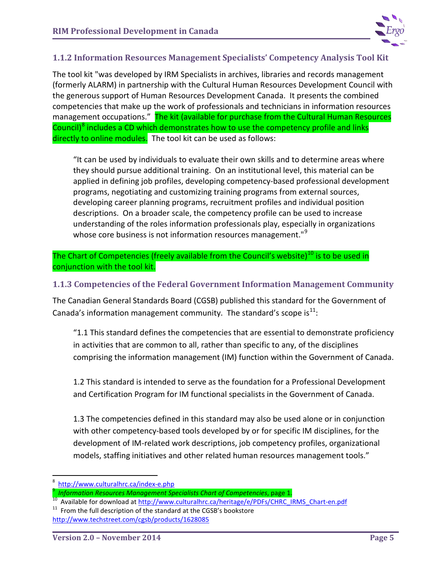

## <span id="page-9-0"></span>**1.1.2 Information Resources Management Specialists' Competency Analysis Tool Kit**

The tool kit "was developed by IRM Specialists in archives, libraries and records management (formerly ALARM) in partnership with the Cultural Human Resources Development Council with the generous support of Human Resources Development Canada. It presents the combined competencies that make up the work of professionals and technicians in information resources management occupations." The kit (available for purchase from the Cultural Human Resources Council)<sup>[8](#page-9-2)</sup> includes a CD which demonstrates how to use the competency profile and links directly to online modules. The tool kit can be used as follows:

"It can be used by individuals to evaluate their own skills and to determine areas where they should pursue additional training. On an institutional level, this material can be applied in defining job profiles, developing competency-based professional development programs, negotiating and customizing training programs from external sources, developing career planning programs, recruitment profiles and individual position descriptions. On a broader scale, the competency profile can be used to increase understanding of the roles information professionals play, especially in organizations whose core business is not information resources management."<sup>[9](#page-9-3)</sup>

The Chart of Competencies (freely available from the Council's website)<sup>[10](#page-9-4)</sup> is to be used in conjunction with the tool kit.

## <span id="page-9-1"></span>**1.1.3 Competencies of the Federal Government Information Management Community**

The Canadian General Standards Board (CGSB) published this standard for the Government of Canada's information management community. The standard's scope is<sup>[11](#page-9-5)</sup>:

"1.1 This standard defines the competencies that are essential to demonstrate proficiency in activities that are common to all, rather than specific to any, of the disciplines comprising the information management (IM) function within the Government of Canada.

1.2 This standard is intended to serve as the foundation for a Professional Development and Certification Program for IM functional specialists in the Government of Canada.

1.3 The competencies defined in this standard may also be used alone or in conjunction with other competency-based tools developed by or for specific IM disciplines, for the development of IM-related work descriptions, job competency profiles, organizational models, staffing initiatives and other related human resources management tools."

<sup>-&</sup>lt;br>8

<span id="page-9-2"></span>http://www.culturalhrc.ca/index-e.php<br>Information Resources Management Specialists Chart of Competencies, page 1.

<span id="page-9-4"></span><span id="page-9-3"></span>The Available for download a[t http://www.culturalhrc.ca/heritage/e/PDFs/CHRC\\_IRMS\\_Chart-en.pdf](http://www.culturalhrc.ca/heritage/e/PDFs/CHRC_IRMS_Chart-en.pdf)<br>
<sup>11</sup> From the full description of the standard at the CGSB's bookstore

<span id="page-9-5"></span><http://www.techstreet.com/cgsb/products/1628085>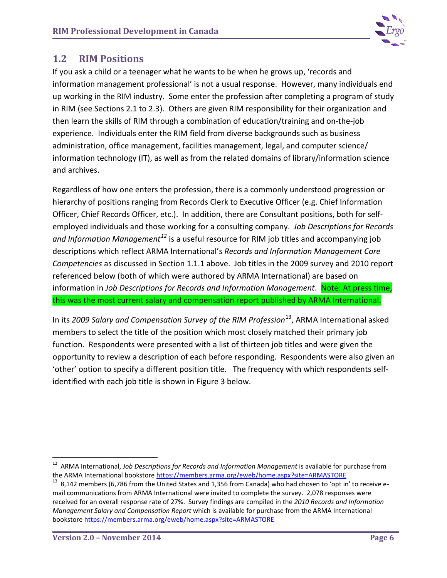

## <span id="page-10-0"></span>**1.2 RIM Positions**

If you ask a child or a teenager what he wants to be when he grows up, 'records and information management professional' is not a usual response. However, many individuals end up working in the RIM industry. Some enter the profession after completing a program of study in RIM (see Sections 2.1 to 2.3). Others are given RIM responsibility for their organization and then learn the skills of RIM through a combination of education/training and on-the-job experience. Individuals enter the RIM field from diverse backgrounds such as business administration, office management, facilities management, legal, and computer science/ information technology (IT), as well as from the related domains of library/information science and archives.

Regardless of how one enters the profession, there is a commonly understood progression or hierarchy of positions ranging from Records Clerk to Executive Officer (e.g. Chief Information Officer, Chief Records Officer, etc.). In addition, there are Consultant positions, both for selfemployed individuals and those working for a consulting company. *Job Descriptions for Records and Information Management[12](#page-10-1)* is a useful resource for RIM job titles and accompanying job descriptions which reflect ARMA International's *Records and Information Management Core Competencies* as discussed in Section 1.1.1 above. Job titles in the 2009 survey and 2010 report referenced below (both of which were authored by ARMA International) are based on information in *Job Descriptions for Records and Information Management*. Note: At press time, this was the most current salary and compensation report published by ARMA International.

In its *2009 Salary and Compensation Survey of the RIM Profession*[13](#page-10-2), ARMA International asked members to select the title of the position which most closely matched their primary job function. Respondents were presented with a list of thirteen job titles and were given the opportunity to review a description of each before responding. Respondents were also given an 'other' option to specify a different position title. The frequency with which respondents selfidentified with each job title is shown in Figure 3 below.

<span id="page-10-1"></span><sup>&</sup>lt;sup>12</sup> ARMA International, *Job Descriptions for Records and Information Management* is available for purchase from<br>the ARMA International bookstore https://members.arma.org/eweb/home.aspx?site=ARMASTORE

<span id="page-10-2"></span> $13$  8,142 members (6,786 from the United States and 1,356 from Canada) who had chosen to 'opt in' to receive email communications from ARMA International were invited to complete the survey. 2,078 responses were received for an overall response rate of 27%. Survey findings are compiled in the *2010 Records and Information Management Salary and Compensation Report* which is available for purchase from the ARMA International bookstor[e https://members.arma.org/eweb/home.aspx?site=ARMASTORE](https://members.arma.org/eweb/home.aspx?site=ARMASTORE)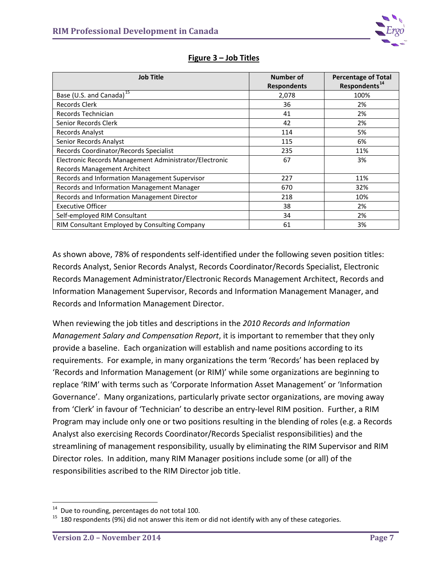

| <b>Job Title</b>                                       | Number of          | <b>Percentage of Total</b> |  |
|--------------------------------------------------------|--------------------|----------------------------|--|
|                                                        | <b>Respondents</b> | Respondents <sup>14</sup>  |  |
| Base (U.S. and Canada) <sup>15</sup>                   | 2,078              | 100%                       |  |
| Records Clerk                                          | 36                 | 2%                         |  |
| Records Technician                                     | 41                 | 2%                         |  |
| Senior Records Clerk                                   | 42                 | 2%                         |  |
| Records Analyst                                        | 114                | 5%                         |  |
| Senior Records Analyst                                 | 115                | 6%                         |  |
| Records Coordinator/Records Specialist                 | 235                | 11%                        |  |
| Electronic Records Management Administrator/Electronic | 67                 | 3%                         |  |
| <b>Records Management Architect</b>                    |                    |                            |  |
| Records and Information Management Supervisor          | 227                | 11%                        |  |
| Records and Information Management Manager             | 670                | 32%                        |  |
| Records and Information Management Director            | 218                | 10%                        |  |
| <b>Executive Officer</b>                               | 38                 | 2%                         |  |
| Self-employed RIM Consultant                           | 34                 | 2%                         |  |
| RIM Consultant Employed by Consulting Company          | 61                 | 3%                         |  |

#### **Figure 3 – Job Titles**

As shown above, 78% of respondents self-identified under the following seven position titles: Records Analyst, Senior Records Analyst, Records Coordinator/Records Specialist, Electronic Records Management Administrator/Electronic Records Management Architect, Records and Information Management Supervisor, Records and Information Management Manager, and Records and Information Management Director.

When reviewing the job titles and descriptions in the *2010 Records and Information Management Salary and Compensation Report*, it is important to remember that they only provide a baseline. Each organization will establish and name positions according to its requirements. For example, in many organizations the term 'Records' has been replaced by 'Records and Information Management (or RIM)' while some organizations are beginning to replace 'RIM' with terms such as 'Corporate Information Asset Management' or 'Information Governance'. Many organizations, particularly private sector organizations, are moving away from 'Clerk' in favour of 'Technician' to describe an entry-level RIM position. Further, a RIM Program may include only one or two positions resulting in the blending of roles (e.g. a Records Analyst also exercising Records Coordinator/Records Specialist responsibilities) and the streamlining of management responsibility, usually by eliminating the RIM Supervisor and RIM Director roles. In addition, many RIM Manager positions include some (or all) of the responsibilities ascribed to the RIM Director job title.

<span id="page-11-1"></span><span id="page-11-0"></span><sup>&</sup>lt;sup>14</sup> Due to rounding, percentages do not total 100.<br><sup>15</sup> 180 respondents (9%) did not answer this item or did not identify with any of these categories.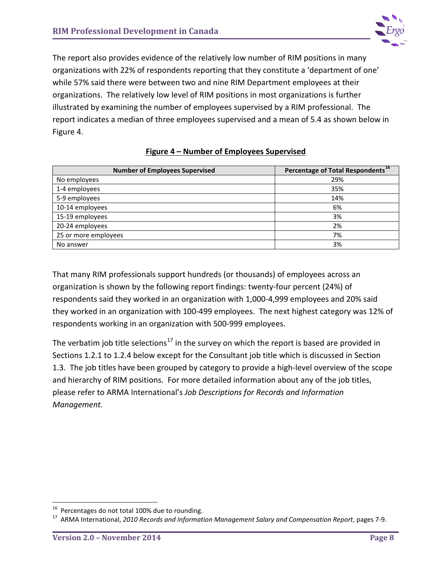

The report also provides evidence of the relatively low number of RIM positions in many organizations with 22% of respondents reporting that they constitute a 'department of one' while 57% said there were between two and nine RIM Department employees at their organizations. The relatively low level of RIM positions in most organizations is further illustrated by examining the number of employees supervised by a RIM professional. The report indicates a median of three employees supervised and a mean of 5.4 as shown below in Figure 4.

| <b>Number of Employees Supervised</b> | Percentage of Total Respondents <sup>16</sup> |
|---------------------------------------|-----------------------------------------------|
| No employees                          | 29%                                           |
| 1-4 employees                         | 35%                                           |
| 5-9 employees                         | 14%                                           |
| 10-14 employees                       | 6%                                            |
| 15-19 employees                       | 3%                                            |
| 20-24 employees                       | 2%                                            |
| 25 or more employees                  | 7%                                            |
| No answer                             | 3%                                            |

#### **Figure 4 – Number of Employees Supervised**

That many RIM professionals support hundreds (or thousands) of employees across an organization is shown by the following report findings: twenty-four percent (24%) of respondents said they worked in an organization with 1,000-4,999 employees and 20% said they worked in an organization with 100-499 employees. The next highest category was 12% of respondents working in an organization with 500-999 employees.

The verbatim job title selections<sup>[17](#page-12-1)</sup> in the survey on which the report is based are provided in Sections 1.2.1 to 1.2.4 below except for the Consultant job title which is discussed in Section 1.3. The job titles have been grouped by category to provide a high-level overview of the scope and hierarchy of RIM positions. For more detailed information about any of the job titles, please refer to ARMA International's *Job Descriptions for Records and Information Management.* 

<span id="page-12-1"></span><span id="page-12-0"></span><sup>&</sup>lt;sup>16</sup> Percentages do not total 100% due to rounding.<br><sup>17</sup> ARMA International, *2010 Records and Information Management Salary and Compensation Report, pages 7-9.*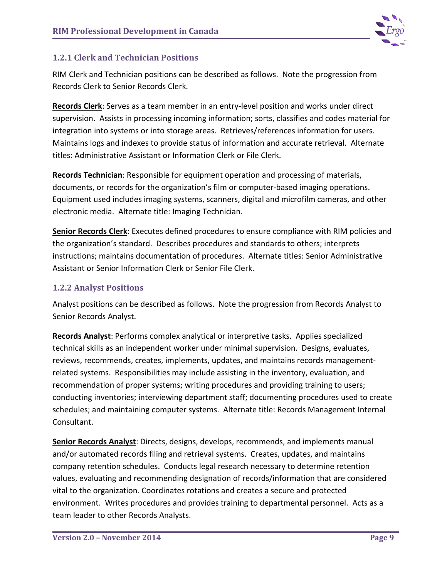

## <span id="page-13-0"></span>**1.2.1 Clerk and Technician Positions**

RIM Clerk and Technician positions can be described as follows. Note the progression from Records Clerk to Senior Records Clerk.

**Records Clerk**: Serves as a team member in an entry-level position and works under direct supervision. Assists in processing incoming information; sorts, classifies and codes material for integration into systems or into storage areas. Retrieves/references information for users. Maintains logs and indexes to provide status of information and accurate retrieval. Alternate titles: Administrative Assistant or Information Clerk or File Clerk.

**Records Technician**: Responsible for equipment operation and processing of materials, documents, or records for the organization's film or computer-based imaging operations. Equipment used includes imaging systems, scanners, digital and microfilm cameras, and other electronic media. Alternate title: Imaging Technician.

**Senior Records Clerk**: Executes defined procedures to ensure compliance with RIM policies and the organization's standard. Describes procedures and standards to others; interprets instructions; maintains documentation of procedures. Alternate titles: Senior Administrative Assistant or Senior Information Clerk or Senior File Clerk.

## <span id="page-13-1"></span>**1.2.2 Analyst Positions**

Analyst positions can be described as follows. Note the progression from Records Analyst to Senior Records Analyst.

**Records Analyst**: Performs complex analytical or interpretive tasks. Applies specialized technical skills as an independent worker under minimal supervision. Designs, evaluates, reviews, recommends, creates, implements, updates, and maintains records managementrelated systems. Responsibilities may include assisting in the inventory, evaluation, and recommendation of proper systems; writing procedures and providing training to users; conducting inventories; interviewing department staff; documenting procedures used to create schedules; and maintaining computer systems. Alternate title: Records Management Internal Consultant.

**Senior Records Analyst**: Directs, designs, develops, recommends, and implements manual and/or automated records filing and retrieval systems. Creates, updates, and maintains company retention schedules. Conducts legal research necessary to determine retention values, evaluating and recommending designation of records/information that are considered vital to the organization. Coordinates rotations and creates a secure and protected environment. Writes procedures and provides training to departmental personnel. Acts as a team leader to other Records Analysts.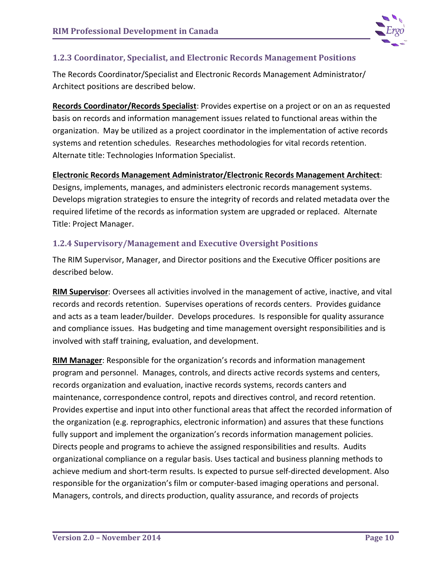

#### <span id="page-14-0"></span>**1.2.3 Coordinator, Specialist, and Electronic Records Management Positions**

The Records Coordinator/Specialist and Electronic Records Management Administrator/ Architect positions are described below.

**Records Coordinator/Records Specialist**: Provides expertise on a project or on an as requested basis on records and information management issues related to functional areas within the organization. May be utilized as a project coordinator in the implementation of active records systems and retention schedules. Researches methodologies for vital records retention. Alternate title: Technologies Information Specialist.

#### **Electronic Records Management Administrator/Electronic Records Management Architect**:

Designs, implements, manages, and administers electronic records management systems. Develops migration strategies to ensure the integrity of records and related metadata over the required lifetime of the records as information system are upgraded or replaced. Alternate Title: Project Manager.

#### <span id="page-14-1"></span>**1.2.4 Supervisory/Management and Executive Oversight Positions**

The RIM Supervisor, Manager, and Director positions and the Executive Officer positions are described below.

**RIM Supervisor**: Oversees all activities involved in the management of active, inactive, and vital records and records retention. Supervises operations of records centers. Provides guidance and acts as a team leader/builder. Develops procedures. Is responsible for quality assurance and compliance issues. Has budgeting and time management oversight responsibilities and is involved with staff training, evaluation, and development.

**RIM Manager**: Responsible for the organization's records and information management program and personnel. Manages, controls, and directs active records systems and centers, records organization and evaluation, inactive records systems, records canters and maintenance, correspondence control, repots and directives control, and record retention. Provides expertise and input into other functional areas that affect the recorded information of the organization (e.g. reprographics, electronic information) and assures that these functions fully support and implement the organization's records information management policies. Directs people and programs to achieve the assigned responsibilities and results. Audits organizational compliance on a regular basis. Uses tactical and business planning methods to achieve medium and short-term results. Is expected to pursue self-directed development. Also responsible for the organization's film or computer-based imaging operations and personal. Managers, controls, and directs production, quality assurance, and records of projects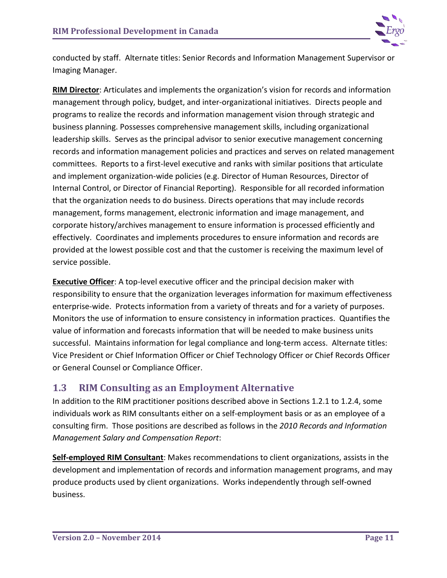

conducted by staff. Alternate titles: Senior Records and Information Management Supervisor or Imaging Manager.

**RIM Director**: Articulates and implements the organization's vision for records and information management through policy, budget, and inter-organizational initiatives. Directs people and programs to realize the records and information management vision through strategic and business planning. Possesses comprehensive management skills, including organizational leadership skills. Serves as the principal advisor to senior executive management concerning records and information management policies and practices and serves on related management committees. Reports to a first-level executive and ranks with similar positions that articulate and implement organization-wide policies (e.g. Director of Human Resources, Director of Internal Control, or Director of Financial Reporting). Responsible for all recorded information that the organization needs to do business. Directs operations that may include records management, forms management, electronic information and image management, and corporate history/archives management to ensure information is processed efficiently and effectively. Coordinates and implements procedures to ensure information and records are provided at the lowest possible cost and that the customer is receiving the maximum level of service possible.

**Executive Officer**: A top-level executive officer and the principal decision maker with responsibility to ensure that the organization leverages information for maximum effectiveness enterprise-wide. Protects information from a variety of threats and for a variety of purposes. Monitors the use of information to ensure consistency in information practices. Quantifies the value of information and forecasts information that will be needed to make business units successful. Maintains information for legal compliance and long-term access. Alternate titles: Vice President or Chief Information Officer or Chief Technology Officer or Chief Records Officer or General Counsel or Compliance Officer.

## <span id="page-15-0"></span>**1.3 RIM Consulting as an Employment Alternative**

In addition to the RIM practitioner positions described above in Sections 1.2.1 to 1.2.4, some individuals work as RIM consultants either on a self-employment basis or as an employee of a consulting firm. Those positions are described as follows in the *2010 Records and Information Management Salary and Compensation Report*:

**Self-employed RIM Consultant**: Makes recommendations to client organizations, assists in the development and implementation of records and information management programs, and may produce products used by client organizations. Works independently through self-owned business.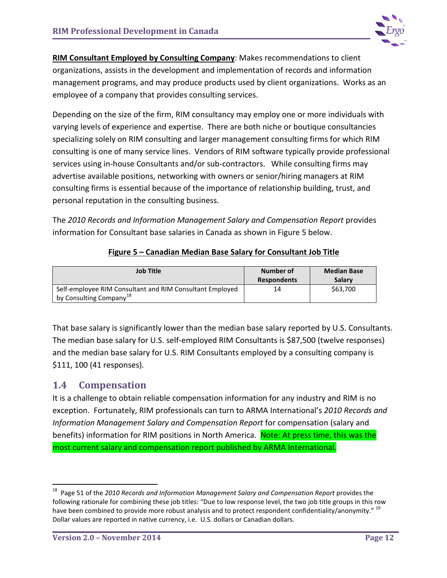

**RIM Consultant Employed by Consulting Company**: Makes recommendations to client organizations, assists in the development and implementation of records and information management programs, and may produce products used by client organizations. Works as an employee of a company that provides consulting services.

Depending on the size of the firm, RIM consultancy may employ one or more individuals with varying levels of experience and expertise. There are both niche or boutique consultancies specializing solely on RIM consulting and larger management consulting firms for which RIM consulting is one of many service lines. Vendors of RIM software typically provide professional services using in-house Consultants and/or sub-contractors. While consulting firms may advertise available positions, networking with owners or senior/hiring managers at RIM consulting firms is essential because of the importance of relationship building, trust, and personal reputation in the consulting business.

The *2010 Records and Information Management Salary and Compensation Report* provides information for Consultant base salaries in Canada as shown in Figure 5 below.

| Job Title                                                                                       | Number of<br><b>Respondents</b> | <b>Median Base</b><br><b>Salary</b> |  |
|-------------------------------------------------------------------------------------------------|---------------------------------|-------------------------------------|--|
| Self-employee RIM Consultant and RIM Consultant Employed<br>by Consulting Company <sup>18</sup> | 14                              | \$63,700                            |  |

#### **Figure 5 – Canadian Median Base Salary for Consultant Job Title**

That base salary is significantly lower than the median base salary reported by U.S. Consultants. The median base salary for U.S. self-employed RIM Consultants is \$87,500 (twelve responses) and the median base salary for U.S. RIM Consultants employed by a consulting company is \$111, 100 (41 responses).

## <span id="page-16-0"></span>**1.4 Compensation**

It is a challenge to obtain reliable compensation information for any industry and RIM is no exception. Fortunately, RIM professionals can turn to ARMA International's *2010 Records and Information Management Salary and Compensation Report* for compensation (salary and benefits) information for RIM positions in North America. Note: At press time, this was the most current salary and compensation report published by ARMA International.

<span id="page-16-2"></span><span id="page-16-1"></span> <sup>18</sup> Page 51 of the *2010 Records and Information Management Salary and Compensation Report* provides the following rationale for combining these job titles: "Due to low response level, the two job title groups in this row have been combined to provide more robust analysis and to protect respondent confidentiality/anonymity." <sup>19</sup> Dollar values are reported in native currency, i.e. U.S. dollars or Canadian dollars.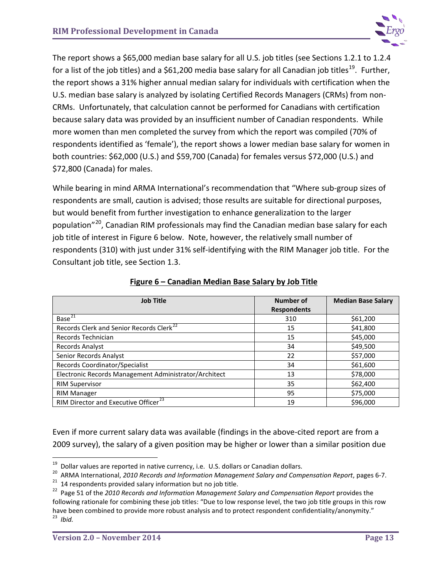

The report shows a \$65,000 median base salary for all U.S. job titles (see Sections 1.2.1 to 1.2.4 for a list of the job titles) and a \$61,200 media base salary for all Canadian job titles<sup>[19](#page-16-2)</sup>. Further, the report shows a 31% higher annual median salary for individuals with certification when the U.S. median base salary is analyzed by isolating Certified Records Managers (CRMs) from non-CRMs. Unfortunately, that calculation cannot be performed for Canadians with certification because salary data was provided by an insufficient number of Canadian respondents. While more women than men completed the survey from which the report was compiled (70% of respondents identified as 'female'), the report shows a lower median base salary for women in both countries: \$62,000 (U.S.) and \$59,700 (Canada) for females versus \$72,000 (U.S.) and \$72,800 (Canada) for males.

While bearing in mind ARMA International's recommendation that "Where sub-group sizes of respondents are small, caution is advised; those results are suitable for directional purposes, but would benefit from further investigation to enhance generalization to the larger population"<sup>20</sup>, Canadian RIM professionals may find the Canadian median base salary for each job title of interest in Figure 6 below. Note, however, the relatively small number of respondents (310) with just under 31% self-identifying with the RIM Manager job title. For the Consultant job title, see Section 1.3.

| <b>Job Title</b>                                      | <b>Number of</b>   | <b>Median Base Salary</b> |
|-------------------------------------------------------|--------------------|---------------------------|
|                                                       | <b>Respondents</b> |                           |
| Base <sup>21</sup>                                    | 310                | \$61,200                  |
| Records Clerk and Senior Records Clerk <sup>22</sup>  | 15                 | \$41,800                  |
| Records Technician                                    | 15                 | \$45,000                  |
| Records Analyst                                       | 34                 | \$49,500                  |
| Senior Records Analyst                                | 22                 | \$57,000                  |
| Records Coordinator/Specialist                        | 34                 | \$61,600                  |
| Electronic Records Management Administrator/Architect | 13                 | \$78,000                  |
| <b>RIM Supervisor</b>                                 | 35                 | \$62,400                  |
| <b>RIM Manager</b>                                    | 95                 | \$75,000                  |
| RIM Director and Executive Officer <sup>23</sup>      | 19                 | \$96,000                  |

#### **Figure 6 – Canadian Median Base Salary by Job Title**

Even if more current salary data was available (findings in the above-cited report are from a 2009 survey), the salary of a given position may be higher or lower than a similar position due

<span id="page-17-0"></span><sup>&</sup>lt;sup>19</sup> Dollar values are reported in native currency, i.e. U.S. dollars or Canadian dollars.<br><sup>20</sup> ARMA International, *2010 Records and Information Management Salary and Compensation Report*, pages 6-7.<br><sup>21</sup> 14 respondents

<span id="page-17-1"></span>

<span id="page-17-3"></span><span id="page-17-2"></span>following rationale for combining these job titles: "Due to low response level, the two job title groups in this row have been combined to provide more robust analysis and to protect respondent confidentiality/anonymity." 23 *Ibid.*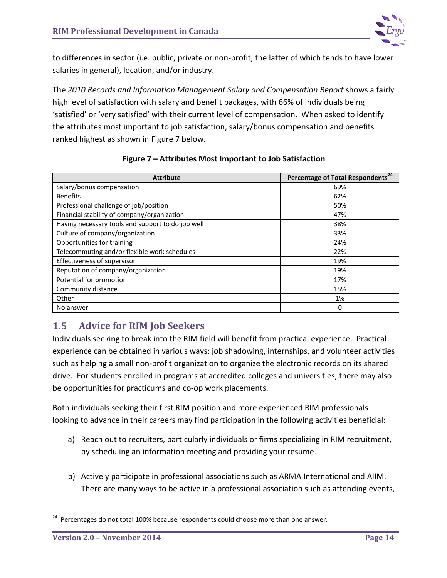

to differences in sector (i.e. public, private or non-profit, the latter of which tends to have lower salaries in general), location, and/or industry.

The *2010 Records and Information Management Salary and Compensation Report* shows a fairly high level of satisfaction with salary and benefit packages, with 66% of individuals being 'satisfied' or 'very satisfied' with their current level of compensation. When asked to identify the attributes most important to job satisfaction, salary/bonus compensation and benefits ranked highest as shown in Figure 7 below.

| <b>Attribute</b>                                  | <b>Percentage of Total Respondents</b> |
|---------------------------------------------------|----------------------------------------|
| Salary/bonus compensation                         | 69%                                    |
| <b>Benefits</b>                                   | 62%                                    |
| Professional challenge of job/position            | 50%                                    |
| Financial stability of company/organization       | 47%                                    |
| Having necessary tools and support to do job well | 38%                                    |
| Culture of company/organization                   | 33%                                    |
| Opportunities for training                        | 24%                                    |
| Telecommuting and/or flexible work schedules      | 22%                                    |
| Effectiveness of supervisor                       | 19%                                    |
| Reputation of company/organization                | 19%                                    |
| Potential for promotion                           | 17%                                    |
| Community distance                                | 15%                                    |
| Other                                             | 1%                                     |
| No answer                                         | 0                                      |

## **Figure 7 – Attributes Most Important to Job Satisfaction**

## <span id="page-18-0"></span>**1.5 Advice for RIM Job Seekers**

Individuals seeking to break into the RIM field will benefit from practical experience. Practical experience can be obtained in various ways: job shadowing, internships, and volunteer activities such as helping a small non-profit organization to organize the electronic records on its shared drive. For students enrolled in programs at accredited colleges and universities, there may also be opportunities for practicums and co-op work placements.

Both individuals seeking their first RIM position and more experienced RIM professionals looking to advance in their careers may find participation in the following activities beneficial:

- a) Reach out to recruiters, particularly individuals or firms specializing in RIM recruitment, by scheduling an information meeting and providing your resume.
- b) Actively participate in professional associations such as ARMA International and AIIM. There are many ways to be active in a professional association such as attending events,

<span id="page-18-1"></span><sup>&</sup>lt;sup>24</sup> Percentages do not total 100% because respondents could choose more than one answer.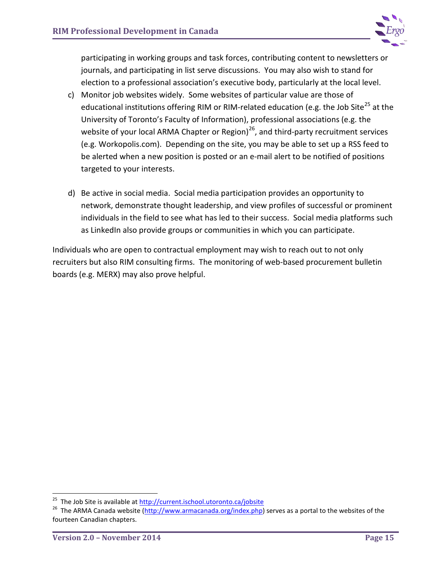

participating in working groups and task forces, contributing content to newsletters or journals, and participating in list serve discussions. You may also wish to stand for election to a professional association's executive body, particularly at the local level.

- c) Monitor job websites widely. Some websites of particular value are those of educational institutions offering RIM or RIM-related education (e.g. the Job Site<sup>[25](#page-19-0)</sup> at the University of Toronto's Faculty of Information), professional associations (e.g. the website of your local ARMA Chapter or Region) $^{26}$  $^{26}$  $^{26}$ , and third-party recruitment services (e.g. Workopolis.com). Depending on the site, you may be able to set up a RSS feed to be alerted when a new position is posted or an e-mail alert to be notified of positions targeted to your interests.
- d) Be active in social media. Social media participation provides an opportunity to network, demonstrate thought leadership, and view profiles of successful or prominent individuals in the field to see what has led to their success. Social media platforms such as LinkedIn also provide groups or communities in which you can participate.

Individuals who are open to contractual employment may wish to reach out to not only recruiters but also RIM consulting firms. The monitoring of web-based procurement bulletin boards (e.g. MERX) may also prove helpful.

<span id="page-19-1"></span><span id="page-19-0"></span><sup>&</sup>lt;sup>25</sup> The Job Site is available at <u>http://current.ischool.utoronto.ca/jobsite</u><br><sup>26</sup> The ARMA Canada website [\(http://www.armacanada.org/index.php\)](http://www.armacanada.org/index.php) serves as a portal to the websites of the fourteen Canadian chapters.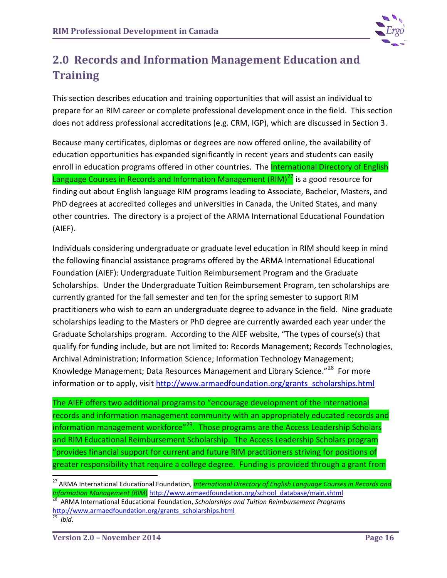

# <span id="page-20-0"></span>**2.0 Records and Information Management Education and Training**

This section describes education and training opportunities that will assist an individual to prepare for an RIM career or complete professional development once in the field. This section does not address professional accreditations (e.g. CRM, IGP), which are discussed in Section 3.

Because many certificates, diplomas or degrees are now offered online, the availability of education opportunities has expanded significantly in recent years and students can easily enroll in education programs offered in other countries. The **International Directory of English** Language Courses in Records and Information Management  $(RIM)^{27}$  $(RIM)^{27}$  $(RIM)^{27}$  is a good resource for finding out about English language RIM programs leading to Associate, Bachelor, Masters, and PhD degrees at accredited colleges and universities in Canada, the United States, and many other countries. The directory is a project of the ARMA International Educational Foundation (AIEF).

Individuals considering undergraduate or graduate level education in RIM should keep in mind the following financial assistance programs offered by the ARMA International Educational Foundation (AIEF): Undergraduate Tuition Reimbursement Program and the Graduate Scholarships. Under the Undergraduate Tuition Reimbursement Program, ten scholarships are currently granted for the fall semester and ten for the spring semester to support RIM practitioners who wish to earn an undergraduate degree to advance in the field. Nine graduate scholarships leading to the Masters or PhD degree are currently awarded each year under the Graduate Scholarships program. According to the AIEF website, "The types of course(s) that qualify for funding include, but are not limited to: Records Management; Records Technologies, Archival Administration; Information Science; Information Technology Management; Knowledge Management; Data Resources Management and Library Science."<sup>[28](#page-20-2)</sup> For more information or to apply, visit [http://www.armaedfoundation.org/grants\\_scholarships.html](http://www.armaedfoundation.org/grants_scholarships.html)

The AIEF offers two additional programs to "encourage development of the international records and information management community with an appropriately educated records and information management workforce"<sup>29</sup>. Those programs are the Access Leadership Scholars and RIM Educational Reimbursement Scholarship. The Access Leadership Scholars program "provides financial support for current and future RIM practitioners striving for positions of greater responsibility that require a college degree. Funding is provided through a grant from

<span id="page-20-2"></span>*Information Management (RIM*) [http://www.armaedfoundation.org/school\\_database/main.shtml](http://www.armaedfoundation.org/school_database/main.shtml) <sup>28</sup> ARMA International Educational Foundation, *Scholarships and Tuition Reimbursement Programs* [http://www.armaedfoundation.org/grants\\_scholarships.html 29](http://www.armaedfoundation.org/grants_scholarships.html) *Ibid*.

<span id="page-20-1"></span> <sup>27</sup> ARMA International Educational Foundation, *International Directory of English Language Courses in Records and* 

<span id="page-20-3"></span>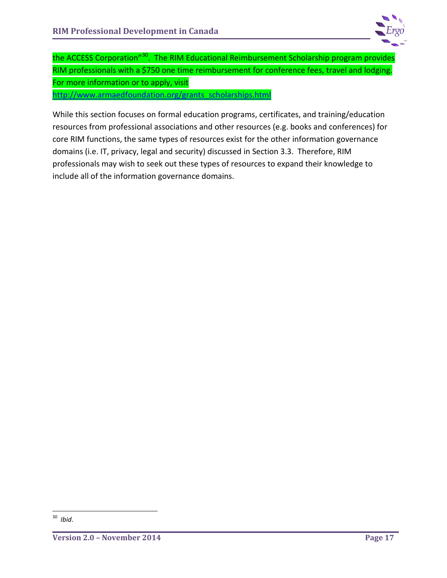

the ACCESS Corporation<sup>"30</sup>. The RIM Educational Reimbursement Scholarship program provides RIM professionals with a \$750 one time reimbursement for conference fees, travel and lodging. For more information or to apply, visit

[http://www.armaedfoundation.org/grants\\_scholarships.html](http://www.armaedfoundation.org/grants_scholarships.html) 

While this section focuses on formal education programs, certificates, and training/education resources from professional associations and other resources (e.g. books and conferences) for core RIM functions, the same types of resources exist for the other information governance domains (i.e. IT, privacy, legal and security) discussed in Section 3.3. Therefore, RIM professionals may wish to seek out these types of resources to expand their knowledge to include all of the information governance domains.

<span id="page-21-0"></span> <sup>30</sup> *Ibid*.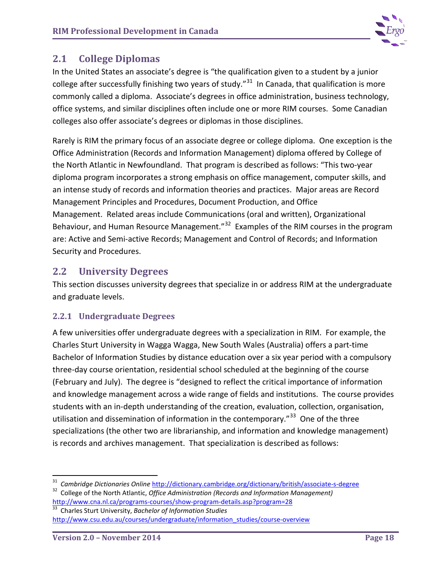

## <span id="page-22-0"></span>**2.1 College Diplomas**

In the United States an associate's degree is "th[e qualification](http://dictionary.cambridge.org/search/british/direct/?q=qualification) given to a [student](http://dictionary.cambridge.org/search/british/direct/?q=student) by a [junior](http://dictionary.cambridge.org/dictionary/british/junior-college)  [college](http://dictionary.cambridge.org/dictionary/british/junior-college) after [successfully](http://dictionary.cambridge.org/search/british/direct/?q=successfully) [finishing](http://dictionary.cambridge.org/search/british/direct/?q=finishing) two [years](http://dictionary.cambridge.org/search/british/direct/?q=years) o[f study.](http://dictionary.cambridge.org/search/british/direct/?q=study)"<sup>[31](#page-22-3)</sup> In Canada, that qualification is more commonly called a diploma. Associate's degrees in office administration, business technology, office systems, and similar disciplines often include one or more RIM courses. Some Canadian colleges also offer associate's degrees or diplomas in those disciplines.

Rarely is RIM the primary focus of an associate degree or college diploma. One exception is the Office Administration (Records and Information Management) diploma offered by College of the North Atlantic in Newfoundland. That program is described as follows: "This two-year diploma program incorporates a strong emphasis on office management, computer skills, and an intense study of records and information theories and practices. Major areas are Record Management Principles and Procedures, Document Production, and Office Management. Related areas include Communications (oral and written), Organizational Behaviour, and Human Resource Management."<sup>[32](#page-22-4)</sup> Examples of the RIM courses in the program are: Active and Semi-active Records; Management and Control of Records; and Information Security and Procedures.

## <span id="page-22-1"></span>**2.2 University Degrees**

This section discusses university degrees that specialize in or address RIM at the undergraduate and graduate levels.

## <span id="page-22-2"></span>**2.2.1 Undergraduate Degrees**

A few universities offer undergraduate degrees with a specialization in RIM. For example, the Charles Sturt University in Wagga Wagga, New South Wales (Australia) offers a part-time Bachelor of Information Studies by distance education over a six year period with a compulsory three-day course orientation, residential school scheduled at the beginning of the course (February and July). The degree is "designed to reflect the critical importance of information and knowledge management across a wide range of fields and institutions. The course provides students with an in-depth understanding of the creation, evaluation, collection, organisation, utilisation and dissemination of information in the contemporary.<sup>"33</sup> One of the three specializations (the other two are librarianship, and information and knowledge management) is records and archives management. That specialization is described as follows:

<span id="page-22-3"></span><sup>&</sup>lt;sup>31</sup> Cambridge Dictionaries Online <http://dictionary.cambridge.org/dictionary/british/associate-s-degree> 3<sup>2</sup> College of the North Atlantic, *Office Administration (Records and Information Management)* 

<span id="page-22-4"></span><http://www.cna.nl.ca/programs-courses/show-program-details.asp?program=28><br><sup>33</sup> Charles Sturt University, *Bachelor of Information Studies* 

<span id="page-22-5"></span>[http://www.csu.edu.au/courses/undergraduate/information\\_studies/course-overview](http://www.csu.edu.au/courses/undergraduate/information_studies/course-overview)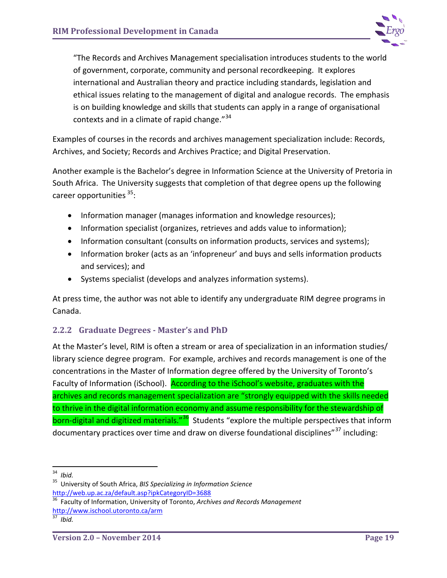

"The Records and Archives Management specialisation introduces students to the world of government, corporate, community and personal recordkeeping. It explores international and Australian theory and practice including standards, legislation and ethical issues relating to the management of digital and analogue records. The emphasis is on building knowledge and skills that students can apply in a range of organisational contexts and in a climate of rapid change."<sup>[34](#page-23-1)</sup>

Examples of courses in the records and archives management specialization include: Records, Archives, and Society; Records and Archives Practice; and Digital Preservation.

Another example is the Bachelor's degree in Information Science at the University of Pretoria in South Africa. The University suggests that completion of that degree opens up the following career opportunities <sup>[35](#page-23-2)</sup>:

- Information manager (manages information and knowledge resources);
- Information specialist (organizes, retrieves and adds value to information);
- Information consultant (consults on information products, services and systems);
- Information broker (acts as an 'infopreneur' and buys and sells information products and services); and
- Systems specialist (develops and analyzes information systems).

At press time, the author was not able to identify any undergraduate RIM degree programs in Canada.

## <span id="page-23-0"></span>**2.2.2 Graduate Degrees - Master's and PhD**

At the Master's level, RIM is often a stream or area of specialization in an information studies/ library science degree program. For example, archives and records management is one of the concentrations in the Master of Information degree offered by the University of Toronto's Faculty of Information (iSchool). According to the iSchool's website, graduates with the archives and records management specialization are "strongly equipped with the skills needed to thrive in the digital information economy and assume responsibility for the stewardship of born-digital and digitized materials."<sup>36</sup> Students "explore the multiple perspectives that inform documentary practices over time and draw on diverse foundational disciplines"<sup>[37](#page-23-4)</sup> including:

<span id="page-23-1"></span><sup>34</sup>*Ibid.* 35 University of South Africa, *BIS Specializing in Information Science*

<span id="page-23-3"></span><span id="page-23-2"></span>http://web.up.ac.za/default.asp?ipkCategoryID=3688<br><sup>36</sup> Faculty of Information, University of Toronto, *Archives and Records Management* <http://www.ischool.utoronto.ca/arm> <sup>37</sup>*Ibid.*

<span id="page-23-4"></span>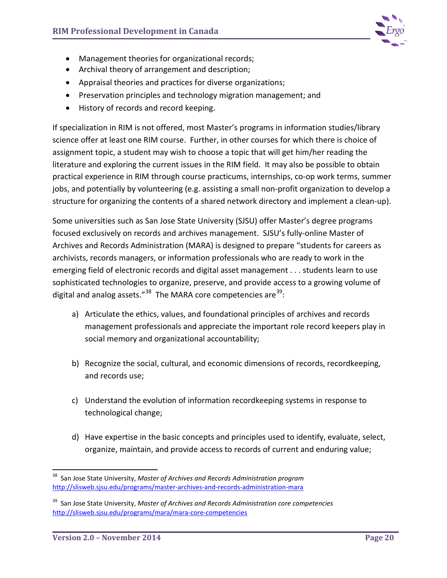

- Management theories for organizational records;
- Archival theory of arrangement and description;
- Appraisal theories and practices for diverse organizations;
- Preservation principles and technology migration management; and
- History of records and record keeping.

If specialization in RIM is not offered, most Master's programs in information studies/library science offer at least one RIM course. Further, in other courses for which there is choice of assignment topic, a student may wish to choose a topic that will get him/her reading the literature and exploring the current issues in the RIM field. It may also be possible to obtain practical experience in RIM through course practicums, internships, co-op work terms, summer jobs, and potentially by volunteering (e.g. assisting a small non-profit organization to develop a structure for organizing the contents of a shared network directory and implement a clean-up).

Some universities such as San Jose State University (SJSU) offer Master's degree programs focused exclusively on records and archives management. SJSU's fully-online Master of Archives and Records Administration (MARA) is designed to prepare "students for careers as archivists, records managers, or information professionals who are ready to work in the emerging field of electronic records and digital asset management . . . students learn to use sophisticated technologies to organize, preserve, and provide access to a growing volume of digital and analog assets."<sup>38</sup> The MARA core competencies are<sup>[39](#page-24-1)</sup>:

- a) Articulate the ethics, values, and foundational principles of archives and records management professionals and appreciate the important role record keepers play in social memory and organizational accountability;
- b) Recognize the social, cultural, and economic dimensions of records, recordkeeping, and records use;
- c) Understand the evolution of information recordkeeping systems in response to technological change;
- d) Have expertise in the basic concepts and principles used to identify, evaluate, select, organize, maintain, and provide access to records of current and enduring value;

<span id="page-24-0"></span> <sup>38</sup> San Jose State University, *Master of Archives and Records Administration program* <http://slisweb.sjsu.edu/programs/master-archives-and-records-administration-mara>

<span id="page-24-1"></span><sup>39</sup> San Jose State University, *Master of Archives and Records Administration core competencies* <http://slisweb.sjsu.edu/programs/mara/mara-core-competencies>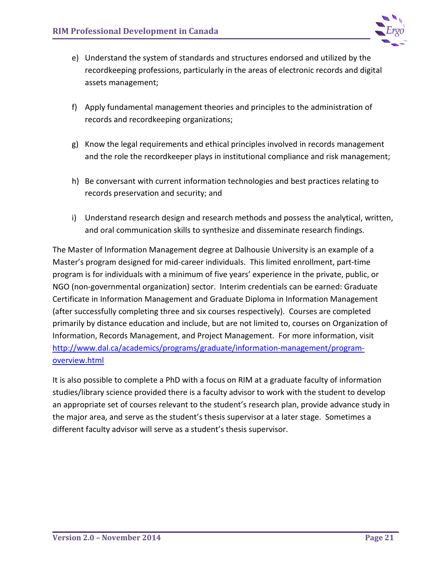

- e) Understand the system of standards and structures endorsed and utilized by the recordkeeping professions, particularly in the areas of electronic records and digital assets management;
- f) Apply fundamental management theories and principles to the administration of records and recordkeeping organizations;
- g) Know the legal requirements and ethical principles involved in records management and the role the recordkeeper plays in institutional compliance and risk management;
- h) Be conversant with current information technologies and best practices relating to records preservation and security; and
- i) Understand research design and research methods and possess the analytical, written, and oral communication skills to synthesize and disseminate research findings.

The Master of Information Management degree at Dalhousie University is an example of a Master's program designed for mid-career individuals. This limited enrollment, part-time program is for individuals with a minimum of five years' experience in the private, public, or NGO (non-governmental organization) sector. Interim credentials can be earned: Graduate Certificate in Information Management and Graduate Diploma in Information Management (after successfully completing three and six courses respectively). Courses are completed primarily by distance education and include, but are not limited to, courses on Organization of Information, Records Management, and Project Management. For more information, visit [http://www.dal.ca/academics/programs/graduate/information-management/program](http://www.dal.ca/academics/programs/graduate/information-management/program-overview.html)[overview.html](http://www.dal.ca/academics/programs/graduate/information-management/program-overview.html) 

It is also possible to complete a PhD with a focus on RIM at a graduate faculty of information studies/library science provided there is a faculty advisor to work with the student to develop an appropriate set of courses relevant to the student's research plan, provide advance study in the major area, and serve as the student's thesis supervisor at a later stage. Sometimes a different faculty advisor will serve as a student's thesis supervisor.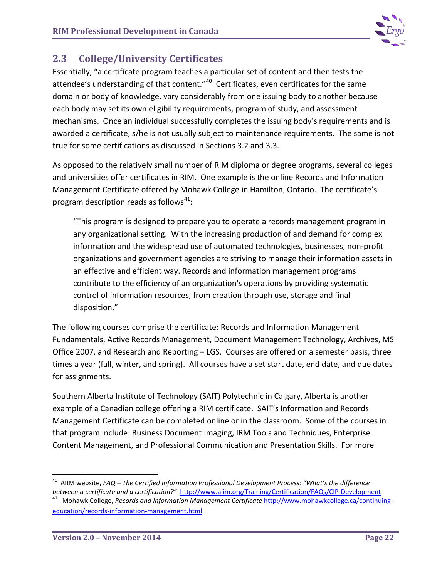

## <span id="page-26-0"></span>**2.3 College/University Certificates**

Essentially, "a certificate program teaches a particular set of content and then tests the attendee's understanding of that content."<sup>40</sup> Certificates, even certificates for the same domain or body of knowledge, vary considerably from one issuing body to another because each body may set its own eligibility requirements, program of study, and assessment mechanisms. Once an individual successfully completes the issuing body's requirements and is awarded a certificate, s/he is not usually subject to maintenance requirements. The same is not true for some certifications as discussed in Sections 3.2 and 3.3.

As opposed to the relatively small number of RIM diploma or degree programs, several colleges and universities offer certificates in RIM. One example is the online Records and Information Management Certificate offered by Mohawk College in Hamilton, Ontario. The certificate's program description reads as follows $^{41}$  $^{41}$  $^{41}$ :

"This program is designed to prepare you to operate a records management program in any organizational setting. With the increasing production of and demand for complex information and the widespread use of automated technologies, businesses, non-profit organizations and government agencies are striving to manage their information assets in an effective and efficient way. Records and information management programs contribute to the efficiency of an organization's operations by providing systematic control of information resources, from creation through use, storage and final disposition."

The following courses comprise the certificate: Records and Information Management Fundamentals, Active Records Management, Document Management Technology, Archives, MS Office 2007, and Research and Reporting – LGS. Courses are offered on a semester basis, three times a year (fall, winter, and spring). All courses have a set start date, end date, and due dates for assignments.

Southern Alberta Institute of Technology (SAIT) Polytechnic in Calgary, Alberta is another example of a Canadian college offering a RIM certificate. SAIT's Information and Records Management Certificate can be completed online or in the classroom. Some of the courses in that program include: Business Document Imaging, IRM Tools and Techniques, Enterprise Content Management, and Professional Communication and Presentation Skills. For more

 <sup>40</sup> AIIM website, *FAQ – The Certified Information Professional Development Process: "What's the difference* 

<span id="page-26-2"></span><span id="page-26-1"></span>between a certificate and a certification?" <http://www.aiim.org/Training/Certification/FAQs/CIP-Development><br><sup>41</sup> Mohawk College, Records and Information Management Certificate [http://www.mohawkcollege.ca/continuing](http://www.mohawkcollege.ca/continuing-education/records-information-management.html)[education/records-information-management.html](http://www.mohawkcollege.ca/continuing-education/records-information-management.html)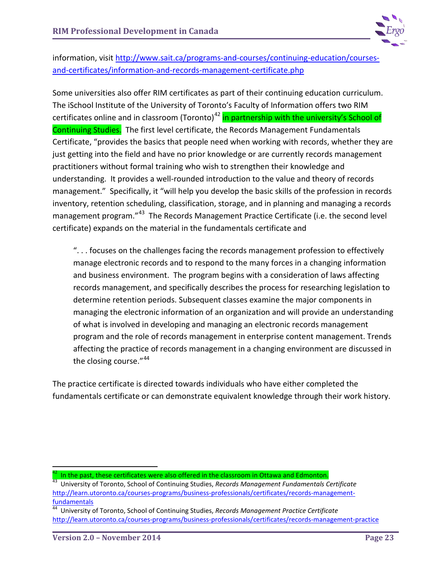

information, visit [http://www.sait.ca/programs-and-courses/continuing-education/courses](http://www.sait.ca/programs-and-courses/continuing-education/courses-and-certificates/information-and-records-management-certificate.php)[and-certificates/information-and-records-management-certificate.php](http://www.sait.ca/programs-and-courses/continuing-education/courses-and-certificates/information-and-records-management-certificate.php)

Some universities also offer RIM certificates as part of their continuing education curriculum. The iSchool Institute of the University of Toronto's Faculty of Information offers two RIM certificates online and in classroom (Toronto)<sup>[42](#page-27-0)</sup> in partnership with the university's School of Continuing Studies. The first level certificate, the Records Management Fundamentals Certificate, "provides the basics that people need when working with records, whether they are just getting into the field and have no prior knowledge or are currently records management practitioners without formal training who wish to strengthen their knowledge and understanding. It provides a well-rounded introduction to the value and theory of records management." Specifically, it "will help you develop the basic skills of the profession in records inventory, retention scheduling, classification, storage, and in planning and managing a records management program."<sup>[43](#page-27-1)</sup> The Records Management Practice Certificate (i.e. the second level certificate) expands on the material in the fundamentals certificate and

". . . focuses on the challenges facing the records management profession to effectively manage electronic records and to respond to the many forces in a changing information and business environment. The program begins with a consideration of laws affecting records management, and specifically describes the process for researching legislation to determine retention periods. Subsequent classes examine the major components in managing the electronic information of an organization and will provide an understanding of what is involved in developing and managing an electronic records management program and the role of records management in enterprise content management. Trends affecting the practice of records management in a changing environment are discussed in the closing course."<sup>[44](#page-27-2)</sup>

The practice certificate is directed towards individuals who have either completed the fundamentals certificate or can demonstrate equivalent knowledge through their work history.

<span id="page-27-0"></span>In the past, these certificates were also offered in the classroom in Ottawa and Edmonton.<br>University of Toronto, School of Continuing Studies, *Records Management Fundamentals Certificate* 

<span id="page-27-1"></span>[http://learn.utoronto.ca/courses-programs/business-professionals/certificates/records-management](http://learn.utoronto.ca/courses-programs/business-professionals/certificates/records-management-fundamentals)[fundamentals](http://learn.utoronto.ca/courses-programs/business-professionals/certificates/records-management-fundamentals)

<span id="page-27-2"></span><sup>44</sup> University of Toronto, School of Continuing Studies, *Records Management Practice Certificate* <http://learn.utoronto.ca/courses-programs/business-professionals/certificates/records-management-practice>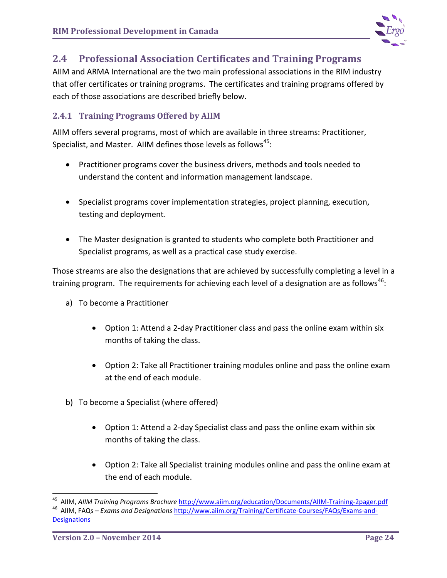

## <span id="page-28-0"></span>**2.4 Professional Association Certificates and Training Programs**

AIIM and ARMA International are the two main professional associations in the RIM industry that offer certificates or training programs. The certificates and training programs offered by each of those associations are described briefly below.

## <span id="page-28-1"></span>**2.4.1 Training Programs Offered by AIIM**

AIIM offers several programs, most of which are available in three streams: Practitioner, Specialist, and Master. AIIM defines those levels as follows<sup>[45](#page-28-2)</sup>:

- Practitioner programs cover the business drivers, methods and tools needed to understand the content and information management landscape.
- Specialist programs cover implementation strategies, project planning, execution, testing and deployment.
- The Master designation is granted to students who complete both Practitioner and Specialist programs, as well as a practical case study exercise.

Those streams are also the designations that are achieved by successfully completing a level in a training program. The requirements for achieving each level of a designation are as follows<sup>[46](#page-28-3)</sup>:

- a) To become a Practitioner
	- Option 1: Attend a 2-day Practitioner class and pass the online exam within six months of taking the class.
	- Option 2: Take all Practitioner training modules online and pass the online exam at the end of each module.
- b) To become a Specialist (where offered)
	- Option 1: Attend a 2-day Specialist class and pass the online exam within six months of taking the class.
	- Option 2: Take all Specialist training modules online and pass the online exam at the end of each module.

<span id="page-28-3"></span><span id="page-28-2"></span><sup>&</sup>lt;sup>45</sup> AIIM, *AIIM Training Programs Brochure* <http://www.aiim.org/education/Documents/AIIM-Training-2pager.pdf><br><sup>46</sup> AIIM, FAQs – *Exams and Designations* [http://www.aiim.org/Training/Certificate-Courses/FAQs/Exams-and-](http://www.aiim.org/Training/Certificate-Courses/FAQs/Exams-and-Designations)**[Designations](http://www.aiim.org/Training/Certificate-Courses/FAQs/Exams-and-Designations)**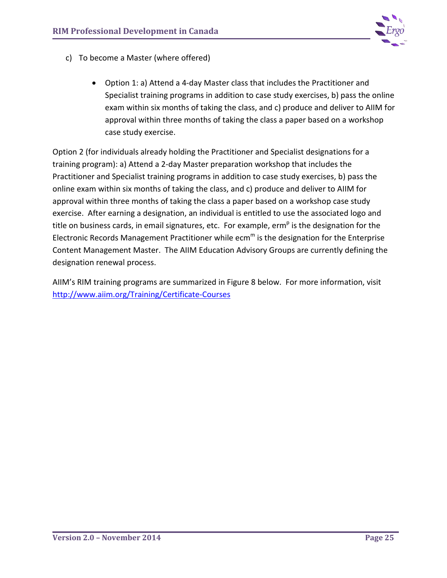

- c) To become a Master (where offered)
	- Option 1: a) Attend a 4-day Master class that includes the Practitioner and Specialist training programs in addition to case study exercises, b) pass the online exam within six months of taking the class, and c) produce and deliver to AIIM for approval within three months of taking the class a paper based on a workshop case study exercise.

Option 2 (for individuals already holding the Practitioner and Specialist designations for a training program): a) Attend a 2-day Master preparation workshop that includes the Practitioner and Specialist training programs in addition to case study exercises, b) pass the online exam within six months of taking the class, and c) produce and deliver to AIIM for approval within three months of taking the class a paper based on a workshop case study exercise. After earning a designation, an individual is entitled to use the associated logo and title on business cards, in email signatures, etc. For example, erm<sup>p</sup> is the designation for the Electronic Records Management Practitioner while  $ecm<sup>m</sup>$  is the designation for the Enterprise Content Management Master. The AIIM Education Advisory Groups are currently defining the designation renewal process.

AIIM's RIM training programs are summarized in Figure 8 below. For more information, visit <http://www.aiim.org/Training/Certificate-Courses>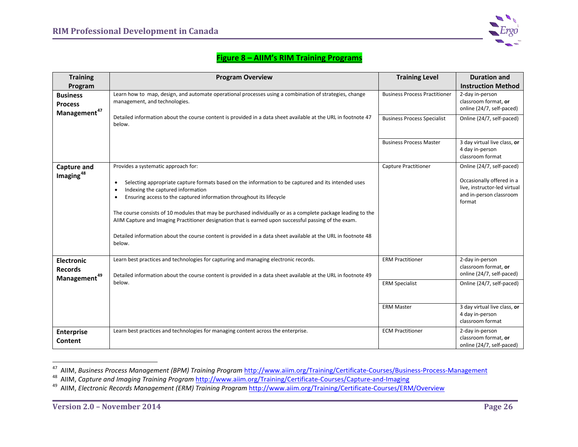<span id="page-30-2"></span><span id="page-30-1"></span><span id="page-30-0"></span>

## **Figure 8 – AIIM's RIM Training Programs**

| <b>Training</b>                                                 | <b>Program Overview</b>                                                                                                                                                                                                                                                                                                                                                                                                                                                                                                                                                                                                                            | <b>Training Level</b>                            | <b>Duration and</b>                                                                                                         |
|-----------------------------------------------------------------|----------------------------------------------------------------------------------------------------------------------------------------------------------------------------------------------------------------------------------------------------------------------------------------------------------------------------------------------------------------------------------------------------------------------------------------------------------------------------------------------------------------------------------------------------------------------------------------------------------------------------------------------------|--------------------------------------------------|-----------------------------------------------------------------------------------------------------------------------------|
| Program                                                         |                                                                                                                                                                                                                                                                                                                                                                                                                                                                                                                                                                                                                                                    |                                                  | <b>Instruction Method</b>                                                                                                   |
| <b>Business</b><br><b>Process</b><br>Management <sup>47</sup>   | Learn how to map, design, and automate operational processes using a combination of strategies, change<br>management, and technologies.                                                                                                                                                                                                                                                                                                                                                                                                                                                                                                            | <b>Business Process Practitioner</b>             | 2-day in-person<br>classroom format, or<br>online (24/7, self-paced)                                                        |
|                                                                 | Detailed information about the course content is provided in a data sheet available at the URL in footnote 47<br>below.                                                                                                                                                                                                                                                                                                                                                                                                                                                                                                                            | <b>Business Process Specialist</b>               | Online (24/7, self-paced)                                                                                                   |
|                                                                 |                                                                                                                                                                                                                                                                                                                                                                                                                                                                                                                                                                                                                                                    | <b>Business Process Master</b>                   | 3 day virtual live class, or<br>4 day in-person<br>classroom format                                                         |
| Capture and<br>$Imaging^{48}$                                   | Provides a systematic approach for:<br>Selecting appropriate capture formats based on the information to be captured and its intended uses<br>$\bullet$<br>Indexing the captured information<br>$\bullet$<br>Ensuring access to the captured information throughout its lifecycle<br>$\bullet$<br>The course consists of 10 modules that may be purchased individually or as a complete package leading to the<br>AIIM Capture and Imaging Practitioner designation that is earned upon successful passing of the exam.<br>Detailed information about the course content is provided in a data sheet available at the URL in footnote 48<br>below. | <b>Capture Practitioner</b>                      | Online (24/7, self-paced)<br>Occasionally offered in a<br>live, instructor-led virtual<br>and in-person classroom<br>format |
| <b>Electronic</b><br><b>Records</b><br>Management <sup>49</sup> | Learn best practices and technologies for capturing and managing electronic records.<br>Detailed information about the course content is provided in a data sheet available at the URL in footnote 49<br>below.                                                                                                                                                                                                                                                                                                                                                                                                                                    | <b>ERM Practitioner</b><br><b>ERM Specialist</b> | 2-day in-person<br>classroom format, or<br>online (24/7, self-paced)<br>Online (24/7, self-paced)                           |
|                                                                 |                                                                                                                                                                                                                                                                                                                                                                                                                                                                                                                                                                                                                                                    | <b>ERM Master</b>                                | 3 day virtual live class, or<br>4 day in-person<br>classroom format                                                         |
| <b>Enterprise</b><br>Content                                    | Learn best practices and technologies for managing content across the enterprise.                                                                                                                                                                                                                                                                                                                                                                                                                                                                                                                                                                  | <b>ECM Practitioner</b>                          | 2-day in-person<br>classroom format, or<br>online (24/7, self-paced)                                                        |

<sup>47</sup> AIIM, Business Process Management (BPM) Training Program http://www.aiim.org/Training/Certificate-Courses/Business-Process-Management<br><sup>48</sup> AIIM, Capture and Imaging Training Program http://www.aiim.org/Training/Certific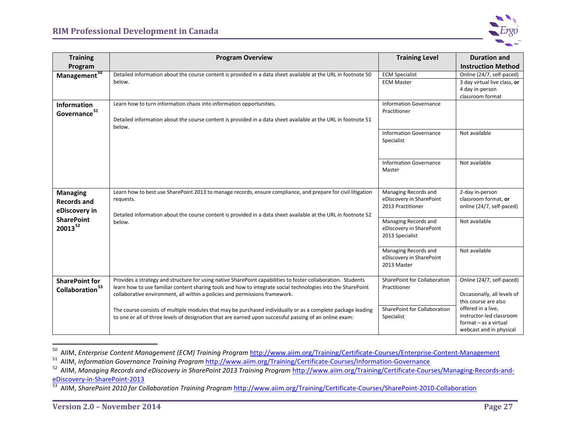<span id="page-31-3"></span><span id="page-31-2"></span><span id="page-31-1"></span><span id="page-31-0"></span>

| <b>Training</b>                                                                             | <b>Program Overview</b>                                                                                                                                                                                                                                                                                     | <b>Training Level</b>                                                 | <b>Duration and</b>                                                                                |
|---------------------------------------------------------------------------------------------|-------------------------------------------------------------------------------------------------------------------------------------------------------------------------------------------------------------------------------------------------------------------------------------------------------------|-----------------------------------------------------------------------|----------------------------------------------------------------------------------------------------|
| Program                                                                                     |                                                                                                                                                                                                                                                                                                             |                                                                       | <b>Instruction Method</b>                                                                          |
| Management <sup>50</sup>                                                                    | Detailed information about the course content is provided in a data sheet available at the URL in footnote 50<br>below.                                                                                                                                                                                     | <b>ECM Specialist</b><br><b>ECM Master</b>                            | Online (24/7, self-paced)<br>3 day virtual live class, or<br>4 day in-person<br>classroom format   |
| <b>Information</b><br>Governance <sup>51</sup>                                              | Learn how to turn information chaos into information opportunities.<br>Detailed information about the course content is provided in a data sheet available at the URL in footnote 51<br>below.                                                                                                              | <b>Information Governance</b><br>Practitioner                         |                                                                                                    |
|                                                                                             |                                                                                                                                                                                                                                                                                                             | <b>Information Governance</b><br>Specialist                           | Not available                                                                                      |
|                                                                                             |                                                                                                                                                                                                                                                                                                             | <b>Information Governance</b><br>Master                               | Not available                                                                                      |
| <b>Managing</b><br><b>Records and</b><br>eDiscovery in<br><b>SharePoint</b><br>$20013^{52}$ | Learn how to best use SharePoint 2013 to manage records, ensure compliance, and prepare for civil litigation<br>requests.<br>Detailed information about the course content is provided in a data sheet available at the URL in footnote 52<br>below.                                                        | Managing Records and<br>eDiscovery in SharePoint<br>2013 Practitioner | 2-day in-person<br>classroom format, or<br>online (24/7, self-paced)                               |
|                                                                                             |                                                                                                                                                                                                                                                                                                             | Managing Records and<br>eDiscovery in SharePoint<br>2013 Specialist   | Not available                                                                                      |
|                                                                                             |                                                                                                                                                                                                                                                                                                             | Managing Records and<br>eDiscovery in SharePoint<br>2013 Master       | Not available                                                                                      |
| <b>SharePoint for</b><br>Collaboration <sup>53</sup>                                        | Provides a strategy and structure for using native SharePoint capabilities to foster collaboration. Students<br>learn how to use familiar content sharing tools and how to integrate social technologies into the SharePoint<br>collaborative environment, all within a policies and permissions framework. | SharePoint for Collaboration<br>Practitioner                          | Online (24/7, self-paced)<br>Occasionally, all levels of<br>this course are also                   |
|                                                                                             | The course consists of multiple modules that may be purchased individually or as a complete package leading<br>to one or all of three levels of designation that are earned upon successful passing of an online exam:                                                                                      | SharePoint for Collaboration<br>Specialist                            | offered in a live,<br>instructor-led classroom<br>format - as a virtual<br>webcast and in physical |

<sup>&</sup>lt;sup>50</sup> AIIM, Enterprise Content Management (ECM) Training Program <http://www.aiim.org/Training/Certificate-Courses/Enterprise-Content-Management><br><sup>51</sup> AIIM, Information Governance Training Program http://www.aiim.org/Training

<sup>&</sup>lt;sup>53</sup> AIIM, SharePoint 2010 for Collaboration Training Program http://www.aiim.org/Training/Certificate-Courses/SharePoint-2010-Collaboration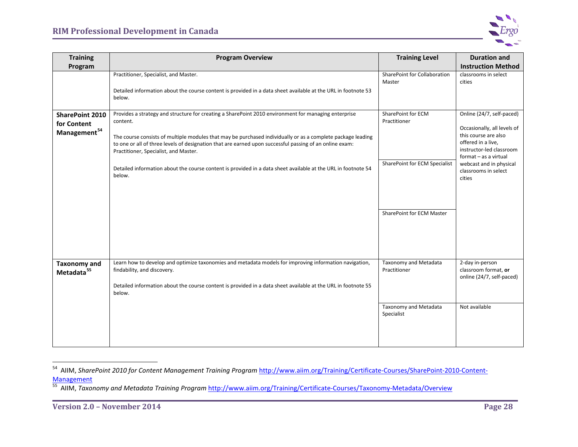<span id="page-32-1"></span><span id="page-32-0"></span>

| <b>Training</b>                                                   | <b>Program Overview</b>                                                                                                                                                                                                                                                                                                                                                                                                                                                                                        | <b>Training Level</b>                                                                            | <b>Duration and</b>                                                                                                                                                                                                      |
|-------------------------------------------------------------------|----------------------------------------------------------------------------------------------------------------------------------------------------------------------------------------------------------------------------------------------------------------------------------------------------------------------------------------------------------------------------------------------------------------------------------------------------------------------------------------------------------------|--------------------------------------------------------------------------------------------------|--------------------------------------------------------------------------------------------------------------------------------------------------------------------------------------------------------------------------|
| Program                                                           |                                                                                                                                                                                                                                                                                                                                                                                                                                                                                                                |                                                                                                  | <b>Instruction Method</b>                                                                                                                                                                                                |
|                                                                   | Practitioner, Specialist, and Master.<br>Detailed information about the course content is provided in a data sheet available at the URL in footnote 53<br>below.                                                                                                                                                                                                                                                                                                                                               | SharePoint for Collaboration<br>Master                                                           | classrooms in select<br>cities                                                                                                                                                                                           |
| <b>SharePoint 2010</b><br>for Content<br>Management <sup>54</sup> | Provides a strategy and structure for creating a SharePoint 2010 environment for managing enterprise<br>content.<br>The course consists of multiple modules that may be purchased individually or as a complete package leading<br>to one or all of three levels of designation that are earned upon successful passing of an online exam:<br>Practitioner, Specialist, and Master.<br>Detailed information about the course content is provided in a data sheet available at the URL in footnote 54<br>below. | SharePoint for ECM<br>Practitioner<br>SharePoint for ECM Specialist<br>SharePoint for ECM Master | Online (24/7, self-paced)<br>Occasionally, all levels of<br>this course are also<br>offered in a live,<br>instructor-led classroom<br>format - as a virtual<br>webcast and in physical<br>classrooms in select<br>cities |
| <b>Taxonomy and</b><br>Metadata <sup>55</sup>                     | Learn how to develop and optimize taxonomies and metadata models for improving information navigation,<br>findability, and discovery.<br>Detailed information about the course content is provided in a data sheet available at the URL in footnote 55<br>below.                                                                                                                                                                                                                                               | Taxonomy and Metadata<br>Practitioner<br>Taxonomy and Metadata<br>Specialist                     | 2-day in-person<br>classroom format, or<br>online (24/7, self-paced)<br>Not available                                                                                                                                    |
|                                                                   |                                                                                                                                                                                                                                                                                                                                                                                                                                                                                                                |                                                                                                  |                                                                                                                                                                                                                          |

 <sup>54</sup> AIIM, *SharePoint 2010 for Content Management Training Program* [http://www.aiim.org/Training/Certificate-Courses/SharePoint-2010-Content-](http://www.aiim.org/Training/Certificate-Courses/SharePoint-2010-Content-Management)Management<br>
<sup>55</sup> AIIM, *Taxonomy and Metadata Training Program* <http://www.aiim.org/Training/Certificate-Courses/Taxonomy-Metadata/Overview>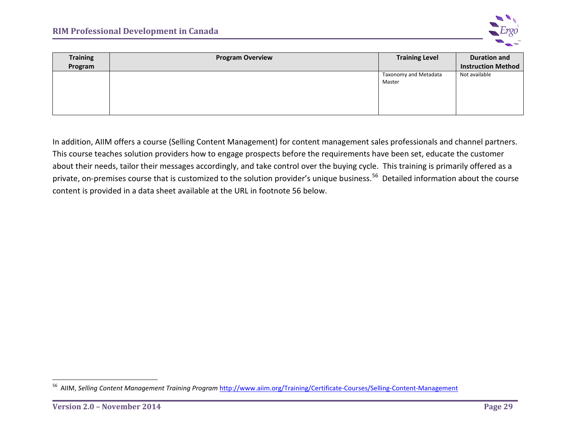<span id="page-33-0"></span>

| <b>Training</b><br>Program | <b>Program Overview</b> | <b>Training Level</b>           | <b>Duration and</b><br><b>Instruction Method</b> |
|----------------------------|-------------------------|---------------------------------|--------------------------------------------------|
|                            |                         | Taxonomy and Metadata<br>Master | Not available                                    |

In addition, AIIM offers a course (Selling Content Management) for content management sales professionals and channel partners. This course teaches solution providers how to engage prospects before the requirements have been set, educate the customer about their needs, tailor their messages accordingly, and take control over the buying cycle. This training is primarily offered as a private, on-premises course that is customized to the solution provider's unique business.<sup>[56](#page-33-0)</sup> Detailed information about the course content is provided in a data sheet available at the URL in footnote 56 below.

 <sup>56</sup> AIIM, *Selling Content Management Training Program* <http://www.aiim.org/Training/Certificate-Courses/Selling-Content-Management>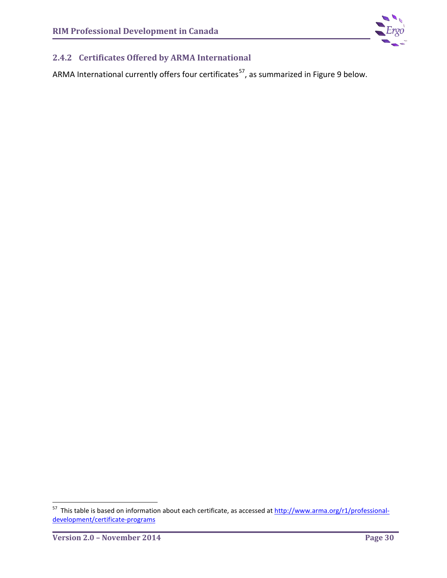

## <span id="page-34-0"></span>**2.4.2 Certificates Offered by ARMA International**

ARMA International currently offers four certificates<sup>57</sup>, as summarized in Figure 9 below.

<span id="page-34-1"></span><sup>&</sup>lt;sup>57</sup> This table is based on information about each certificate, as accessed at [http://www.arma.org/r1/professional](http://www.arma.org/r1/professional-development/certificate-programs)[development/certificate-programs](http://www.arma.org/r1/professional-development/certificate-programs)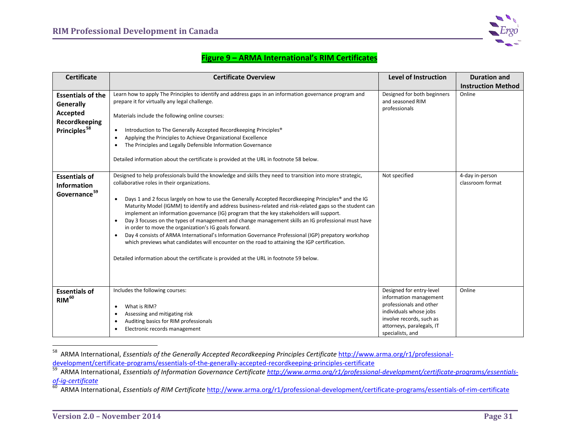<span id="page-35-2"></span><span id="page-35-1"></span><span id="page-35-0"></span>

## **Figure 9 – ARMA International's RIM Certificates**

| <b>Certificate</b>                                                                                    | <b>Certificate Overview</b>                                                                                                                                                                                                                                                                                                                                                                                                                                                                                                                                                                                                                                                                                                                                                                                                                                                                                                                                          | <b>Level of Instruction</b>                                                                                                                                                          | <b>Duration and</b>                 |
|-------------------------------------------------------------------------------------------------------|----------------------------------------------------------------------------------------------------------------------------------------------------------------------------------------------------------------------------------------------------------------------------------------------------------------------------------------------------------------------------------------------------------------------------------------------------------------------------------------------------------------------------------------------------------------------------------------------------------------------------------------------------------------------------------------------------------------------------------------------------------------------------------------------------------------------------------------------------------------------------------------------------------------------------------------------------------------------|--------------------------------------------------------------------------------------------------------------------------------------------------------------------------------------|-------------------------------------|
|                                                                                                       |                                                                                                                                                                                                                                                                                                                                                                                                                                                                                                                                                                                                                                                                                                                                                                                                                                                                                                                                                                      |                                                                                                                                                                                      | <b>Instruction Method</b>           |
| <b>Essentials of the</b><br><b>Generally</b><br>Accepted<br>Recordkeeping<br>Principles <sup>58</sup> | Learn how to apply The Principles to identify and address gaps in an information governance program and<br>prepare it for virtually any legal challenge.<br>Materials include the following online courses:<br>Introduction to The Generally Accepted Recordkeeping Principles <sup>®</sup><br>$\bullet$<br>Applying the Principles to Achieve Organizational Excellence<br>$\bullet$<br>The Principles and Legally Defensible Information Governance<br>Detailed information about the certificate is provided at the URL in footnote 58 below.                                                                                                                                                                                                                                                                                                                                                                                                                     | Designed for both beginners<br>and seasoned RIM<br>professionals                                                                                                                     | Online                              |
| <b>Essentials of</b><br>Information<br>Governance <sup>59</sup>                                       | Designed to help professionals build the knowledge and skills they need to transition into more strategic,<br>collaborative roles in their organizations.<br>Days 1 and 2 focus largely on how to use the Generally Accepted Recordkeeping Principles® and the IG<br>$\bullet$<br>Maturity Model (IGMM) to identify and address business-related and risk-related gaps so the student can<br>implement an information governance (IG) program that the key stakeholders will support.<br>Day 3 focuses on the types of management and change management skills an IG professional must have<br>in order to move the organization's IG goals forward.<br>Day 4 consists of ARMA International's Information Governance Professional (IGP) prepatory workshop<br>$\bullet$<br>which previews what candidates will encounter on the road to attaining the IGP certification.<br>Detailed information about the certificate is provided at the URL in footnote 59 below. | Not specified                                                                                                                                                                        | 4-day in-person<br>classroom format |
| <b>Essentials of</b><br>RIM <sup>60</sup>                                                             | Includes the following courses:<br>What is RIM?<br>$\bullet$<br>Assessing and mitigating risk<br>Auditing basics for RIM professionals<br>Electronic records management<br>$\bullet$                                                                                                                                                                                                                                                                                                                                                                                                                                                                                                                                                                                                                                                                                                                                                                                 | Designed for entry-level<br>information management<br>professionals and other<br>individuals whose jobs<br>involve records, such as<br>attorneys, paralegals, IT<br>specialists, and | Online                              |

<sup>&</sup>lt;sup>58</sup> ARMA International, *Essentials of the Generally Accepted Recordkeeping Principles Certificate* http://www.arma.org/r1/professional-<br>development/certificate-programs/essentials-of-the-generally-accepted-recordkeeping-

*of-ig-certificate* [60](http://www.arma.org/r1/professional-development/certificate-programs/essentials-of-ig-certificate) ARMA International, *Essentials of RIM Certificate* <http://www.arma.org/r1/professional-development/certificate-programs/essentials-of-rim-certificate>

<sup>59</sup> ARMA International, Essentials of Information Governance Certificate http://www.arma.org/r1/professional-development/certificate-programs/essentials-<br>of-ig-certificate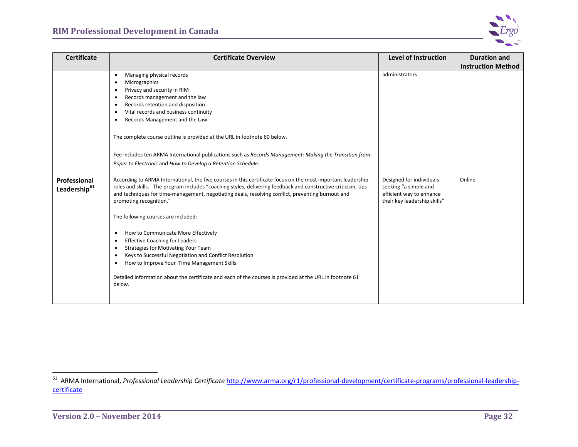<span id="page-36-0"></span>

| <b>Certificate</b>                       | <b>Certificate Overview</b>                                                                                                                                                                                                                                                                                                                                                                                                                                                                                                                                                                                                                                                                                                                                                                                               | <b>Level of Instruction</b>                                                                                   | <b>Duration and</b>       |
|------------------------------------------|---------------------------------------------------------------------------------------------------------------------------------------------------------------------------------------------------------------------------------------------------------------------------------------------------------------------------------------------------------------------------------------------------------------------------------------------------------------------------------------------------------------------------------------------------------------------------------------------------------------------------------------------------------------------------------------------------------------------------------------------------------------------------------------------------------------------------|---------------------------------------------------------------------------------------------------------------|---------------------------|
|                                          |                                                                                                                                                                                                                                                                                                                                                                                                                                                                                                                                                                                                                                                                                                                                                                                                                           |                                                                                                               | <b>Instruction Method</b> |
|                                          | Managing physical records<br>$\bullet$<br>Micrographics<br>$\bullet$<br>Privacy and security in RIM<br>$\bullet$<br>Records management and the law<br>$\bullet$<br>Records retention and disposition<br>$\bullet$<br>Vital records and business continuity<br>$\bullet$<br>Records Management and the Law<br>$\bullet$<br>The complete course outline is provided at the URL in footnote 60 below.                                                                                                                                                                                                                                                                                                                                                                                                                        | administrators                                                                                                |                           |
|                                          | Fee includes ten ARMA International publications such as Records Management: Making the Transition from<br>Paper to Electronic and How to Develop a Retention Schedule.                                                                                                                                                                                                                                                                                                                                                                                                                                                                                                                                                                                                                                                   |                                                                                                               |                           |
| Professional<br>Leadership <sup>61</sup> | According to ARMA International, the five courses in this certificate focus on the most important leadership<br>roles and skills. The program includes "coaching styles, delivering feedback and constructive criticism, tips<br>and techniques for time-management, negotiating deals, resolving conflict, preventing burnout and<br>promoting recognition."<br>The following courses are included:<br>How to Communicate More Effectively<br>٠<br><b>Effective Coaching for Leaders</b><br>$\bullet$<br><b>Strategies for Motivating Your Team</b><br>$\bullet$<br>Keys to Successful Negotiation and Conflict Resolution<br>$\bullet$<br>How to Improve Your Time Management Skills<br>$\bullet$<br>Detailed information about the certificate and each of the courses is provided at the URL in footnote 61<br>below. | Designed for individuals<br>seeking "a simple and<br>efficient way to enhance<br>their key leadership skills" | Online                    |

 <sup>61</sup> ARMA International, *Professional Leadership Certificate* [http://www.arma.org/r1/professional-development/certificate-programs/professional-leadership](http://www.arma.org/r1/professional-development/certificate-programs/professional-leadership-certificate)[certificate](http://www.arma.org/r1/professional-development/certificate-programs/professional-leadership-certificate)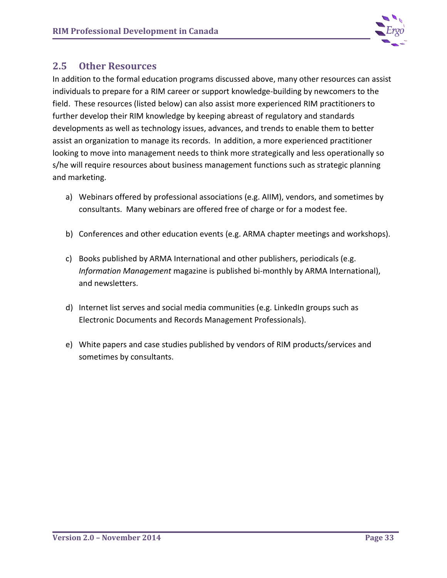

## **2.5 Other Resources**

In addition to the formal education programs discussed above, many other resources can assist individuals to prepare for a RIM career or support knowledge-building by newcomers to the field. These resources (listed below) can also assist more experienced RIM practitioners to further develop their RIM knowledge by keeping abreast of regulatory and standards developments as well as technology issues, advances, and trends to enable them to better assist an organization to manage its records. In addition, a more experienced practitioner looking to move into management needs to think more strategically and less operationally so s/he will require resources about business management functions such as strategic planning and marketing.

- a) Webinars offered by professional associations (e.g. AIIM), vendors, and sometimes by consultants. Many webinars are offered free of charge or for a modest fee.
- b) Conferences and other education events (e.g. ARMA chapter meetings and workshops).
- c) Books published by ARMA International and other publishers, periodicals (e.g. *Information Management* magazine is published bi-monthly by ARMA International), and newsletters.
- d) Internet list serves and social media communities (e.g. LinkedIn groups such as Electronic Documents and Records Management Professionals).
- e) White papers and case studies published by vendors of RIM products/services and sometimes by consultants.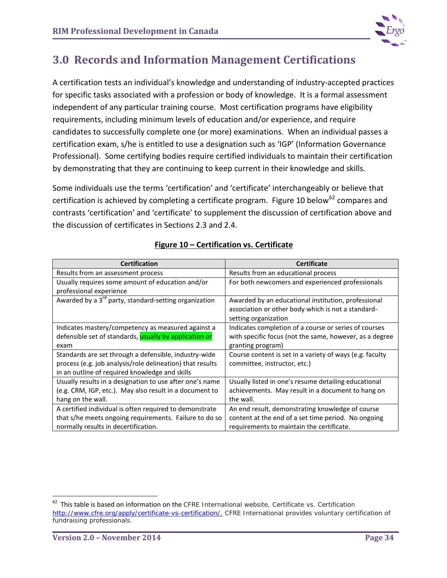

# **3.0 Records and Information Management Certifications**

A certification tests an individual's knowledge and understanding of industry-accepted practices for specific tasks associated with a profession or body of knowledge. It is a formal assessment independent of any particular training course. Most certification programs have eligibility requirements, including minimum levels of education and/or experience, and require candidates to successfully complete one (or more) examinations. When an individual passes a certification exam, s/he is entitled to use a designation such as 'IGP' (Information Governance Professional). Some certifying bodies require certified individuals to maintain their certification by demonstrating that they are continuing to keep current in their knowledge and skills.

Some individuals use the terms 'certification' and 'certificate' interchangeably or believe that certification is achieved by completing a certificate program. Figure 10 below<sup>[62](#page-38-0)</sup> compares and contrasts 'certification' and 'certificate' to supplement the discussion of certification above and the discussion of certificates in Sections 2.3 and 2.4.

| <b>Certification</b>                                              | <b>Certificate</b>                                       |
|-------------------------------------------------------------------|----------------------------------------------------------|
| Results from an assessment process                                | Results from an educational process                      |
| Usually requires some amount of education and/or                  | For both newcomers and experienced professionals         |
| professional experience                                           |                                                          |
| Awarded by a 3 <sup>rd</sup> party, standard-setting organization | Awarded by an educational institution, professional      |
|                                                                   | association or other body which is not a standard-       |
|                                                                   | setting organization                                     |
| Indicates mastery/competency as measured against a                | Indicates completion of a course or series of courses    |
| defensible set of standards, usually by application or            | with specific focus (not the same, however, as a degree  |
| exam                                                              | granting program)                                        |
| Standards are set through a defensible, industry-wide             | Course content is set in a variety of ways (e.g. faculty |
| process (e.g. job analysis/role delineation) that results         | committee, instructor, etc.)                             |
| in an outline of required knowledge and skills                    |                                                          |
| Usually results in a designation to use after one's name          | Usually listed in one's resume detailing educational     |
| (e.g. CRM, IGP, etc.). May also result in a document to           | achievements. May result in a document to hang on        |
| hang on the wall.                                                 | the wall.                                                |
| A certified individual is often required to demonstrate           | An end result, demonstrating knowledge of course         |
| that s/he meets ongoing requirements. Failure to do so            | content at the end of a set time period. No ongoing      |
| normally results in decertification.                              | requirements to maintain the certificate.                |

## **Figure 10 – Certification vs. Certificate**

<span id="page-38-0"></span> <sup>62</sup> This table is based on information on the CFRE International website, *Certificate vs. Certification* [http://www.cfre.org/apply/certificate-vs-certification/.](http://www.cfre.org/apply/certificate-vs-certification/) CFRE International provides voluntary certification of fundraising professionals.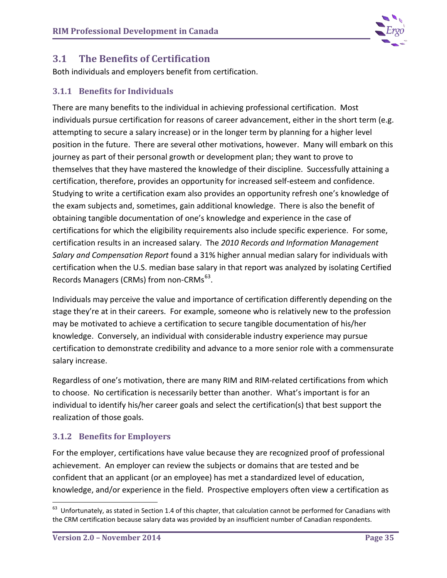

## **3.1 The Benefits of Certification**

Both individuals and employers benefit from certification.

## **3.1.1 Benefits for Individuals**

There are many benefits to the individual in achieving professional certification. Most individuals pursue certification for reasons of career advancement, either in the short term (e.g. attempting to secure a salary increase) or in the longer term by planning for a higher level position in the future. There are several other motivations, however. Many will embark on this journey as part of their personal growth or development plan; they want to prove to themselves that they have mastered the knowledge of their discipline. Successfully attaining a certification, therefore, provides an opportunity for increased self-esteem and confidence. Studying to write a certification exam also provides an opportunity refresh one's knowledge of the exam subjects and, sometimes, gain additional knowledge. There is also the benefit of obtaining tangible documentation of one's knowledge and experience in the case of certifications for which the eligibility requirements also include specific experience. For some, certification results in an increased salary. The *2010 Records and Information Management Salary and Compensation Report* found a 31% higher annual median salary for individuals with certification when the U.S. median base salary in that report was analyzed by isolating Certified Records Managers (CRMs) from non-CRMs<sup>63</sup>.

Individuals may perceive the value and importance of certification differently depending on the stage they're at in their careers. For example, someone who is relatively new to the profession may be motivated to achieve a certification to secure tangible documentation of his/her knowledge. Conversely, an individual with considerable industry experience may pursue certification to demonstrate credibility and advance to a more senior role with a commensurate salary increase.

Regardless of one's motivation, there are many RIM and RIM-related certifications from which to choose. No certification is necessarily better than another. What's important is for an individual to identify his/her career goals and select the certification(s) that best support the realization of those goals.

## **3.1.2 Benefits for Employers**

For the employer, certifications have value because they are recognized proof of professional achievement. An employer can review the subjects or domains that are tested and be confident that an applicant (or an employee) has met a standardized level of education, knowledge, and/or experience in the field. Prospective employers often view a certification as

<span id="page-39-0"></span> $63$  Unfortunately, as stated in Section 1.4 of this chapter, that calculation cannot be performed for Canadians with the CRM certification because salary data was provided by an insufficient number of Canadian respondents.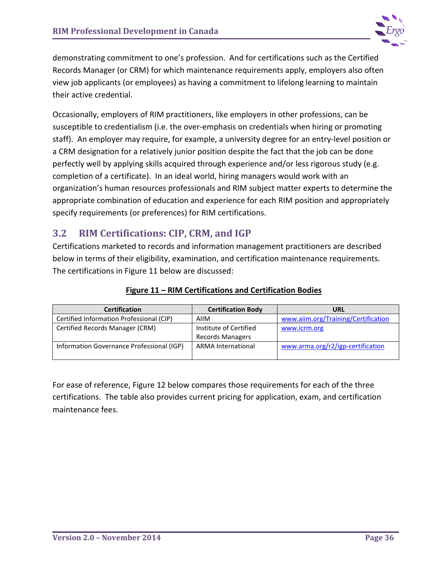

demonstrating commitment to one's profession. And for certifications such as the Certified Records Manager (or CRM) for which maintenance requirements apply, employers also often view job applicants (or employees) as having a commitment to lifelong learning to maintain their active credential.

Occasionally, employers of RIM practitioners, like employers in other professions, can be susceptible to credentialism (i.e. the over-emphasis on credentials when hiring or promoting staff). An employer may require, for example, a university degree for an entry-level position or a CRM designation for a relatively junior position despite the fact that the job can be done perfectly well by applying skills acquired through experience and/or less rigorous study (e.g. completion of a certificate). In an ideal world, hiring managers would work with an organization's human resources professionals and RIM subject matter experts to determine the appropriate combination of education and experience for each RIM position and appropriately specify requirements (or preferences) for RIM certifications.

## **3.2 RIM Certifications: CIP, CRM, and IGP**

Certifications marketed to records and information management practitioners are described below in terms of their eligibility, examination, and certification maintenance requirements. The certifications in Figure 11 below are discussed:

| <b>Certification</b>                      | <b>Certification Body</b> | URL                                 |
|-------------------------------------------|---------------------------|-------------------------------------|
| Certified Information Professional (CIP)  | AIIM                      | www.aiim.org/Training/Certification |
| Certified Records Manager (CRM)           | Institute of Certified    | www.icrm.org                        |
|                                           | <b>Records Managers</b>   |                                     |
| Information Governance Professional (IGP) | <b>ARMA International</b> | www.arma.org/r2/igp-certification   |
|                                           |                           |                                     |

## **Figure 11 – RIM Certifications and Certification Bodies**

For ease of reference, Figure 12 below compares those requirements for each of the three certifications. The table also provides current pricing for application, exam, and certification maintenance fees.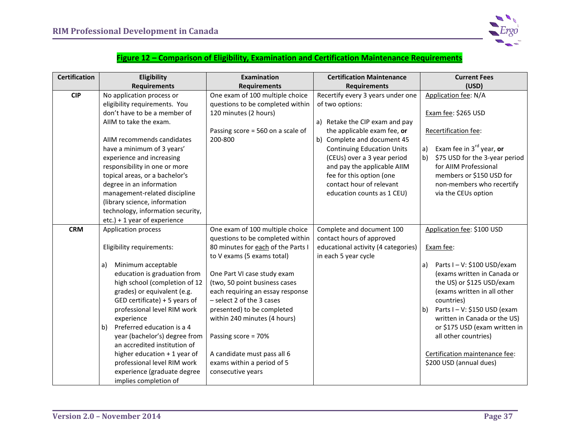

### **Figure 12 – Comparison of Eligibility, Examination and Certification Maintenance Requirements**

| <b>Certification</b> | Eligibility                                    | <b>Examination</b>                 | <b>Certification Maintenance</b>    | <b>Current Fees</b>                                           |
|----------------------|------------------------------------------------|------------------------------------|-------------------------------------|---------------------------------------------------------------|
|                      | <b>Requirements</b>                            | <b>Requirements</b>                | <b>Requirements</b>                 | (USD)                                                         |
| <b>CIP</b>           | No application process or                      | One exam of 100 multiple choice    | Recertify every 3 years under one   | Application fee: N/A                                          |
|                      | eligibility requirements. You                  | questions to be completed within   | of two options:                     |                                                               |
|                      | don't have to be a member of                   | 120 minutes (2 hours)              |                                     | Exam fee: \$265 USD                                           |
|                      | AIIM to take the exam.                         |                                    | a) Retake the CIP exam and pay      |                                                               |
|                      |                                                | Passing score = 560 on a scale of  | the applicable exam fee, or         | Recertification fee:                                          |
|                      | AIIM recommends candidates                     | 200-800                            | b) Complete and document 45         |                                                               |
|                      | have a minimum of 3 years'                     |                                    | <b>Continuing Education Units</b>   | Exam fee in 3 <sup>rd</sup> year, or<br>a)                    |
|                      | experience and increasing                      |                                    | (CEUs) over a 3 year period         | \$75 USD for the 3-year period<br>b)                          |
|                      | responsibility in one or more                  |                                    | and pay the applicable AIIM         | for AIIM Professional                                         |
|                      | topical areas, or a bachelor's                 |                                    | fee for this option (one            | members or \$150 USD for                                      |
|                      | degree in an information                       |                                    | contact hour of relevant            | non-members who recertify                                     |
|                      | management-related discipline                  |                                    | education counts as 1 CEU)          | via the CEUs option                                           |
|                      | (library science, information                  |                                    |                                     |                                                               |
|                      | technology, information security,              |                                    |                                     |                                                               |
|                      | etc.) + 1 year of experience                   |                                    |                                     |                                                               |
| <b>CRM</b>           | <b>Application process</b>                     | One exam of 100 multiple choice    | Complete and document 100           | Application fee: \$100 USD                                    |
|                      |                                                | questions to be completed within   | contact hours of approved           |                                                               |
|                      | Eligibility requirements:                      | 80 minutes for each of the Parts I | educational activity (4 categories) | Exam fee:                                                     |
|                      |                                                | to V exams (5 exams total)         | in each 5 year cycle                |                                                               |
|                      | Minimum acceptable<br>a)                       |                                    |                                     | Parts I - V: \$100 USD/exam<br>a)                             |
|                      | education is graduation from                   | One Part VI case study exam        |                                     | (exams written in Canada or                                   |
|                      | high school (completion of 12                  | (two, 50 point business cases      |                                     | the US) or \$125 USD/exam                                     |
|                      | grades) or equivalent (e.g.                    | each requiring an essay response   |                                     | (exams written in all other                                   |
|                      | GED certificate) + 5 years of                  | - select 2 of the 3 cases          |                                     | countries)                                                    |
|                      | professional level RIM work                    | presented) to be completed         |                                     | Parts I - V: \$150 USD (exam<br>b)                            |
|                      | experience<br>Preferred education is a 4<br>b) | within 240 minutes (4 hours)       |                                     | written in Canada or the US)<br>or \$175 USD (exam written in |
|                      | year (bachelor's) degree from                  |                                    |                                     | all other countries)                                          |
|                      | an accredited institution of                   | Passing score = 70%                |                                     |                                                               |
|                      | higher education $+1$ year of                  | A candidate must pass all 6        |                                     | Certification maintenance fee:                                |
|                      | professional level RIM work                    | exams within a period of 5         |                                     | \$200 USD (annual dues)                                       |
|                      | experience (graduate degree                    | consecutive years                  |                                     |                                                               |
|                      | implies completion of                          |                                    |                                     |                                                               |
|                      |                                                |                                    |                                     |                                                               |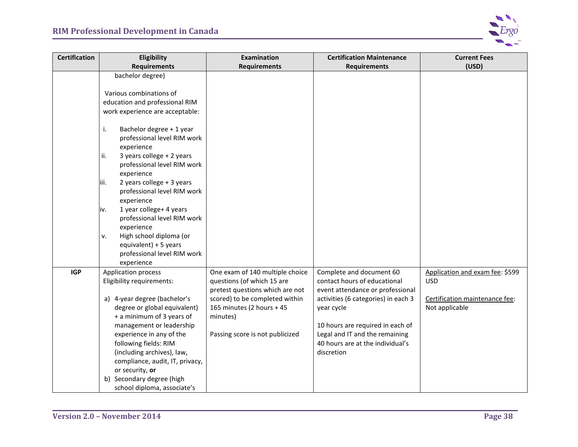

| <b>Certification</b> | Eligibility                                                                                                                                                                                                                                                                                                                                                                                                                                                                                                  | <b>Examination</b>                                                                                                                                                                                             | <b>Certification Maintenance</b>                                                                                                                                                                                                                                          | <b>Current Fees</b>                                                                               |
|----------------------|--------------------------------------------------------------------------------------------------------------------------------------------------------------------------------------------------------------------------------------------------------------------------------------------------------------------------------------------------------------------------------------------------------------------------------------------------------------------------------------------------------------|----------------------------------------------------------------------------------------------------------------------------------------------------------------------------------------------------------------|---------------------------------------------------------------------------------------------------------------------------------------------------------------------------------------------------------------------------------------------------------------------------|---------------------------------------------------------------------------------------------------|
|                      | <b>Requirements</b>                                                                                                                                                                                                                                                                                                                                                                                                                                                                                          | <b>Requirements</b>                                                                                                                                                                                            | <b>Requirements</b>                                                                                                                                                                                                                                                       | (USD)                                                                                             |
|                      | bachelor degree)<br>Various combinations of<br>education and professional RIM<br>work experience are acceptable:<br>i.<br>Bachelor degree + 1 year<br>professional level RIM work<br>experience<br>3 years college + 2 years<br>ii.<br>professional level RIM work<br>experience<br>2 years college + 3 years<br>liii.<br>professional level RIM work<br>experience<br>1 year college+ 4 years<br>iv.<br>professional level RIM work<br>experience<br>High school diploma (or<br>ν.<br>equivalent) + 5 years |                                                                                                                                                                                                                |                                                                                                                                                                                                                                                                           |                                                                                                   |
| <b>IGP</b>           | professional level RIM work<br>experience<br>Application process<br>Eligibility requirements:<br>a) 4-year degree (bachelor's<br>degree or global equivalent)<br>+ a minimum of 3 years of<br>management or leadership<br>experience in any of the<br>following fields: RIM<br>(including archives), law,<br>compliance, audit, IT, privacy,<br>or security, or<br>b) Secondary degree (high<br>school diploma, associate's                                                                                  | One exam of 140 multiple choice<br>questions (of which 15 are<br>pretest questions which are not<br>scored) to be completed within<br>165 minutes (2 hours + 45<br>minutes)<br>Passing score is not publicized | Complete and document 60<br>contact hours of educational<br>event attendance or professional<br>activities (6 categories) in each 3<br>year cycle<br>10 hours are required in each of<br>Legal and IT and the remaining<br>40 hours are at the individual's<br>discretion | Application and exam fee: \$599<br><b>USD</b><br>Certification maintenance fee:<br>Not applicable |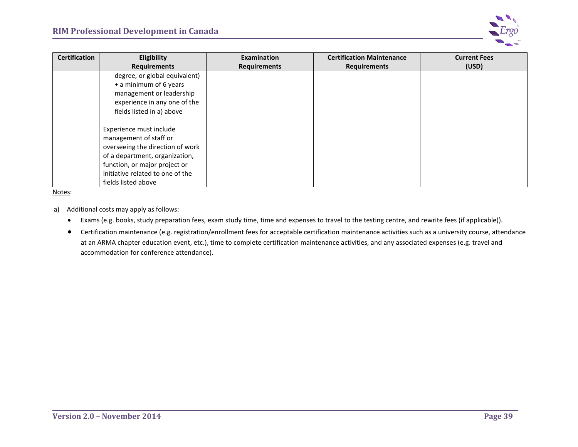

| <b>Certification</b> | <b>Eligibility</b>               | Examination         | <b>Certification Maintenance</b> | <b>Current Fees</b> |
|----------------------|----------------------------------|---------------------|----------------------------------|---------------------|
|                      | <b>Requirements</b>              | <b>Requirements</b> | <b>Requirements</b>              | (USD)               |
|                      | degree, or global equivalent)    |                     |                                  |                     |
|                      | + a minimum of 6 years           |                     |                                  |                     |
|                      | management or leadership         |                     |                                  |                     |
|                      | experience in any one of the     |                     |                                  |                     |
|                      | fields listed in a) above        |                     |                                  |                     |
|                      |                                  |                     |                                  |                     |
|                      | Experience must include          |                     |                                  |                     |
|                      | management of staff or           |                     |                                  |                     |
|                      | overseeing the direction of work |                     |                                  |                     |
|                      | of a department, organization,   |                     |                                  |                     |
|                      | function, or major project or    |                     |                                  |                     |
|                      | initiative related to one of the |                     |                                  |                     |
|                      | fields listed above              |                     |                                  |                     |

Notes:

- a) Additional costs may apply as follows:
	- Exams (e.g. books, study preparation fees, exam study time, time and expenses to travel to the testing centre, and rewrite fees (if applicable)).
	- Certification maintenance (e.g. registration/enrollment fees for acceptable certification maintenance activities such as a university course, attendance at an ARMA chapter education event, etc.), time to complete certification maintenance activities, and any associated expenses (e.g. travel and accommodation for conference attendance).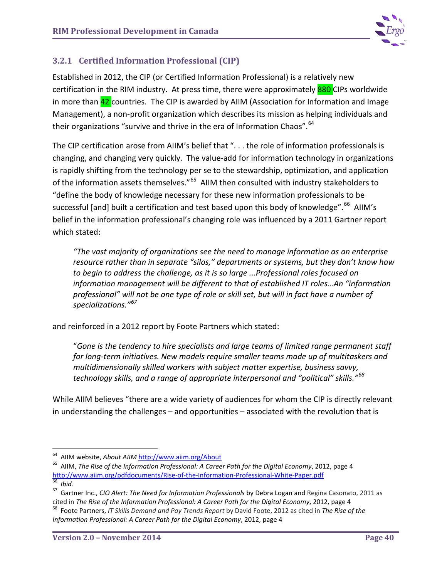

## **3.2.1 Certified Information Professional (CIP)**

Established in 2012, the CIP (or Certified Information Professional) is a relatively new certification in the RIM industry. At press time, there were approximately 880 CIPs worldwide in more than **42** countries. The CIP is awarded by AIIM (Association for Information and Image Management), a non-profit organization which describes its mission as helping individuals and their organizations "survive and thrive in the era of Information Chaos".<sup>[64](#page-44-0)</sup>

The CIP certification arose from AIIM's belief that ". . . the role of information professionals is changing, and changing very quickly. The value-add for information technology in organizations is rapidly shifting from the technology per se to the stewardship, optimization, and application of the information assets themselves."<sup>[65](#page-44-1)</sup> AIIM then consulted with industry stakeholders to "define the body of knowledge necessary for these new information professionals to be successful [and] built a certification and test based upon this body of knowledge".<sup>66</sup> AIIM's belief in the information professional's changing role was influenced by a 2011 Gartner report which stated:

*"The vast majority of organizations see the need to manage information as an enterprise resource rather than in separate "silos," departments or systems, but they don't know how to begin to address the challenge, as it is so large ...Professional roles focused on information management will be different to that of established IT roles…An "information professional" will not be one type of role or skill set, but will in fact have a number of specializations."[67](#page-44-3)*

and reinforced in a 2012 report by Foote Partners which stated:

"*Gone is the tendency to hire specialists and large teams of limited range permanent staff for long-term initiatives. New models require smaller teams made up of multitaskers and multidimensionally skilled workers with subject matter expertise, business savvy, technology skills, and a range of appropriate interpersonal and "political" skills."[68](#page-44-4)*

While AIIM believes "there are a wide variety of audiences for whom the CIP is directly relevant in understanding the challenges – and opportunities – associated with the revolution that is

<span id="page-44-1"></span><span id="page-44-0"></span><sup>&</sup>lt;sup>64</sup> AIIM website, *About AIIM* http://www.aiim.org/About<br><sup>65</sup> AIIM, *The Rise of the Information Professional: A Career Path for the Digital Economy*, 2012, page 4<br>http://www.aiim.org/pdfdocuments/Rise-of-the-Information-

<span id="page-44-3"></span><span id="page-44-2"></span><sup>&</sup>lt;sup>66</sup> Ibid.<br><sup>67</sup> Gartner Inc., *CIO Alert: The Need for Information Professionals* by Debra Logan and Regina Casonato, 2011 as<br>cited in *The Rise of the Information Professional: A Career Path for the Digital Economy, 2012,* 

<span id="page-44-4"></span><sup>&</sup>lt;sup>68</sup> Foote Partners. IT Skills Demand and Pay Trends Report by David Foote, 2012 as cited in The Rise of the *Information Professional: A Career Path for the Digital Economy*, 2012, page 4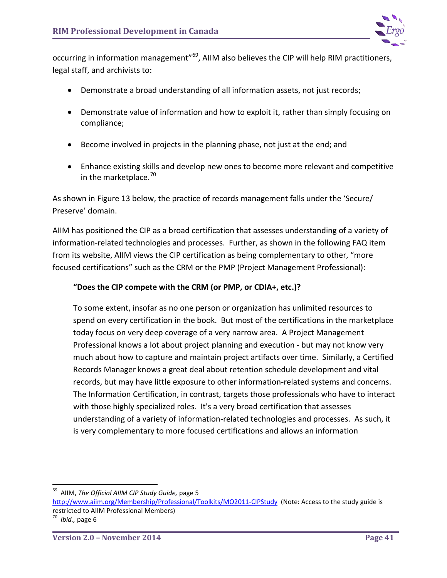

occurring in information management"<sup>69</sup>, AIIM also believes the CIP will help RIM practitioners, legal staff, and archivists to:

- Demonstrate a broad understanding of all information assets, not just records;
- Demonstrate value of information and how to exploit it, rather than simply focusing on compliance;
- Become involved in projects in the planning phase, not just at the end; and
- Enhance existing skills and develop new ones to become more relevant and competitive in the marketplace.<sup>[70](#page-45-1)</sup>

As shown in Figure 13 below, the practice of records management falls under the 'Secure/ Preserve' domain.

AIIM has positioned the CIP as a broad certification that assesses understanding of a variety of information-related technologies and processes. Further, as shown in the following FAQ item from its website, AIIM views the CIP certification as being complementary to other, "more focused certifications" such as the CRM or the PMP (Project Management Professional):

## **"Does the CIP compete with the CRM (or PMP, or CDIA+, etc.)?**

To some extent, insofar as no one person or organization has unlimited resources to spend on every certification in the book. But most of the certifications in the marketplace today focus on very deep coverage of a very narrow area. A Project Management Professional knows a lot about project planning and execution - but may not know very much about how to capture and maintain project artifacts over time. Similarly, a Certified Records Manager knows a great deal about retention schedule development and vital records, but may have little exposure to other information-related systems and concerns. The Information Certification, in contrast, targets those professionals who have to interact with those highly specialized roles. It's a very broad certification that assesses understanding of a variety of information-related technologies and processes. As such, it is very complementary to more focused certifications and allows an information

<span id="page-45-0"></span> <sup>69</sup> AIIM, *The Official AIIM CIP Study Guide,* page 5

<http://www.aiim.org/Membership/Professional/Toolkits/MO2011-CIPStudy>(Note: Access to the study guide is restricted to AIIM Professional Members)

<span id="page-45-1"></span><sup>70</sup> *Ibid.,* page 6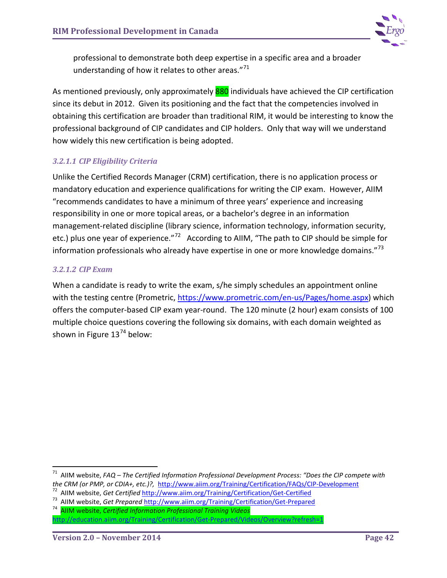

professional to demonstrate both deep expertise in a specific area and a broader understanding of how it relates to other areas."<sup>[71](#page-46-0)</sup>

As mentioned previously, only approximately 880 individuals have achieved the CIP certification since its debut in 2012. Given its positioning and the fact that the competencies involved in obtaining this certification are broader than traditional RIM, it would be interesting to know the professional background of CIP candidates and CIP holders. Only that way will we understand how widely this new certification is being adopted.

### *3.2.1.1 CIP Eligibility Criteria*

Unlike the Certified Records Manager (CRM) certification, there is no application process or mandatory education and experience qualifications for writing the CIP exam. However, AIIM "recommends candidates to have a minimum of three years' experience and increasing responsibility in one or more topical areas, or a bachelor's degree in an information management-related discipline (library science, information technology, information security, etc.) plus one year of experience."<sup>72</sup> According to AIIM, "The path to CIP should be simple for information professionals who already have expertise in one or more knowledge domains." $73$ 

### *3.2.1.2 CIP Exam*

When a candidate is ready to write the exam, s/he simply schedules an appointment online with the testing centre (Prometric, [https://www.prometric.com/en-us/Pages/home.aspx\)](https://www.prometric.com/en-us/Pages/home.aspx) which offers the computer-based CIP exam year-round. The 120 minute (2 hour) exam consists of 100 multiple choice questions covering the following six domains, with each domain weighted as shown in Figure  $13^{74}$  $13^{74}$  $13^{74}$  below:

<span id="page-46-0"></span> <sup>71</sup> AIIM website, *FAQ – The Certified Information Professional Development Process: "Does the CIP compete with*  the CRM (or PMP, or CDIA+, etc.)?, http://www.aiim.org/Training/Certification/FAQs/CIP-Development<br><sup>72</sup> AIIM website, Get Certified http://www.aiim.org/Training/Certification/Get-Certified<br><sup>73</sup> AIIM website, Get Prepared h

<span id="page-46-1"></span>

<span id="page-46-2"></span>

<span id="page-46-3"></span>

<http://education.aiim.org/Training/Certification/Get-Prepared/Videos/Overview?refresh=1>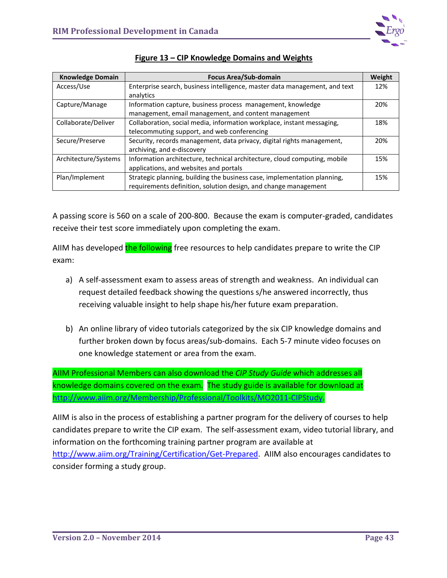

| <b>Knowledge Domain</b> | <b>Focus Area/Sub-domain</b>                                               | Weight |
|-------------------------|----------------------------------------------------------------------------|--------|
| Access/Use              | Enterprise search, business intelligence, master data management, and text | 12%    |
|                         | analytics                                                                  |        |
| Capture/Manage          | Information capture, business process management, knowledge                | 20%    |
|                         | management, email management, and content management                       |        |
| Collaborate/Deliver     | Collaboration, social media, information workplace, instant messaging,     |        |
|                         | telecommuting support, and web conferencing                                |        |
| Secure/Preserve         | Security, records management, data privacy, digital rights management,     | 20%    |
|                         | archiving, and e-discovery                                                 |        |
| Architecture/Systems    | Information architecture, technical architecture, cloud computing, mobile  | 15%    |
|                         | applications, and websites and portals                                     |        |
| Plan/Implement          | Strategic planning, building the business case, implementation planning,   | 15%    |
|                         | requirements definition, solution design, and change management            |        |

A passing score is 560 on a scale of 200-800. Because the exam is computer-graded, candidates receive their test score immediately upon completing the exam.

AIIM has developed the following free resources to help candidates prepare to write the CIP exam:

- a) A self-assessment exam to assess areas of strength and weakness. An individual can request detailed feedback showing the questions s/he answered incorrectly, thus receiving valuable insight to help shape his/her future exam preparation.
- b) An online library of video tutorials categorized by the six CIP knowledge domains and further broken down by focus areas/sub-domains. Each 5-7 minute video focuses on one knowledge statement or area from the exam.

AIIM Professional Members can also download the *CIP Study Guide* which addresses all knowledge domains covered on the exam. The study guide is available for download at [http://www.aiim.org/Membership/Professional/Toolkits/MO2011-CIPStudy.](http://www.aiim.org/Membership/Professional/Toolkits/MO2011-CIPStudy)

AIIM is also in the process of establishing a partner program for the delivery of courses to help candidates prepare to write the CIP exam. The self-assessment exam, video tutorial library, and information on the forthcoming training partner program are available at

[http://www.aiim.org/Training/Certification/Get-Prepared.](http://www.aiim.org/Training/Certification/Get-Prepared) AIIM also encourages candidates to consider forming a study group.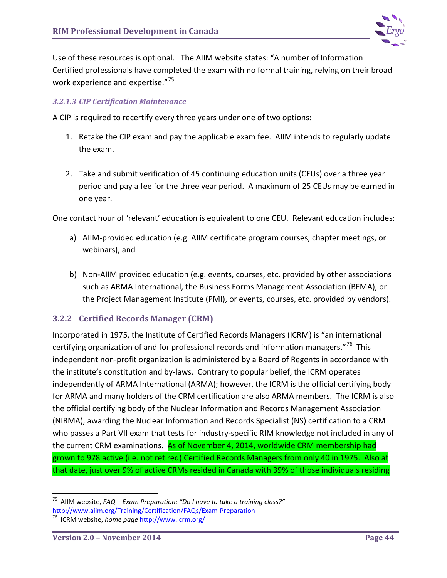

Use of these resources is optional. The AIIM website states: "A number of Information Certified professionals have completed the exam with no formal training, relying on their broad work experience and expertise."<sup>[75](#page-48-0)</sup>

### *3.2.1.3 CIP Certification Maintenance*

A CIP is required to recertify every three years under one of two options:

- 1. Retake the CIP exam and pay the applicable exam fee. AIIM intends to regularly update the exam.
- 2. Take and submit verification of 45 continuing education units (CEUs) over a three year period and pay a fee for the three year period. A maximum of 25 CEUs may be earned in one year.

One contact hour of 'relevant' education is equivalent to one CEU. Relevant education includes:

- a) AIIM-provided education (e.g. AIIM certificate program courses, chapter meetings, or webinars), and
- b) Non-AIIM provided education (e.g. events, courses, etc. provided by other associations such as ARMA International, the Business Forms Management Association (BFMA), or the Project Management Institute (PMI), or events, courses, etc. provided by vendors).

## **3.2.2 Certified Records Manager (CRM)**

Incorporated in 1975, the Institute of Certified Records Managers (ICRM) is "an international certifying organization of and for professional records and information managers."<sup>[76](#page-48-1)</sup> This independent non-profit organization is administered by a Board of Regents in accordance with the institute's constitution and by-laws. Contrary to popular belief, the ICRM operates independently of ARMA International (ARMA); however, the ICRM is the official certifying body for ARMA and many holders of the CRM certification are also ARMA members. The ICRM is also the official certifying body of the Nuclear Information and Records Management Association (NIRMA), awarding the Nuclear Information and Records Specialist (NS) certification to a CRM who passes a Part VII exam that tests for industry-specific RIM knowledge not included in any of the current CRM examinations. As of November 4, 2014, worldwide CRM membership had grown to 978 active (i.e. not retired) Certified Records Managers from only 40 in 1975. Also at that date, just over 9% of active CRMs resided in Canada with 39% of those individuals residing

<span id="page-48-0"></span> <sup>75</sup> AIIM website, *FAQ – Exam Preparation: "Do I have to take a training class?"* [http://www.aiim.org/Training/Certification/FAQs/Exam-Preparation 76](http://www.aiim.org/Training/Certification/FAQs/Exam-Preparation) ICRM website, *home page* http://www.icrm.org/

<span id="page-48-1"></span>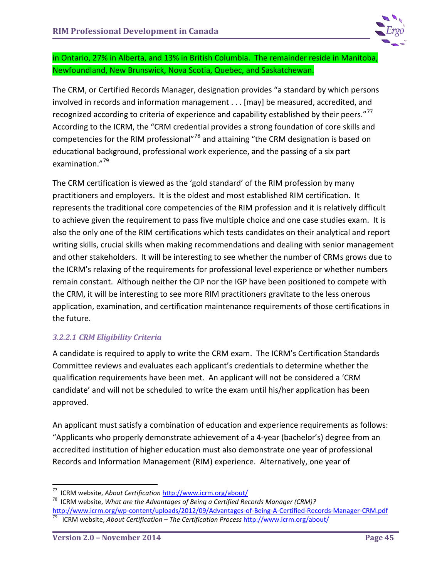

in Ontario, 27% in Alberta, and 13% in British Columbia. The remainder reside in Manitoba, Newfoundland, New Brunswick, Nova Scotia, Quebec, and Saskatchewan.

The CRM, or Certified Records Manager, designation provides "a standard by which persons involved in records and information management . . . [may] be measured, accredited, and recognized according to criteria of experience and capability established by their peers."<sup>77</sup> According to the ICRM, the "CRM credential provides a strong foundation of core skills and competencies for the RIM professional"<sup>[78](#page-49-1)</sup> and attaining "the CRM designation is based on educational background, professional work experience, and the passing of a six part examination."<sup>[79](#page-49-2)</sup>

The CRM certification is viewed as the 'gold standard' of the RIM profession by many practitioners and employers. It is the oldest and most established RIM certification. It represents the traditional core competencies of the RIM profession and it is relatively difficult to achieve given the requirement to pass five multiple choice and one case studies exam. It is also the only one of the RIM certifications which tests candidates on their analytical and report writing skills, crucial skills when making recommendations and dealing with senior management and other stakeholders. It will be interesting to see whether the number of CRMs grows due to the ICRM's relaxing of the requirements for professional level experience or whether numbers remain constant. Although neither the CIP nor the IGP have been positioned to compete with the CRM, it will be interesting to see more RIM practitioners gravitate to the less onerous application, examination, and certification maintenance requirements of those certifications in the future.

## *3.2.2.1 CRM Eligibility Criteria*

A candidate is required to apply to write the CRM exam. The ICRM's Certification Standards Committee reviews and evaluates each applicant's credentials to determine whether the qualification requirements have been met. An applicant will not be considered a 'CRM candidate' and will not be scheduled to write the exam until his/her application has been approved.

An applicant must satisfy a combination of education and experience requirements as follows: "Applicants who properly demonstrate achievement of a 4-year (bachelor's) degree from an accredited institution of higher education must also demonstrate one year of professional Records and Information Management (RIM) experience. Alternatively, one year of

<span id="page-49-1"></span><span id="page-49-0"></span><sup>&</sup>lt;sup>77</sup> ICRM website, *About Certification* <http://www.icrm.org/about/><br><sup>78</sup> ICRM website, *What are the Advantages of Being a Certified Records Manager (CRM)?* <http://www.icrm.org/wp-content/uploads/2012/09/Advantages-of-Being-A-Certified-Records-Manager-CRM.pdf> 79 ICRM website, *About Certification – The Certification Process* <http://www.icrm.org/about/>

<span id="page-49-2"></span>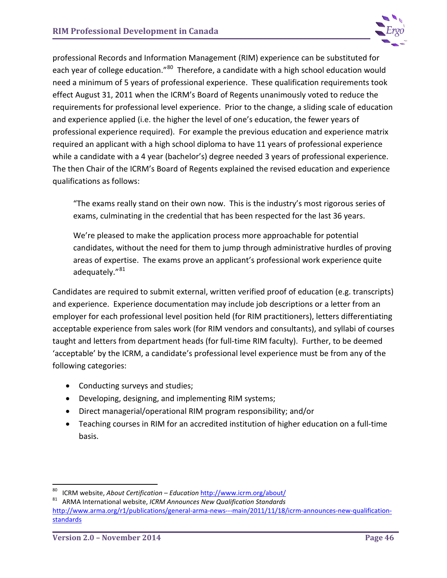

professional Records and Information Management (RIM) experience can be substituted for each year of college education."<sup>[80](#page-50-0)</sup> Therefore, a candidate with a high school education would need a minimum of 5 years of professional experience. These qualification requirements took effect August 31, 2011 when the ICRM's Board of Regents unanimously voted to reduce the requirements for professional level experience. Prior to the change, a sliding scale of education and experience applied (i.e. the higher the level of one's education, the fewer years of professional experience required). For example the previous education and experience matrix required an applicant with a high school diploma to have 11 years of professional experience while a candidate with a 4 year (bachelor's) degree needed 3 years of professional experience. The then Chair of the ICRM's Board of Regents explained the revised education and experience qualifications as follows:

"The exams really stand on their own now. This is the industry's most rigorous series of exams, culminating in the credential that has been respected for the last 36 years.

We're pleased to make the application process more approachable for potential candidates, without the need for them to jump through administrative hurdles of proving areas of expertise. The exams prove an applicant's professional work experience quite adequately."<sup>[81](#page-50-1)</sup>

Candidates are required to submit external, written verified proof of education (e.g. transcripts) and experience. Experience documentation may include job descriptions or a letter from an employer for each professional level position held (for RIM practitioners), letters differentiating acceptable experience from sales work (for RIM vendors and consultants), and syllabi of courses taught and letters from department heads (for full-time RIM faculty). Further, to be deemed 'acceptable' by the ICRM, a candidate's professional level experience must be from any of the following categories:

- Conducting surveys and studies;
- Developing, designing, and implementing RIM systems;
- Direct managerial/operational RIM program responsibility; and/or
- Teaching courses in RIM for an accredited institution of higher education on a full-time basis.

<span id="page-50-1"></span><span id="page-50-0"></span> <sup>80</sup> ICRM website, *About Certification – Education* <http://www.icrm.org/about/> 81 ARMA International website, *ICRM Announces New Qualification Standards* [http://www.arma.org/r1/publications/general-arma-news---main/2011/11/18/icrm-announces-new-qualification](http://www.arma.org/r1/publications/general-arma-news---main/2011/11/18/icrm-announces-new-qualification-standards)[standards](http://www.arma.org/r1/publications/general-arma-news---main/2011/11/18/icrm-announces-new-qualification-standards)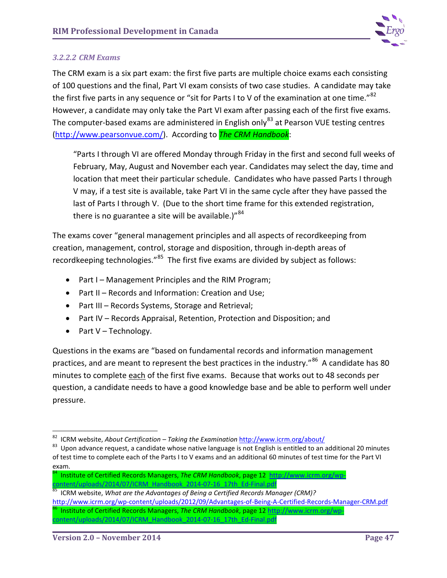

### *3.2.2.2 CRM Exams*

The CRM exam is a six part exam: the first five parts are multiple choice exams each consisting of 100 questions and the final, Part VI exam consists of two case studies. A candidate may take the first five parts in any sequence or "sit for Parts I to V of the examination at one time."<sup>[82](#page-51-0)</sup> However, a candidate may only take the Part VI exam after passing each of the first five exams. The computer-based exams are administered in English only<sup>[83](#page-51-1)</sup> at Pearson VUE testing centres [\(http://www.pearsonvue.com/\)](http://www.pearsonvue.com/). According to *The CRM Handbook*:

"Parts I through VI are offered Monday through Friday in the first and second full weeks of February, May, August and November each year. Candidates may select the day, time and location that meet their particular schedule. Candidates who have passed Parts I through V may, if a test site is available, take Part VI in the same cycle after they have passed the last of Parts I through V. (Due to the short time frame for this extended registration, there is no guarantee a site will be available.)" $84$ 

The exams cover "general management principles and all aspects of recordkeeping from creation, management, control, storage and disposition, through in-depth areas of recordkeeping technologies." $85$  The first five exams are divided by subject as follows:

- Part I Management Principles and the RIM Program;
- Part II Records and Information: Creation and Use;
- Part III Records Systems, Storage and Retrieval;
- Part IV Records Appraisal, Retention, Protection and Disposition; and
- Part V Technology.

Questions in the exams are "based on fundamental records and information management practices, and are meant to represent the best practices in the industry."<sup>86</sup> A candidate has 80 minutes to complete each of the first five exams. Because that works out to 48 seconds per question, a candidate needs to have a good knowledge base and be able to perform well under pressure.

<span id="page-51-2"></span>84 Institute of Certified Records Managers, *The CRM Handbook*, page 12 [http://www.icrm.org/wp](http://www.icrm.org/wp-content/uploads/2014/07/ICRM_Handbook_2014-07-16_17th_Ed-Final.pdf)[content/uploads/2014/07/ICRM\\_Handbook\\_2014-07-16\\_17th\\_Ed-Final.pdf](http://www.icrm.org/wp-content/uploads/2014/07/ICRM_Handbook_2014-07-16_17th_Ed-Final.pdf)<br><sup>5</sup> ICRM website, *What are the Advantages of Being a Certified Records Manager (CRM)?* 

<span id="page-51-3"></span><http://www.icrm.org/wp-content/uploads/2012/09/Advantages-of-Being-A-Certified-Records-Manager-CRM.pdf> 86 Institute of Certified Records Managers, *The CRM Handbook*, page 12 [http://www.icrm.org/wp-](http://www.icrm.org/wp-content/uploads/2014/07/ICRM_Handbook_2014-07-16_17th_Ed-Final.pdf)

<span id="page-51-1"></span><span id="page-51-0"></span><sup>&</sup>lt;sup>82</sup> ICRM website, *About Certification – Taking the Examination* <http://www.icrm.org/about/><br><sup>83</sup> Upon advance request, a candidate whose native language is not English is entitled to an additional 20 minutes of test time to complete each of the Parts I to V exams and an additional 60 minutes of test time for the Part VI exam.

<span id="page-51-4"></span>[content/uploads/2014/07/ICRM\\_Handbook\\_2014-07-16\\_17th\\_Ed-Final.pdf](http://www.icrm.org/wp-content/uploads/2014/07/ICRM_Handbook_2014-07-16_17th_Ed-Final.pdf)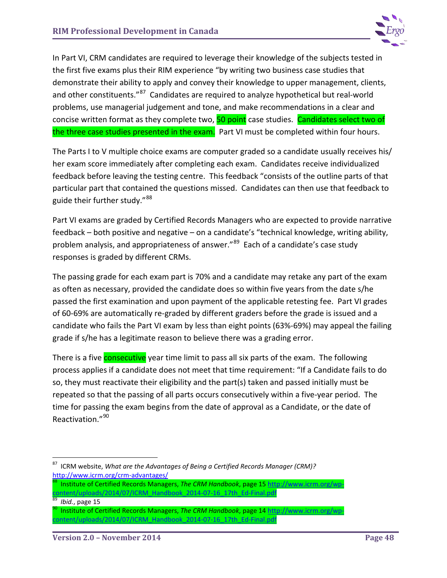

In Part VI, CRM candidates are required to leverage their knowledge of the subjects tested in the first five exams plus their RIM experience "by writing two business case studies that demonstrate their ability to apply and convey their knowledge to upper management, clients, and other constituents."<sup>87</sup> Candidates are required to analyze hypothetical but real-world problems, use managerial judgement and tone, and make recommendations in a clear and concise written format as they complete two, 50 point case studies. Candidates select two of the three case studies presented in the exam. Part VI must be completed within four hours.

The Parts I to V multiple choice exams are computer graded so a candidate usually receives his/ her exam score immediately after completing each exam. Candidates receive individualized feedback before leaving the testing centre. This feedback "consists of the outline parts of that particular part that contained the questions missed. Candidates can then use that feedback to guide their further study."[88](#page-52-1)

Part VI exams are graded by Certified Records Managers who are expected to provide narrative feedback – both positive and negative – on a candidate's "technical knowledge, writing ability, problem analysis, and appropriateness of answer."<sup>[89](#page-52-2)</sup> Each of a candidate's case study responses is graded by different CRMs.

The passing grade for each exam part is 70% and a candidate may retake any part of the exam as often as necessary, provided the candidate does so within five years from the date s/he passed the first examination and upon payment of the applicable retesting fee. Part VI grades of 60-69% are automatically re-graded by different graders before the grade is issued and a candidate who fails the Part VI exam by less than eight points (63%-69%) may appeal the failing grade if s/he has a legitimate reason to believe there was a grading error.

There is a five **consecutive** year time limit to pass all six parts of the exam. The following process applies if a candidate does not meet that time requirement: "If a Candidate fails to do so, they must reactivate their eligibility and the part(s) taken and passed initially must be repeated so that the passing of all parts occurs consecutively within a five-year period. The time for passing the exam begins from the date of approval as a Candidate, or the date of Reactivation."[90](#page-52-3)

- <span id="page-52-0"></span> 87 ICRM website, *What are the Advantages of Being a Certified Records Manager (CRM)?* <http://www.icrm.org/crm-advantages/><br><sup>88</sup> Institute of Certified Records Managers, *The CRM Handbook*, page 15 [http://www.icrm.org/wp-](http://www.icrm.org/wp-content/uploads/2014/07/ICRM_Handbook_2014-07-16_17th_Ed-Final.pdf)
- <span id="page-52-1"></span>ontent/uploads/2014/07/ICRM\_Handbook\_2014-07-16\_17th\_Ed-Final.pdf<br>| *Ibid.*, page 15<br>| Institute of Certified Records Managers, *The CRM Handbook*, page 14 [http://www.icrm.org/wp-](http://www.icrm.org/wp-content/uploads/2014/07/ICRM_Handbook_2014-07-16_17th_Ed-Final.pdf)

<span id="page-52-2"></span>

<span id="page-52-3"></span>[content/uploads/2014/07/ICRM\\_Handbook\\_2014-07-16\\_17th\\_Ed-Final.pdf](http://www.icrm.org/wp-content/uploads/2014/07/ICRM_Handbook_2014-07-16_17th_Ed-Final.pdf)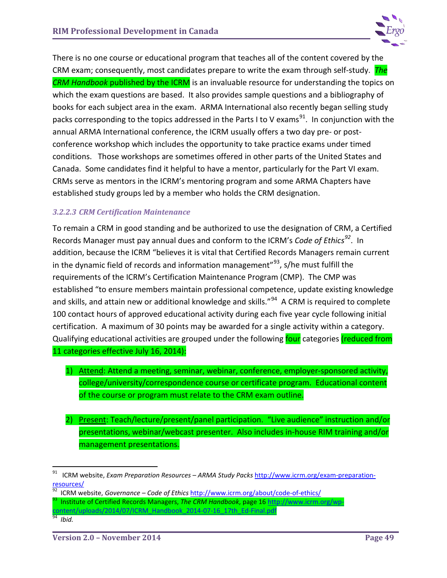

There is no one course or educational program that teaches all of the content covered by the CRM exam; consequently, most candidates prepare to write the exam through self-study. *The CRM Handbook* published by the ICRM is an invaluable resource for understanding the topics on which the exam questions are based. It also provides sample questions and a bibliography of books for each subject area in the exam. ARMA International also recently began selling study packs corresponding to the topics addressed in the Parts I to V exams<sup>[91](#page-53-0)</sup>. In conjunction with the annual ARMA International conference, the ICRM usually offers a two day pre- or postconference workshop which includes the opportunity to take practice exams under timed conditions. Those workshops are sometimes offered in other parts of the United States and Canada. Some candidates find it helpful to have a mentor, particularly for the Part VI exam. CRMs serve as mentors in the ICRM's mentoring program and some ARMA Chapters have established study groups led by a member who holds the CRM designation.

#### *3.2.2.3 CRM Certification Maintenance*

To remain a CRM in good standing and be authorized to use the designation of CRM, a Certified Records Manager must pay annual dues and conform to the ICRM's *Code of Ethics[92](#page-53-1)*. In addition, because the ICRM "believes it is vital that Certified Records Managers remain current in the dynamic field of records and information management"<sup>[93](#page-53-2)</sup>, s/he must fulfill the requirements of the ICRM's Certification Maintenance Program (CMP). The CMP was established "to ensure members maintain professional competence, update existing knowledge and skills, and attain new or additional knowledge and skills."<sup>94</sup> A CRM is required to complete 100 contact hours of approved educational activity during each five year cycle following initial certification. A maximum of 30 points may be awarded for a single activity within a category. Qualifying educational activities are grouped under the following four categories (reduced from 11 categories effective July 16, 2014):

- 1) Attend: Attend a meeting, seminar, webinar, conference, employer-sponsored activity, college/university/correspondence course or certificate program. Educational content of the course or program must relate to the CRM exam outline.
- 2) Present: Teach/lecture/present/panel participation. "Live audience" instruction and/or presentations, webinar/webcast presenter. Also includes in-house RIM training and/or management presentations.

- 
- <span id="page-53-2"></span><span id="page-53-1"></span>92 ICRM website, *Governance – Code of Ethics* <http://www.icrm.org/about/code-of-ethics/> 93 Institute of Certified Records Managers, *The CRM Handbook*, page 16 [http://www.icrm.org/wp](http://www.icrm.org/wp-content/uploads/2014/07/ICRM_Handbook_2014-07-16_17th_Ed-Final.pdf)[content/uploads/2014/07/ICRM\\_Handbook\\_2014-07-16\\_17th\\_Ed-Final.pdf 94](http://www.icrm.org/wp-content/uploads/2014/07/ICRM_Handbook_2014-07-16_17th_Ed-Final.pdf) *Ibid.*

<span id="page-53-0"></span> <sup>91</sup> ICRM website, *Exam Preparation Resources – ARMA Study Packs* [http://www.icrm.org/exam-preparation](http://www.icrm.org/exam-preparation-resources/)[resources/](http://www.icrm.org/exam-preparation-resources/)

<span id="page-53-3"></span>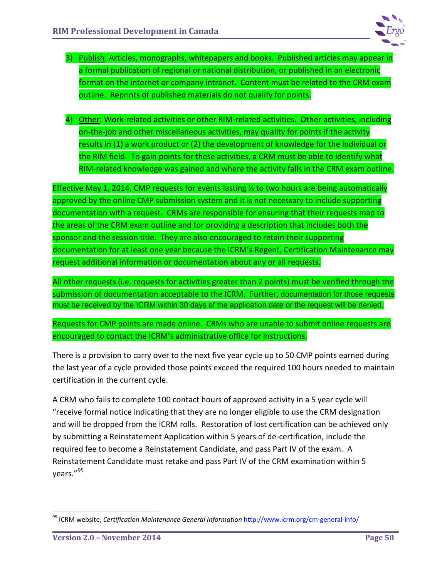

- 3) Publish: Articles, monographs, whitepapers and books. Published articles may appear in a formal publication of regional or national distribution, or published in an electronic format on the internet or company intranet. Content must be related to the CRM exam outline. Reprints of published materials do not qualify for points.
- 4) Other: Work-related activities or other RIM-related activities. Other activities, including on-the-job and other miscellaneous activities, may quality for points if the activity results in (1) a work product or (2) the development of knowledge for the individual or the RIM field. To gain points for these activities, a CRM must be able to identify what RIM-related knowledge was gained and where the activity falls in the CRM exam outline.

Effective May 1, 2014, CMP requests for events lasting 1/2 to two hours are being automatically approved by the online CMP submission system and it is not necessary to include supporting documentation with a request. CRMs are responsible for ensuring that their requests map to the areas of the CRM exam outline and for providing a description that includes both the sponsor and the session title. They are also encouraged to retain their supporting documentation for at least one year because the ICRM's Regent, Certification Maintenance may request additional information or documentation about any or all requests.

All other requests (i.e. requests for activities greater than 2 points) must be verified through the submission of documentation acceptable to the ICRM. Further, documentation for those requests must be received by the ICRM within 30 days of the application date or the request will be denied.

Requests for CMP points are made online. CRMs who are unable to submit online requests are encouraged to contact the ICRM's administrative office for instructions.

There is a provision to carry over to the next five year cycle up to 50 CMP points earned during the last year of a cycle provided those points exceed the required 100 hours needed to maintain certification in the current cycle.

A CRM who fails to complete 100 contact hours of approved activity in a 5 year cycle will "receive formal notice indicating that they are no longer eligible to use the CRM designation and will be dropped from the ICRM rolls. Restoration of lost certification can be achieved only by submitting a Reinstatement Application within 5 years of de-certification, include the required fee to become a Reinstatement Candidate, and pass Part IV of the exam. A Reinstatement Candidate must retake and pass Part IV of the CRM examination within 5 years."[95](#page-54-0)

<span id="page-54-0"></span> <sup>95</sup> ICRM website, *Certification Maintenance General Information* <http://www.icrm.org/cm-general-info/>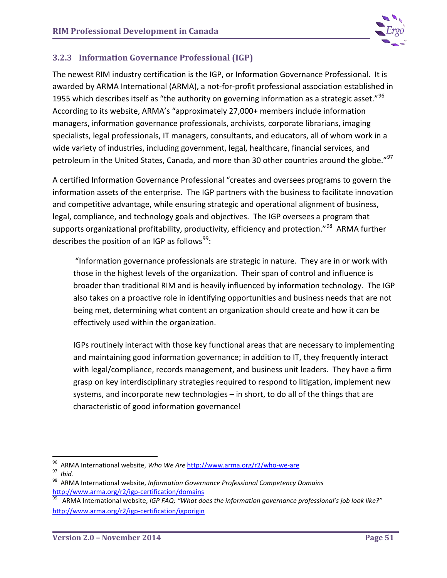

## **3.2.3 Information Governance Professional (IGP)**

The newest RIM industry certification is the IGP, or Information Governance Professional. It is awarded by ARMA International (ARMA), a not-for-profit professional association established in 1955 which describes itself as "the authority on governing information as a strategic asset." $96$ According to its website, ARMA's "approximately 27,000+ members include information managers, information governance professionals, archivists, corporate librarians, imaging specialists, legal professionals, IT managers, consultants, and educators, all of whom work in a wide variety of industries, including government, legal, healthcare, financial services, and petroleum in the United States, Canada, and more than 30 other countries around the globe."<sup>[97](#page-55-1)</sup>

A certified Information Governance Professional "creates and oversees programs to govern the information assets of the enterprise. The IGP partners with the business to facilitate innovation and competitive advantage, while ensuring strategic and operational alignment of business, legal, compliance, and technology goals and objectives. The IGP oversees a program that supports organizational profitability, productivity, efficiency and protection."<sup>98</sup> ARMA further describes the position of an IGP as follows<sup>[99](#page-55-3)</sup>:

"Information governance professionals are strategic in nature. They are in or work with those in the highest levels of the organization. Their span of control and influence is broader than traditional RIM and is heavily influenced by information technology. The IGP also takes on a proactive role in identifying opportunities and business needs that are not being met, determining what content an organization should create and how it can be effectively used within the organization.

IGPs routinely interact with those key functional areas that are necessary to implementing and maintaining good information governance; in addition to IT, they frequently interact with legal/compliance, records management, and business unit leaders. They have a firm grasp on key interdisciplinary strategies required to respond to litigation, implement new systems, and incorporate new technologies – in short, to do all of the things that are characteristic of good information governance!

<span id="page-55-1"></span><span id="page-55-0"></span><sup>&</sup>lt;sup>96</sup> ARMA International website, *Who We Are* <http://www.arma.org/r2/who-we-are><br><sup>97</sup> Ibid.<br><sup>98</sup> ARMA International website, *Information Governance Professional Competency Domains* 

<span id="page-55-2"></span><http://www.arma.org/r2/igp-certification/domains><br><sup>99</sup> ARMA International website, *IGP FAQ: "What does the information governance professional's job look like?"* 

<span id="page-55-3"></span><http://www.arma.org/r2/igp-certification/igporigin>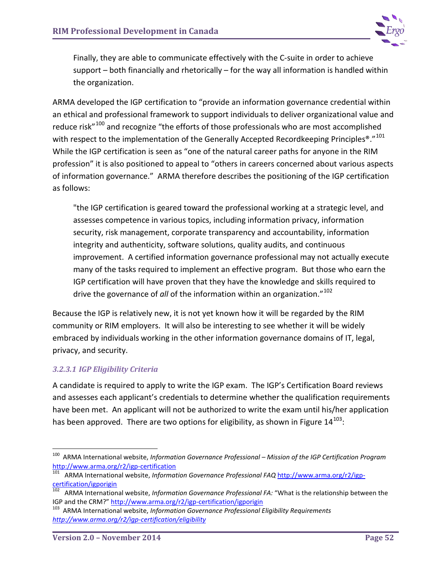

Finally, they are able to communicate effectively with the C-suite in order to achieve support – both financially and rhetorically – for the way all information is handled within the organization.

ARMA developed the IGP certification to "provide an information governance credential within an ethical and professional framework to support individuals to deliver organizational value and reduce risk"<sup>[100](#page-56-0)</sup> and recognize "the efforts of those professionals who are most accomplished with respect to the implementation of the Generally Accepted Recordkeeping Principles<sup>®</sup>."<sup>[101](#page-56-1)</sup> While the IGP certification is seen as "one of the natural career paths for anyone in the RIM profession" it is also positioned to appeal to "others in careers concerned about various aspects of information governance." ARMA therefore describes the positioning of the IGP certification as follows:

"the IGP certification is geared toward the professional working at a strategic level, and assesses competence in various topics, including information privacy, information security, risk management, corporate transparency and accountability, information integrity and authenticity, software solutions, quality audits, and continuous improvement. A certified information governance professional may not actually execute many of the tasks required to implement an effective program. But those who earn the IGP certification will have proven that they have the knowledge and skills required to drive the governance of *all* of the information within an organization."[102](#page-56-2) 

Because the IGP is relatively new, it is not yet known how it will be regarded by the RIM community or RIM employers. It will also be interesting to see whether it will be widely embraced by individuals working in the other information governance domains of IT, legal, privacy, and security.

## *3.2.3.1 IGP Eligibility Criteria*

A candidate is required to apply to write the IGP exam. The IGP's Certification Board reviews and assesses each applicant's credentials to determine whether the qualification requirements have been met. An applicant will not be authorized to write the exam until his/her application has been approved. There are two options for eligibility, as shown in Figure  $14^{103}$  $14^{103}$  $14^{103}$ :

<span id="page-56-0"></span> <sup>100</sup> ARMA International website, *Information Governance Professional – Mission of the IGP Certification Program*

<span id="page-56-1"></span>http://www.armationaltyperties.com<br>certification of *ARMA* International website, *Information Governance Professional FAQ* [http://www.arma.org/r2/igp](http://www.arma.org/r2/igp-certification/igporigin)**[certification/igporigin](http://www.arma.org/r2/igp-certification/igporigin)** 

<span id="page-56-2"></span><sup>&</sup>lt;sup>102</sup> ARMA International website, *Information Governance Professional FA:* "What is the relationship between the IGP and the CRM?" http://www.arma.org/r2/igp-certification/igporigin

<span id="page-56-3"></span><sup>&</sup>lt;sup>103</sup> ARMA International website, *Information Governance Professional Eligibility Requirements <http://www.arma.org/r2/igp-certification/eligibility>*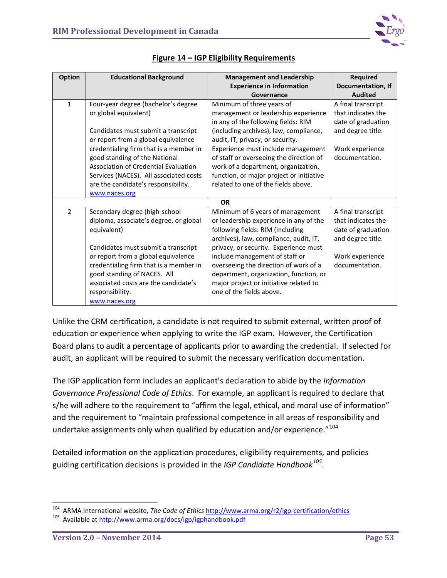

| <b>Option</b>  | <b>Educational Background</b>          | <b>Management and Leadership</b>         | <b>Required</b>          |
|----------------|----------------------------------------|------------------------------------------|--------------------------|
|                |                                        | <b>Experience in Information</b>         | <b>Documentation, If</b> |
|                |                                        | Governance                               | <b>Audited</b>           |
| $\mathbf{1}$   | Four-year degree (bachelor's degree    | Minimum of three years of                | A final transcript       |
|                | or global equivalent)                  | management or leadership experience      | that indicates the       |
|                |                                        | in any of the following fields: RIM      | date of graduation       |
|                | Candidates must submit a transcript    | (including archives), law, compliance,   | and degree title.        |
|                | or report from a global equivalence    | audit, IT, privacy, or security.         |                          |
|                | credentialing firm that is a member in | Experience must include management       | Work experience          |
|                | good standing of the National          | of staff or overseeing the direction of  | documentation.           |
|                | Association of Credential Evaluation   | work of a department, organization,      |                          |
|                | Services (NACES). All associated costs | function, or major project or initiative |                          |
|                | are the candidate's responsibility.    | related to one of the fields above.      |                          |
|                | www.naces.org                          |                                          |                          |
|                |                                        | <b>OR</b>                                |                          |
| $\overline{2}$ | Secondary degree (high-school          | Minimum of 6 years of management         | A final transcript       |
|                | diploma, associate's degree, or global | or leadership experience in any of the   | that indicates the       |
|                | equivalent)                            | following fields: RIM (including         | date of graduation       |
|                |                                        | archives), law, compliance, audit, IT,   | and degree title.        |
|                | Candidates must submit a transcript    | privacy, or security. Experience must    |                          |
|                | or report from a global equivalence    | include management of staff or           | Work experience          |
|                | credentialing firm that is a member in | overseeing the direction of work of a    | documentation.           |
|                | good standing of NACES. All            | department, organization, function, or   |                          |
|                | associated costs are the candidate's   | major project or initiative related to   |                          |
|                | responsibility.                        | one of the fields above.                 |                          |
|                | www.naces.org                          |                                          |                          |

## **Figure 14 – IGP Eligibility Requirements**

Unlike the CRM certification, a candidate is not required to submit external, written proof of education or experience when applying to write the IGP exam. However, the Certification Board plans to audit a percentage of applicants prior to awarding the credential. If selected for audit, an applicant will be required to submit the necessary verification documentation.

The IGP application form includes an applicant's declaration to abide by the *Information Governance Professional Code of Ethics*. For example, an applicant is required to declare that s/he will adhere to the requirement to "affirm the legal, ethical, and moral use of information" and the requirement to "maintain professional competence in all areas of responsibility and undertake assignments only when qualified by education and/or experience."<sup>[104](#page-57-0)</sup>

Detailed information on the application procedures, eligibility requirements, and policies guiding certification decisions is provided in the *IGP Candidate Handbook[105](#page-57-1)*.

<span id="page-57-0"></span><sup>&</sup>lt;sup>104</sup> ARMA International website, *The Code of Ethics* <http://www.arma.org/r2/igp-certification/ethics> 105 Available at<http://www.arma.org/docs/igp/igphandbook.pdf>

<span id="page-57-1"></span>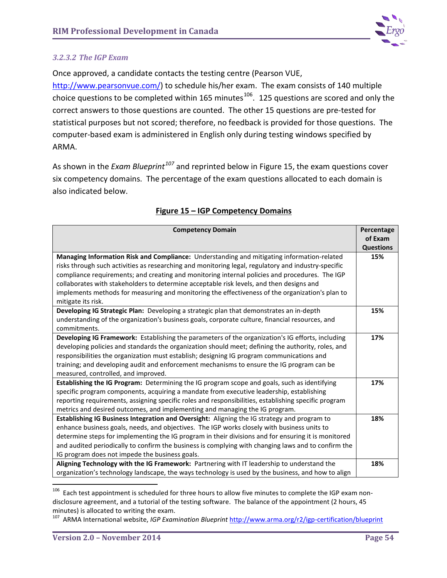

### *3.2.3.2 The IGP Exam*

Once approved, a candidate contacts the testing centre (Pearson VUE,

[http://www.pearsonvue.com/\)](http://www.pearsonvue.com/) to schedule his/her exam. The exam consists of 140 multiple choice questions to be completed within 165 minutes $106$ . 125 questions are scored and only the correct answers to those questions are counted. The other 15 questions are pre-tested for statistical purposes but not scored; therefore, no feedback is provided for those questions. The computer-based exam is administered in English only during testing windows specified by ARMA.

As shown in the *Exam Blueprint[107](#page-58-1)* and reprinted below in Figure 15, the exam questions cover six competency domains. The percentage of the exam questions allocated to each domain is also indicated below.

| <b>Competency Domain</b>                                                                                              | Percentage<br>of Exam |
|-----------------------------------------------------------------------------------------------------------------------|-----------------------|
|                                                                                                                       | <b>Questions</b>      |
| Managing Information Risk and Compliance: Understanding and mitigating information-related                            | 15%                   |
| risks through such activities as researching and monitoring legal, regulatory and industry-specific                   |                       |
| compliance requirements; and creating and monitoring internal policies and procedures. The IGP                        |                       |
| collaborates with stakeholders to determine acceptable risk levels, and then designs and                              |                       |
| implements methods for measuring and monitoring the effectiveness of the organization's plan to<br>mitigate its risk. |                       |
| Developing IG Strategic Plan: Developing a strategic plan that demonstrates an in-depth                               | 15%                   |
| understanding of the organization's business goals, corporate culture, financial resources, and                       |                       |
| commitments.                                                                                                          |                       |
| Developing IG Framework: Establishing the parameters of the organization's IG efforts, including                      | 17%                   |
| developing policies and standards the organization should meet; defining the authority, roles, and                    |                       |
| responsibilities the organization must establish; designing IG program communications and                             |                       |
| training; and developing audit and enforcement mechanisms to ensure the IG program can be                             |                       |
| measured, controlled, and improved.                                                                                   |                       |
| Establishing the IG Program: Determining the IG program scope and goals, such as identifying                          | 17%                   |
| specific program components, acquiring a mandate from executive leadership, establishing                              |                       |
| reporting requirements, assigning specific roles and responsibilities, establishing specific program                  |                       |
| metrics and desired outcomes, and implementing and managing the IG program.                                           |                       |
| Establishing IG Business Integration and Oversight: Aligning the IG strategy and program to                           | 18%                   |
| enhance business goals, needs, and objectives. The IGP works closely with business units to                           |                       |
| determine steps for implementing the IG program in their divisions and for ensuring it is monitored                   |                       |
| and audited periodically to confirm the business is complying with changing laws and to confirm the                   |                       |
| IG program does not impede the business goals.                                                                        |                       |
| Aligning Technology with the IG Framework: Partnering with IT leadership to understand the                            | 18%                   |
| organization's technology landscape, the ways technology is used by the business, and how to align                    |                       |

### **Figure 15 – IGP Competency Domains**

<span id="page-58-0"></span><sup>&</sup>lt;sup>106</sup> Each test appointment is scheduled for three hours to allow five minutes to complete the IGP exam nondisclosure agreement, and a tutorial of the testing software. The balance of the appointment (2 hours, 45 minutes) is allocated to writing the exam.<br><sup>107</sup> ARMA International website, *IGP Examination Blueprint* <http://www.arma.org/r2/igp-certification/blueprint>

<span id="page-58-1"></span>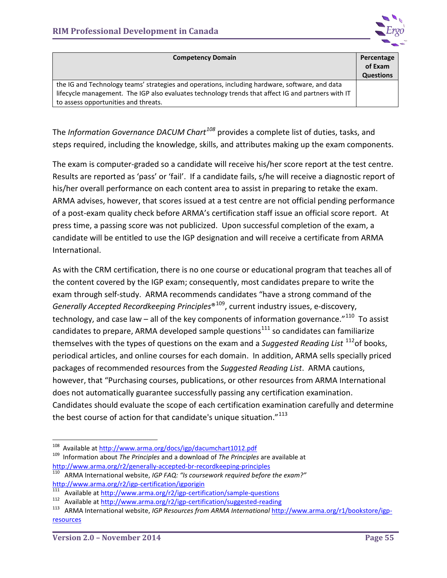

| <b>Competency Domain</b>                                                                           | Percentage       |
|----------------------------------------------------------------------------------------------------|------------------|
|                                                                                                    | of Exam          |
|                                                                                                    | <b>Questions</b> |
| the IG and Technology teams' strategies and operations, including hardware, software, and data     |                  |
| lifecycle management. The IGP also evaluates technology trends that affect IG and partners with IT |                  |
| to assess opportunities and threats.                                                               |                  |

The *Information Governance DACUM Chart[108](#page-59-0)* provides a complete list of duties, tasks, and steps required, including the knowledge, skills, and attributes making up the exam components.

The exam is computer-graded so a candidate will receive his/her score report at the test centre. Results are reported as 'pass' or 'fail'. If a candidate fails, s/he will receive a diagnostic report of his/her overall performance on each content area to assist in preparing to retake the exam. ARMA advises, however, that scores issued at a test centre are not official pending performance of a post-exam quality check before ARMA's certification staff issue an official score report. At press time, a passing score was not publicized. Upon successful completion of the exam, a candidate will be entitled to use the IGP designation and will receive a certificate from ARMA International.

As with the CRM certification, there is no one course or educational program that teaches all of the content covered by the IGP exam; consequently, most candidates prepare to write the exam through self-study. ARMA recommends candidates "have a strong command of the *Generally Accepted Recordkeeping Principles*®[109](#page-59-1), current industry issues, e-discovery, technology, and case law – all of the key components of information governance."<sup>110</sup> To assist candidates to prepare, ARMA developed sample questions<sup>[111](#page-59-3)</sup> so candidates can familiarize themselves with the types of questions on the exam and a *Suggested Reading List* [112o](#page-59-4)f books, periodical articles, and online courses for each domain. In addition, ARMA sells specially priced packages of recommended resources from the *Suggested Reading List*. ARMA cautions, however, that "Purchasing courses, publications, or other resources from ARMA International does not automatically guarantee successfully passing any certification examination. Candidates should evaluate the scope of each certification examination carefully and determine the best course of action for that candidate's unique situation."<sup>[113](#page-59-5)</sup>

<span id="page-59-0"></span> <sup>108</sup> Available at<http://www.arma.org/docs/igp/dacumchart1012.pdf> 109 Information about *The Principles* and a download of *The Principles* are available at

<span id="page-59-2"></span><span id="page-59-1"></span><http://www.arma.org/r2/generally-accepted-br-recordkeeping-principles><br>
<sup>110</sup> ARMA International website, *IGP FAQ: "Is coursework required before the exam?"*<br>
http://www.arma.org/r2/igp-certification/igporigin<br>
<sup>111</sup> Avail

<span id="page-59-5"></span>

<span id="page-59-4"></span><span id="page-59-3"></span><sup>&</sup>lt;sup>111</sup> Available at <http://www.arma.org/r2/igp-certification/sample-questions><br><sup>112</sup> Available at<http://www.arma.org/r2/igp-certification/suggested-reading><br><sup>113</sup> ARMA International website, *IGP Resources from ARMA Internat* [resources](http://www.arma.org/r1/bookstore/igp-resources)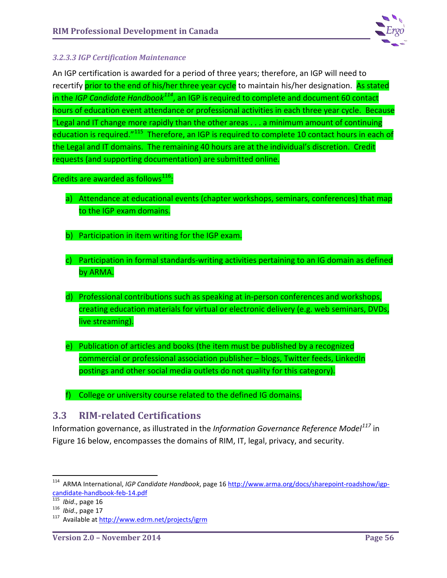

### *3.2.3.3 IGP Certification Maintenance*

An IGP certification is awarded for a period of three years; therefore, an IGP will need to recertify prior to the end of his/her three year cycle to maintain his/her designation. As stated in the *IGP Candidate Handbook[114](#page-60-0)*, an IGP is required to complete and document 60 contact hours of education event attendance or professional activities in each three year cycle. Because "Legal and IT change more rapidly than the other areas . . . a minimum amount of continuing education is required."<sup>[115](#page-60-1)</sup> Therefore, an IGP is required to complete 10 contact hours in each of the Legal and IT domains. The remaining 40 hours are at the individual's discretion. Credit requests (and supporting documentation) are submitted online.

## Credits are awarded as follows $^{116}$  $^{116}$  $^{116}$ :

- a) Attendance at educational events (chapter workshops, seminars, conferences) that map to the IGP exam domains.
- b) Participation in item writing for the IGP exam.
- c) Participation in formal standards-writing activities pertaining to an IG domain as defined by ARMA.
- d) Professional contributions such as speaking at in-person conferences and workshops, creating education materials for virtual or electronic delivery (e.g. web seminars, DVDs, live streaming).
- e) Publication of articles and books (the item must be published by a recognized commercial or professional association publisher – blogs, Twitter feeds, LinkedIn postings and other social media outlets do not quality for this category).
- f) College or university course related to the defined IG domains.

## **3.3 RIM-related Certifications**

Information governance, as illustrated in the *Information Governance Reference Model[117](#page-60-3)* in Figure 16 below, encompasses the domains of RIM, IT, legal, privacy, and security.

<span id="page-60-0"></span> <sup>114</sup> ARMA International, *IGP Candidate Handbook*, page 1[6 http://www.arma.org/docs/sharepoint-roadshow/igp](http://www.arma.org/docs/sharepoint-roadshow/igp-candidate-handbook-feb-14.pdf)candidate-handbook-feb-14.pdf<br>
<sup>115</sup> *Ibid.*, page 16<br>
<sup>116</sup> *Ibid.*, page 17<br>
<sup>117</sup> Available at<http://www.edrm.net/projects/igrm>

<span id="page-60-1"></span>

<span id="page-60-2"></span>

<span id="page-60-3"></span>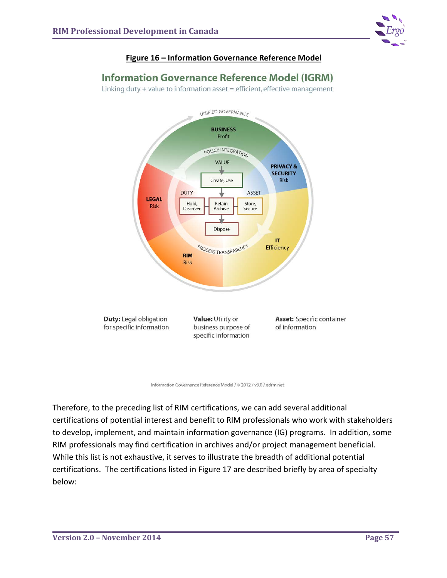

### **Figure 16 – Information Governance Reference Model**

## **Information Governance Reference Model (IGRM)**

Linking duty + value to information asset = efficient, effective management



Information Governance Reference Model / © 2012 / v3.0 / edrm.net

Therefore, to the preceding list of RIM certifications, we can add several additional certifications of potential interest and benefit to RIM professionals who work with stakeholders to develop, implement, and maintain information governance (IG) programs. In addition, some RIM professionals may find certification in archives and/or project management beneficial. While this list is not exhaustive, it serves to illustrate the breadth of additional potential certifications. The certifications listed in Figure 17 are described briefly by area of specialty below: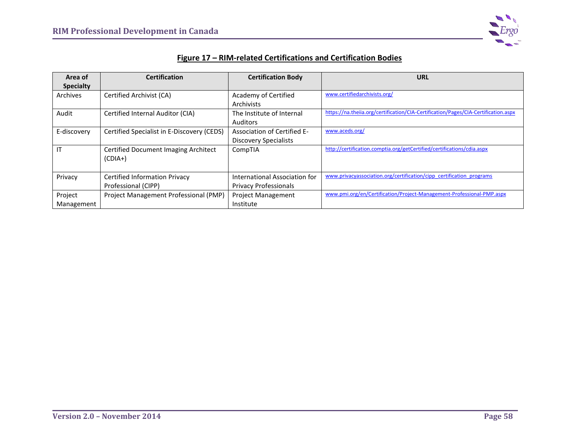

## **Figure 17 – RIM-related Certifications and Certification Bodies**

| Area of          | <b>Certification</b>                       | <b>Certification Body</b>     | <b>URL</b>                                                                         |
|------------------|--------------------------------------------|-------------------------------|------------------------------------------------------------------------------------|
| <b>Specialty</b> |                                            |                               |                                                                                    |
| Archives         | Certified Archivist (CA)                   | Academy of Certified          | www.certifiedarchivists.org/                                                       |
|                  |                                            | Archivists                    |                                                                                    |
| Audit            | Certified Internal Auditor (CIA)           | The Institute of Internal     | https://na.theiia.org/certification/CIA-Certification/Pages/CIA-Certification.aspx |
|                  |                                            | Auditors                      |                                                                                    |
| E-discovery      | Certified Specialist in E-Discovery (CEDS) | Association of Certified E-   | www.aceds.org/                                                                     |
|                  |                                            | <b>Discovery Specialists</b>  |                                                                                    |
| IT               | Certified Document Imaging Architect       | CompTIA                       | http://certification.comptia.org/getCertified/certifications/cdia.aspx             |
|                  | $(CDIA+)$                                  |                               |                                                                                    |
|                  |                                            |                               |                                                                                    |
| Privacy          | <b>Certified Information Privacy</b>       | International Association for | www.privacyassociation.org/certification/cipp_certification_programs               |
|                  | Professional (CIPP)                        | <b>Privacy Professionals</b>  |                                                                                    |
| Project          | Project Management Professional (PMP)      | <b>Project Management</b>     | www.pmi.org/en/Certification/Project-Management-Professional-PMP.aspx              |
| Management       |                                            | Institute                     |                                                                                    |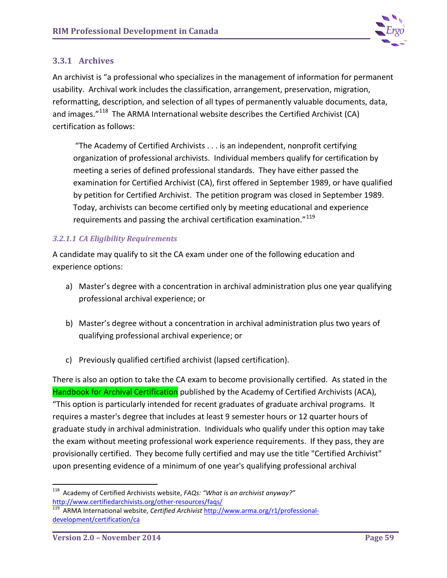

## **3.3.1 Archives**

An archivist is "a professional who specializes in the management of information for permanent usability. Archival work includes the classification, arrangement, preservation, migration, reformatting, description, and selection of all types of permanently valuable documents, data, and images."<sup>[118](#page-63-0)</sup> The ARMA International website describes the Certified Archivist (CA) certification as follows:

"The Academy of Certified Archivists . . . is an independent, nonprofit certifying organization of professional archivists. Individual members qualify for certification by meeting a series of defined professional standards. They have either passed the examination for Certified Archivist (CA), first offered in September 1989, or have qualified by petition for Certified Archivist. The petition program was closed in September 1989. Today, archivists can become certified only by meeting educational and experience requirements and passing the archival certification examination."[119](#page-63-1)

### *3.2.1.1 CA Eligibility Requirements*

A candidate may qualify to sit the CA exam under one of the following education and experience options:

- a) Master's degree with a concentration in archival administration plus one year qualifying professional archival experience; or
- b) Master's degree without a concentration in archival administration plus two years of qualifying professional archival experience; or
- c) Previously qualified certified archivist (lapsed certification).

There is also an option to take the CA exam to become provisionally certified. As stated in the Handbook for Archival Certification published by the Academy of Certified Archivists (ACA), "This option is particularly intended for recent graduates of graduate archival programs. It requires a master's degree that includes at least 9 semester hours or 12 quarter hours of graduate study in archival administration. Individuals who qualify under this option may take the exam without meeting professional work experience requirements. If they pass, they are provisionally certified. They become fully certified and may use the title "Certified Archivist" upon presenting evidence of a minimum of one year's qualifying professional archival

<span id="page-63-0"></span><sup>&</sup>lt;sup>118</sup> Academy of Certified Archivists website, *FAQs: "What is an archivist anyway?"* http://www.certifiedarchivists.org/other-resources/faqs/

<span id="page-63-1"></span>http://www.arma.org/r1/professional-<br>ARMA International website, *Certified Archivist* [http://www.arma.org/r1/professional](http://www.arma.org/r1/professional-development/certification/ca)[development/certification/ca](http://www.arma.org/r1/professional-development/certification/ca)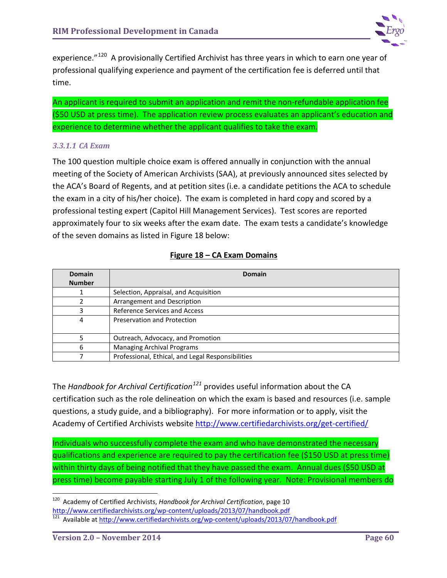

experience."<sup>120</sup> A provisionally Certified Archivist has three years in which to earn one year of professional qualifying experience and payment of the certification fee is deferred until that time.

An applicant is required to submit an application and remit the non-refundable application fee (\$50 USD at press time). The application review process evaluates an applicant's education and experience to determine whether the applicant qualifies to take the exam.

### *3.3.1.1 CA Exam*

The 100 question multiple choice exam is offered annually in conjunction with the annual meeting of the Society of American Archivists (SAA), at previously announced sites selected by the ACA's Board of Regents, and at petition sites (i.e. a candidate petitions the ACA to schedule the exam in a city of his/her choice). The exam is completed in hard copy and scored by a professional testing expert (Capitol Hill Management Services). Test scores are reported approximately four to six weeks after the exam date. The exam tests a candidate's knowledge of the seven domains as listed in Figure 18 below:

### **Figure 18 – CA Exam Domains**

| <b>Domain</b><br><b>Number</b> | Domain                                            |
|--------------------------------|---------------------------------------------------|
|                                | Selection, Appraisal, and Acquisition             |
|                                | Arrangement and Description                       |
| 3                              | Reference Services and Access                     |
| 4                              | Preservation and Protection                       |
|                                | Outreach, Advocacy, and Promotion                 |
| 6                              | <b>Managing Archival Programs</b>                 |
|                                | Professional, Ethical, and Legal Responsibilities |

The *Handbook for Archival Certification[121](#page-64-1)* provides useful information about the CA certification such as the role delineation on which the exam is based and resources (i.e. sample questions, a study guide, and a bibliography). For more information or to apply, visit the Academy of Certified Archivists website <http://www.certifiedarchivists.org/get-certified/>

Individuals who successfully complete the exam and who have demonstrated the necessary qualifications and experience are required to pay the certification fee (\$150 USD at press time) within thirty days of being notified that they have passed the exam. Annual dues (\$50 USD at press time) become payable starting July 1 of the following year. Note: Provisional members do

<span id="page-64-0"></span><sup>&</sup>lt;sup>120</sup> Academy of Certified Archivists, *Handbook for Archival Certification*, page 10<br>http://www.certifiedarchivists.org/wp-content/uploads/2013/07/handbook.pdf

<span id="page-64-1"></span><sup>&</sup>lt;sup>121</sup> Available at<http://www.certifiedarchivists.org/wp-content/uploads/2013/07/handbook.pdf>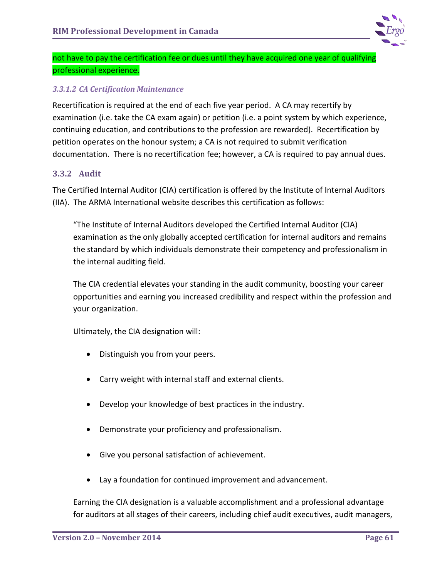

not have to pay the certification fee or dues until they have acquired one year of qualifying professional experience.

### *3.3.1.2 CA Certification Maintenance*

Recertification is required at the end of each five year period. A CA may recertify by examination (i.e. take the CA exam again) or petition (i.e. a point system by which experience, continuing education, and contributions to the profession are rewarded). Recertification by petition operates on the honour system; a CA is not required to submit verification documentation. There is no recertification fee; however, a CA is required to pay annual dues.

### **3.3.2 Audit**

The Certified Internal Auditor (CIA) certification is offered by the Institute of Internal Auditors (IIA). The ARMA International website describes this certification as follows:

"The Institute of Internal Auditors developed the Certified Internal Auditor (CIA) examination as the only globally accepted certification for internal auditors and remains the standard by which individuals demonstrate their competency and professionalism in the internal auditing field.

The CIA credential elevates your standing in the audit community, boosting your career opportunities and earning you increased credibility and respect within the profession and your organization.

Ultimately, the CIA designation will:

- Distinguish you from your peers.
- Carry weight with internal staff and external clients.
- Develop your knowledge of best practices in the industry.
- Demonstrate your proficiency and professionalism.
- Give you personal satisfaction of achievement.
- Lay a foundation for continued improvement and advancement.

Earning the CIA designation is a valuable accomplishment and a professional advantage for auditors at all stages of their careers, including chief audit executives, audit managers,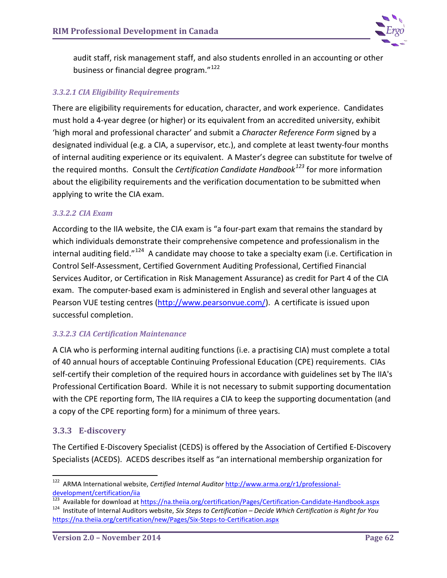

audit staff, risk management staff, and also students enrolled in an accounting or other business or financial degree program."<sup>[122](#page-66-0)</sup>

## *3.3.2.1 CIA Eligibility Requirements*

There are eligibility requirements for education, character, and work experience. Candidates must hold a 4-year degree (or higher) or its equivalent from an accredited university, exhibit 'high moral and professional character' and submit a *Character Reference Form* signed by a designated individual (e.g. a CIA, a supervisor, etc.), and complete at least twenty-four months of internal auditing experience or its equivalent. A Master's degree can substitute for twelve of the required months. Consult the *Certification Candidate Handbook[123](#page-66-1)* for more information about the eligibility requirements and the verification documentation to be submitted when applying to write the CIA exam.

### *3.3.2.2 CIA Exam*

According to the IIA website, the CIA exam is "a four-part exam that remains the standard by which individuals demonstrate their comprehensive competence and professionalism in the internal auditing field."<sup>124</sup> A candidate may choose to take a specialty exam (i.e. Certification in Control Self-Assessment, Certified Government Auditing Professional, Certified Financial Services Auditor, or Certification in Risk Management Assurance) as credit for Part 4 of the CIA exam. The computer-based exam is administered in English and several other languages at Pearson VUE testing centres [\(http://www.pearsonvue.com/\)](http://www.pearsonvue.com/). A certificate is issued upon successful completion.

### *3.3.2.3 CIA Certification Maintenance*

A CIA who is performing internal auditing functions (i.e. a practising CIA) must complete a total of 40 annual hours of acceptable Continuing Professional Education (CPE) requirements. CIAs self-certify their completion of the required hours in accordance with guidelines set by The IIA's Professional Certification Board. While it is not necessary to submit supporting documentation with the CPE reporting form, The IIA requires a CIA to keep the supporting documentation (and a copy of the CPE reporting form) for a minimum of three years.

### **3.3.3 E-discovery**

The Certified E-Discovery Specialist (CEDS) is offered by the Association of Certified E-Discovery Specialists (ACEDS). ACEDS describes itself as "an international membership organization for

<span id="page-66-0"></span> <sup>122</sup> ARMA International website, *Certified Internal Auditor* [http://www.arma.org/r1/professional](http://www.arma.org/r1/professional-development/certification/iia)[development/certification/iia](http://www.arma.org/r1/professional-development/certification/iia)<br><sup>123</sup> Available for download at https://na.theiia.org/certification/Pages/Certification-Candidate-Handbook.aspx

<span id="page-66-2"></span><span id="page-66-1"></span><sup>&</sup>lt;sup>124</sup> Institute of Internal Auditors website, Six Steps to Certification - Decide Which Certification is Right for You <https://na.theiia.org/certification/new/Pages/Six-Steps-to-Certification.aspx>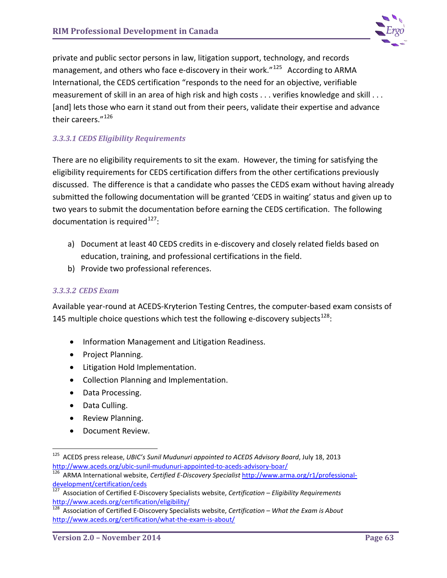

private and public sector persons in law, litigation support, technology, and records management, and others who face e-discovery in their work."<sup>[125](#page-67-0)</sup> According to ARMA International, the CEDS certification "responds to the need for an objective, verifiable measurement of skill in an area of high risk and high costs . . . verifies knowledge and skill . . . [and] lets those who earn it stand out from their peers, validate their expertise and advance their careers."<sup>[126](#page-67-1)</sup>

## *3.3.3.1 CEDS Eligibility Requirements*

There are no eligibility requirements to sit the exam. However, the timing for satisfying the eligibility requirements for CEDS certification differs from the other certifications previously discussed. The difference is that a candidate who passes the CEDS exam without having already submitted the following documentation will be granted 'CEDS in waiting' status and given up to two years to submit the documentation before earning the CEDS certification. The following documentation is required $^{127}$  $^{127}$  $^{127}$ :

- a) Document at least 40 CEDS credits in e-discovery and closely related fields based on education, training, and professional certifications in the field.
- b) Provide two professional references.

#### *3.3.3.2 CEDS Exam*

Available year-round at ACEDS-Kryterion Testing Centres, the computer-based exam consists of 145 multiple choice questions which test the following e-discovery subjects $^{128}$  $^{128}$  $^{128}$ :

- Information Management and Litigation Readiness.
- Project Planning.
- Litigation Hold Implementation.
- Collection Planning and Implementation.
- Data Processing.
- Data Culling.
- Review Planning.
- Document Review.

<span id="page-67-0"></span><sup>&</sup>lt;sup>125</sup> ACEDS press release, *UBIC's Sunil Mudunuri appointed to ACEDS Advisory Board*, July 18, 2013<br>http://www.aceds.org/ubic-sunil-mudunuri-appointed-to-aceds-advisory-boar/

<span id="page-67-1"></span>http://www.aceds.org/ubic-sunil-mudule-to-aceds-advisory-acedus-advisory-advisory-<br><sup>126</sup> ARMA International website, *Certified E-Discovery Specialist* [http://www.arma.org/r1/professional](http://www.arma.org/r1/professional-development/certification/ceds)[development/certification/ceds](http://www.arma.org/r1/professional-development/certification/ceds)

<span id="page-67-2"></span><sup>127</sup> Association of Certified E-Discovery Specialists website, *Certification – Eligibility Requirements* <http://www.aceds.org/certification/eligibility/>

<span id="page-67-3"></span><sup>128</sup> Association of Certified E-Discovery Specialists website, *Certification – What the Exam is About* <http://www.aceds.org/certification/what-the-exam-is-about/>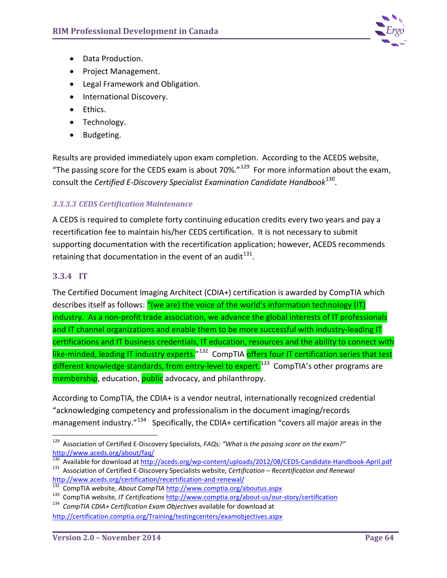

- Data Production.
- Project Management.
- Legal Framework and Obligation.
- International Discovery.
- Ethics.
- Technology.
- Budgeting.

Results are provided immediately upon exam completion. According to the ACEDS website, "The passing score for the CEDS exam is about 70%." $129$  For more information about the exam, consult the *Certified E-Discovery Specialist Examination Candidate Handbook*[130.](#page-68-1)

### *3.3.3.3 CEDS Certification Maintenance*

A CEDS is required to complete forty continuing education credits every two years and pay a recertification fee to maintain his/her CEDS certification. It is not necessary to submit supporting documentation with the recertification application; however, ACEDS recommends retaining that documentation in the event of an audit<sup>131</sup>.

### **3.3.4 IT**

The Certified Document Imaging Architect (CDIA+) certification is awarded by CompTIA which describes itself as follows: "(we are) the voice of the world's information technology (IT) industry. As a non-profit trade association, we advance the global interests of IT professionals and IT channel organizations and enable them to be more successful with industry-leading IT certifications and IT business credentials, IT education, resources and the ability to connect with like-minded, leading IT industry experts.<sup>"[132](#page-68-3)</sup> CompTIA offers four IT certification series that test different knowledge standards, from entry-level to expert.<sup>[133](#page-68-4)</sup> CompTIA's other programs are membership, education, public advocacy, and philanthropy.

According to CompTIA, the CDIA+ is a vendor neutral, internationally recognized credential "acknowledging competency and professionalism in the document imaging/records management industry."<sup>[134](#page-68-5)</sup> Specifically, the CDIA+ certification "covers all major areas in the

<span id="page-68-0"></span> <sup>129</sup> Association of Certified E-Discovery Specialists, *FAQs: "What is the passing score on the exam?"*  <http://www.aceds.org/about/faq/>

<span id="page-68-2"></span><span id="page-68-1"></span> $^{130}$  Available for download at  $\frac{http://aceds.org/wp-content/uploads/2012/08/CEDS-Candidate-Handbook-April.pdf}{\text{Association of Certified E-Discovers Specialists website, Certification – Recertification and Renewal}$ 

<span id="page-68-4"></span>

<span id="page-68-3"></span><http://www.aceds.org/certification/recertification-and-renewal/><br>
<sup>132</sup> CompTIA website, About CompTIA <http://www.comptia.org/aboutus.aspx><br>
<sup>133</sup> CompTIA website, IT Certifications http://www.comptia.org/about-us/our-story/

<span id="page-68-5"></span><http://certification.comptia.org/Training/testingcenters/examobjectives.aspx>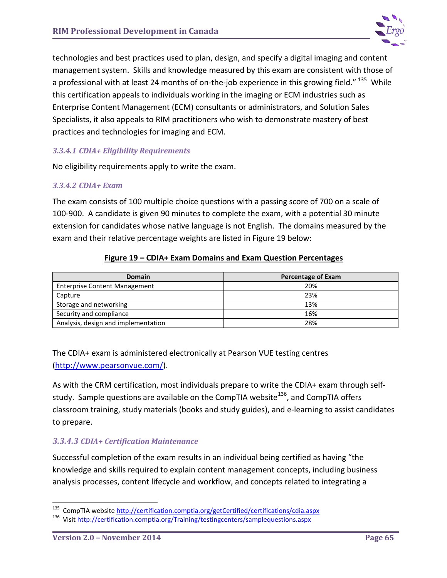

technologies and best practices used to plan, design, and specify a digital imaging and content management system. Skills and knowledge measured by this exam are consistent with those of a professional with at least 24 months of on-the-job experience in this growing field."<sup>135</sup> While this certification appeals to individuals working in the imaging or ECM industries such as Enterprise Content Management (ECM) consultants or administrators, and Solution Sales Specialists, it also appeals to RIM practitioners who wish to demonstrate mastery of best practices and technologies for imaging and ECM.

### *3.3.4.1 CDIA+ Eligibility Requirements*

No eligibility requirements apply to write the exam.

#### *3.3.4.2 CDIA+ Exam*

The exam consists of 100 multiple choice questions with a passing score of 700 on a scale of 100-900. A candidate is given 90 minutes to complete the exam, with a potential 30 minute extension for candidates whose native language is not English. The domains measured by the exam and their relative percentage weights are listed in Figure 19 below:

#### **Figure 19 – CDIA+ Exam Domains and Exam Question Percentages**

| Domain                               | <b>Percentage of Exam</b> |
|--------------------------------------|---------------------------|
| <b>Enterprise Content Management</b> | 20%                       |
| Capture                              | 23%                       |
| Storage and networking               | 13%                       |
| Security and compliance              | 16%                       |
| Analysis, design and implementation  | 28%                       |

The CDIA+ exam is administered electronically at Pearson VUE testing centres [\(http://www.pearsonvue.com/\)](http://www.pearsonvue.com/).

As with the CRM certification, most individuals prepare to write the CDIA+ exam through self-study. Sample questions are available on the CompTIA website<sup>[136](#page-69-1)</sup>, and CompTIA offers classroom training, study materials (books and study guides), and e-learning to assist candidates to prepare.

## *3.3.4.3 CDIA+ Certification Maintenance*

Successful completion of the exam results in an individual being certified as having "the knowledge and skills required to explain content management concepts, including business analysis processes, content lifecycle and workflow, and concepts related to integrating a

<span id="page-69-0"></span><sup>&</sup>lt;sup>135</sup> CompTIA website<http://certification.comptia.org/getCertified/certifications/cdia.aspx><br><sup>136</sup> Visit http://certification.comptia.org/Training/testingcenters/samplequestions.aspx

<span id="page-69-1"></span>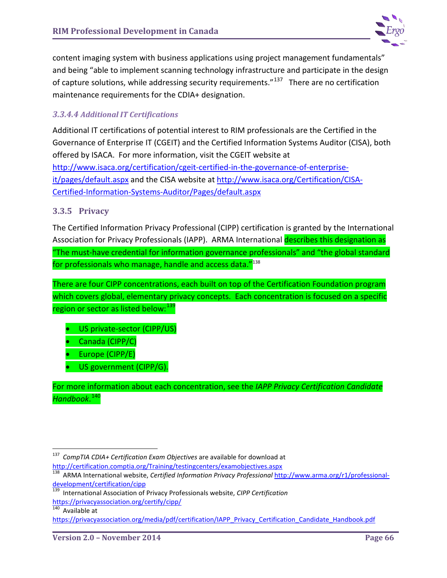

content imaging system with business applications using project management fundamentals" and being "able to implement scanning technology infrastructure and participate in the design of capture solutions, while addressing security requirements."<sup>137</sup> There are no certification maintenance requirements for the CDIA+ designation.

## *3.3.4.4 Additional IT Certifications*

Additional IT certifications of potential interest to RIM professionals are the Certified in the Governance of Enterprise IT (CGEIT) and the Certified Information Systems Auditor (CISA), both offered by ISACA. For more information, visit the CGEIT website at [http://www.isaca.org/certification/cgeit-certified-in-the-governance-of-enterprise](http://www.isaca.org/certification/cgeit-certified-in-the-governance-of-enterprise-it/pages/default.aspx)[it/pages/default.aspx](http://www.isaca.org/certification/cgeit-certified-in-the-governance-of-enterprise-it/pages/default.aspx) and the CISA website at [http://www.isaca.org/Certification/CISA-](http://www.isaca.org/Certification/CISA-Certified-Information-Systems-Auditor/Pages/default.aspx)[Certified-Information-Systems-Auditor/Pages/default.aspx](http://www.isaca.org/Certification/CISA-Certified-Information-Systems-Auditor/Pages/default.aspx)

## **3.3.5 Privacy**

The Certified Information Privacy Professional (CIPP) certification is granted by the International Association for Privacy Professionals (IAPP). ARMA International describes this designation as "The must-have credential for information governance professionals" and "the global standard for professionals who manage, handle and access data. $"138"$ 

There are four CIPP concentrations, each built on top of the Certification Foundation program which covers global, elementary privacy concepts. Each concentration is focused on a specific region or sector as listed below: [139](#page-70-2)

- US private-sector (CIPP/US)
- Canada (CIPP/C)
- Europe (CIPP/E)
- US government (CIPP/G).

For more information about each concentration, see the *IAPP Privacy Certification Candidate Handbook*. [140](#page-70-3)

<span id="page-70-0"></span> <sup>137</sup> *CompTIA CDIA+ Certification Exam Objectives* are available for download at <http://certification.comptia.org/Training/testingcenters/examobjectives.aspx>

<span id="page-70-1"></span><sup>138</sup> ARMA International website, *Certified Information Privacy Professional* [http://www.arma.org/r1/professional](http://www.arma.org/r1/professional-development/certification/cipp)[development/certification/cipp](http://www.arma.org/r1/professional-development/certification/cipp)

<span id="page-70-2"></span><sup>139</sup> International Association of Privacy Professionals website, *CIPP Certification* https://privacyassociation.org/certify/cipp/<br><sup>140</sup> Available at

<span id="page-70-3"></span>https://privacyassociation.org/media/pdf/certification/IAPP\_Privacy\_Certification\_Candidate\_Handbook.pdf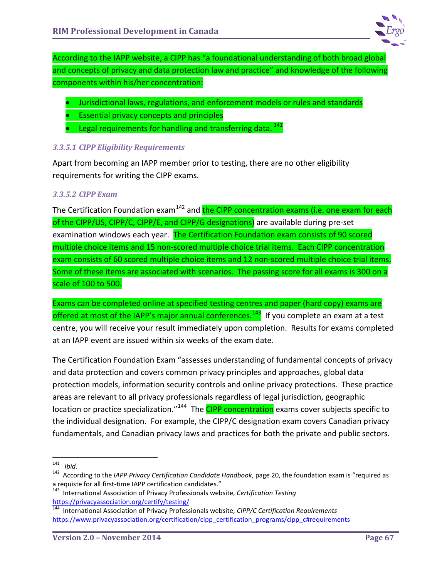

According to the IAPP website, a CIPP has "a foundational understanding of both broad global and concepts of privacy and data protection law and practice" and knowledge of the following components within his/her concentration:

- Jurisdictional laws, regulations, and enforcement models or rules and standards
- Essential privacy concepts and principles
- Legal requirements for handling and transferring data.  $^{141}$  $^{141}$  $^{141}$

### *3.3.5.1 CIPP Eligibility Requirements*

Apart from becoming an IAPP member prior to testing, there are no other eligibility requirements for writing the CIPP exams.

### *3.3.5.2 CIPP Exam*

The Certification Foundation exam<sup>[142](#page-71-1)</sup> and the CIPP concentration exams (i.e. one exam for each of the CIPP/US, CIPP/C, CIPP/E, and CIPP/G designations) are available during pre-set examination windows each year. The Certification Foundation exam consists of 90 scored multiple choice items and 15 non-scored multiple choice trial items. Each CIPP concentration exam consists of 60 scored multiple choice items and 12 non-scored multiple choice trial items. Some of these items are associated with scenarios. The passing score for all exams is 300 on a scale of 100 to 500.

Exams can be completed online at specified testing centres and paper (hard copy) exams are offered at most of the IAPP's major annual conferences.<sup>143</sup> If you complete an exam at a test centre, you will receive your result immediately upon completion. Results for exams completed at an IAPP event are issued within six weeks of the exam date.

The Certification Foundation Exam "assesses understanding of fundamental concepts of privacy and data protection and covers common privacy principles and approaches, global data protection models, information security controls and online privacy protections. These practice areas are relevant to all privacy professionals regardless of legal jurisdiction, geographic location or practice specialization."<sup>144</sup> The **CIPP concentration** exams cover subjects specific to the individual designation. For example, the CIPP/C designation exam covers Canadian privacy fundamentals, and Canadian privacy laws and practices for both the private and public sectors.

<span id="page-71-1"></span><span id="page-71-0"></span><sup>141</sup>*Ibid*. 142 According to the *IAPP Privacy Certification Candidate Handbook*, page 20, the foundation exam is "required as

<span id="page-71-2"></span>a requiste for all first-time IAPP certification candidates."<br><sup>143</sup> International Association of Privacy Professionals website, *Certification Testing*<br>https://privacyassociation.org/certify/testing/

<span id="page-71-3"></span><sup>&</sup>lt;sup>144</sup> International Association of Privacy Professionals website, *CIPP/C Certification Requirements* [https://www.privacyassociation.org/certification/cipp\\_certification\\_programs/cipp\\_c#requirements](https://www.privacyassociation.org/certification/cipp_certification_programs/cipp_c#requirements)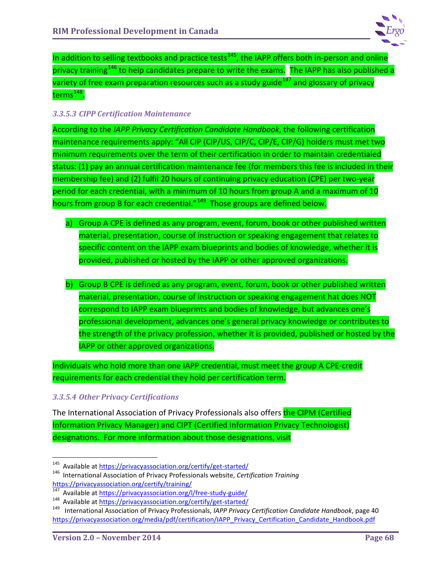

In addition to selling textbooks and practice tests<sup>[145](#page-72-0)</sup>, the IAPP offers both in-person and online privacy training<sup>[146](#page-72-1)</sup> to help candidates prepare to write the exams. The IAPP has also published a variety of free exam preparation resources such as a study guide<sup>[147](#page-72-2)</sup> and glossary of privacy terms $^{148}$  $^{148}$  $^{148}$ .

## *3.3.5.3 CIPP Certification Maintenance*

According to the *IAPP Privacy Certification Candidate Handbook*, the following certification maintenance requirements apply: "All CIP (CIP/US, CIP/C, CIP/E, CIP/G) holders must met two minimum requirements over the term of their certification in order to maintain credentialed status: (1) pay an annual certification maintenance fee (for members this fee is included in their membership fee) and (2) fulfil 20 hours of continuing privacy education (CPE) per two-year period for each credential, with a minimum of 10 hours from group A and a maximum of 10 hours from group B for each credential."<sup>[149](#page-72-4)</sup> Those groups are defined below.

- a) Group A CPE is defined as any program, event, forum, book or other published written material, presentation, course of instruction or speaking engagement that relates to specific content on the IAPP exam blueprints and bodies of knowledge, whether it is provided, published or hosted by the IAPP or other approved organizations.
- b) Group B CPE is defined as any program, event, forum, book or other published written material, presentation, course of instruction or speaking engagement hat does NOT correspond to IAPP exam blueprints and bodies of knowledge, but advances one's professional development, advances one's general privacy knowledge or contributes to the strength of the privacy profession, whether it is provided, published or hosted by the IAPP or other approved organizations.

Individuals who hold more than one IAPP credential, must meet the group A CPE-credit requirements for each credential they hold per certification term.

## *3.3.5.4 Other Privacy Certifications*

The International Association of Privacy Professionals also offers the CIPM (Certified Information Privacy Manager) and CIPT (Certified Information Privacy Technologist) designations. For more information about those designations, visit

<span id="page-72-1"></span><span id="page-72-0"></span><sup>145</sup> Available at https://privacyassociation.org/certify/get-started/<br>146 International Association of Privacy Professionals website, *Certification Training*<br>https://privacyassociation.org/certify/training/

<span id="page-72-4"></span>

<span id="page-72-3"></span><span id="page-72-2"></span><sup>&</sup>lt;sup>147</sup> Available at<https://privacyassociation.org/l/free-study-guide/><br><sup>148</sup> Available at<https://privacyassociation.org/certify/get-started/><br><sup>149</sup> International Association of Privacy Professionals, IAPP Privacy Certificat [https://privacyassociation.org/media/pdf/certification/IAPP\\_Privacy\\_Certification\\_Candidate\\_Handbook.pdf](https://privacyassociation.org/media/pdf/certification/IAPP_Privacy_Certification_Candidate_Handbook.pdf)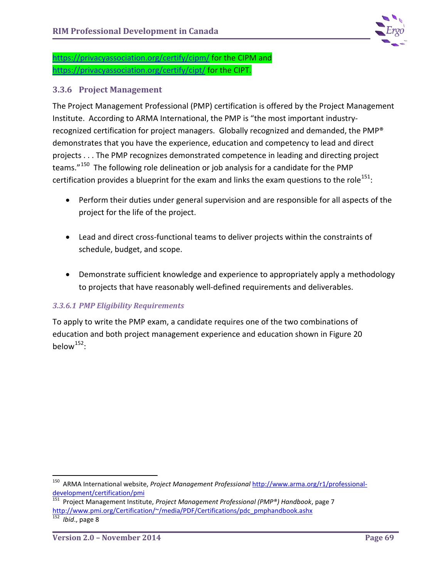

<https://privacyassociation.org/certify/cipm/> for the CIPM and <https://privacyassociation.org/certify/cipt/> for the CIPT.

## **3.3.6 Project Management**

The Project Management Professional (PMP) certification is offered by the Project Management Institute. According to ARMA International, the PMP is "the most important industryrecognized certification for project managers. Globally recognized and demanded, the PMP® demonstrates that you have the experience, education and competency to lead and direct projects . . . The PMP recognizes demonstrated competence in leading and directing project teams."<sup>150</sup> The following role delineation or job analysis for a candidate for the PMP certification provides a blueprint for the exam and links the exam questions to the role $^{151}$  $^{151}$  $^{151}$ :

- Perform their duties under general supervision and are responsible for all aspects of the project for the life of the project.
- Lead and direct cross-functional teams to deliver projects within the constraints of schedule, budget, and scope.
- Demonstrate sufficient knowledge and experience to appropriately apply a methodology to projects that have reasonably well-defined requirements and deliverables.

## *3.3.6.1 PMP Eligibility Requirements*

To apply to write the PMP exam, a candidate requires one of the two combinations of education and both project management experience and education shown in Figure 20 below $^{152}$  $^{152}$  $^{152}$ :

<span id="page-73-0"></span> <sup>150</sup> ARMA International website, *Project Management Professional* [http://www.arma.org/r1/professional](http://www.arma.org/r1/professional-development/certification/pmi)[development/certification/pmi](http://www.arma.org/r1/professional-development/certification/pmi)

<span id="page-73-1"></span><sup>151</sup> Project Management Institute, *Project Management Professional (PMP®) Handbook*, page 7 [http://www.pmi.org/Certification/~/media/PDF/Certifications/pdc\\_pmphandbook.ashx](http://www.pmi.org/Certification/~/media/PDF/Certifications/pdc_pmphandbook.ashx)

<span id="page-73-2"></span><sup>152</sup> *Ibid*., page 8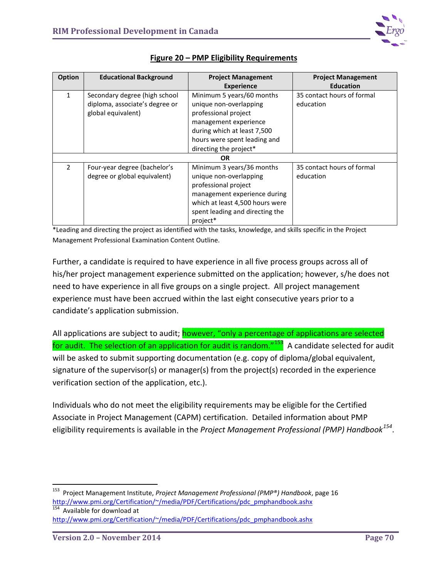

| Option         | <b>Educational Background</b>                                                         | <b>Project Management</b>                                                                                                                                                                     | <b>Project Management</b>               |  |
|----------------|---------------------------------------------------------------------------------------|-----------------------------------------------------------------------------------------------------------------------------------------------------------------------------------------------|-----------------------------------------|--|
|                |                                                                                       | <b>Experience</b>                                                                                                                                                                             | <b>Education</b>                        |  |
| $\mathbf{1}$   | Secondary degree (high school<br>diploma, associate's degree or<br>global equivalent) | Minimum 5 years/60 months<br>unique non-overlapping<br>professional project                                                                                                                   | 35 contact hours of formal<br>education |  |
|                |                                                                                       | management experience                                                                                                                                                                         |                                         |  |
|                |                                                                                       | during which at least 7,500                                                                                                                                                                   |                                         |  |
|                |                                                                                       | hours were spent leading and                                                                                                                                                                  |                                         |  |
|                |                                                                                       | directing the project*                                                                                                                                                                        |                                         |  |
| <b>OR</b>      |                                                                                       |                                                                                                                                                                                               |                                         |  |
| $\overline{2}$ | Four-year degree (bachelor's<br>degree or global equivalent)                          | Minimum 3 years/36 months<br>unique non-overlapping<br>professional project<br>management experience during<br>which at least 4,500 hours were<br>spent leading and directing the<br>project* | 35 contact hours of formal<br>education |  |

## **Figure 20 – PMP Eligibility Requirements**

\*Leading and directing the project as identified with the tasks, knowledge, and skills specific in the Project Management Professional Examination Content Outline.

Further, a candidate is required to have experience in all five process groups across all of his/her project management experience submitted on the application; however, s/he does not need to have experience in all five groups on a single project. All project management experience must have been accrued within the last eight consecutive years prior to a candidate's application submission.

All applications are subject to audit; **however, "only a percentage of applications are selected** for audit. The selection of an application for audit is random." $153$  A candidate selected for audit will be asked to submit supporting documentation (e.g. copy of diploma/global equivalent, signature of the supervisor(s) or manager(s) from the project(s) recorded in the experience verification section of the application, etc.).

Individuals who do not meet the eligibility requirements may be eligible for the Certified Associate in Project Management (CAPM) certification. Detailed information about PMP eligibility requirements is available in the *Project Management Professional (PMP) Handbook[154](#page-74-1)*.

<span id="page-74-1"></span>154 Available for download at [http://www.pmi.org/Certification/~/media/PDF/Certifications/pdc\\_pmphandbook.ashx](http://www.pmi.org/Certification/~/media/PDF/Certifications/pdc_pmphandbook.ashx)

<span id="page-74-0"></span> <sup>153</sup> Project Management Institute, *Project Management Professional (PMP®) Handbook*, page 16 [http://www.pmi.org/Certification/~/media/PDF/Certifications/pdc\\_pmphandbook.ashx](http://www.pmi.org/Certification/~/media/PDF/Certifications/pdc_pmphandbook.ashx)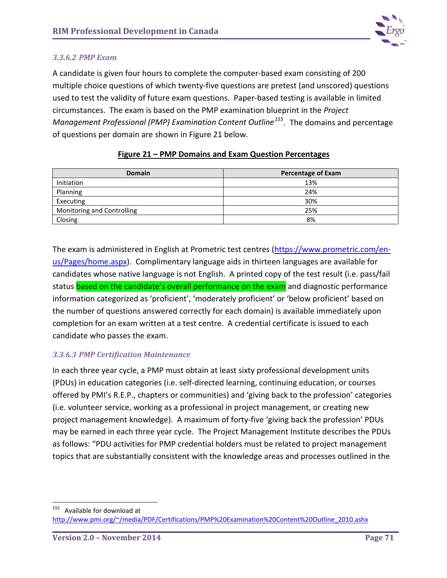

#### *3.3.6.2 PMP Exam*

A candidate is given four hours to complete the computer-based exam consisting of 200 multiple choice questions of which twenty-five questions are pretest (and unscored) questions used to test the validity of future exam questions. Paper-based testing is available in limited circumstances. The exam is based on the PMP examination blueprint in the *Project Management Professional (PMP) Examination Content Outline[155](#page-75-0)*. The domains and percentage of questions per domain are shown in Figure 21 below.

| <b>Domain</b>              | <b>Percentage of Exam</b> |
|----------------------------|---------------------------|
| Initiation                 | 13%                       |
| Planning                   | 24%                       |
| Executing                  | 30%                       |
| Monitoring and Controlling | 25%                       |
| Closing                    | 8%                        |

## **Figure 21 – PMP Domains and Exam Question Percentages**

The exam is administered in English at Prometric test centres [\(https://www.prometric.com/en](https://www.prometric.com/en-us/Pages/home.aspx)[us/Pages/home.aspx\)](https://www.prometric.com/en-us/Pages/home.aspx). Complimentary language aids in thirteen languages are available for candidates whose native language is not English. A printed copy of the test result (i.e. pass/fail status based on the candidate's overall performance on the exam and diagnostic performance information categorized as 'proficient', 'moderately proficient' or 'below proficient' based on the number of questions answered correctly for each domain) is available immediately upon completion for an exam written at a test centre. A credential certificate is issued to each candidate who passes the exam.

## *3.3.6.3 PMP Certification Maintenance*

In each three year cycle, a PMP must obtain at least sixty professional development units (PDUs) in education categories (i.e. self-directed learning, continuing education, or courses offered by PMI's R.E.P., chapters or communities) and 'giving back to the profession' categories (i.e. volunteer service, working as a professional in project management, or creating new project management knowledge). A maximum of forty-five 'giving back the profession' PDUs may be earned in each three year cycle. The Project Management Institute describes the PDUs as follows: "PDU activities for PMP credential holders must be related to project management topics that are substantially consistent with the knowledge areas and processes outlined in the

<span id="page-75-0"></span>155 Available for download at [http://www.pmi.org/~/media/PDF/Certifications/PMP%20Examination%20Content%20Outline\\_2010.ashx](http://www.pmi.org/~/media/PDF/Certifications/PMP%20Examination%20Content%20Outline_2010.ashx)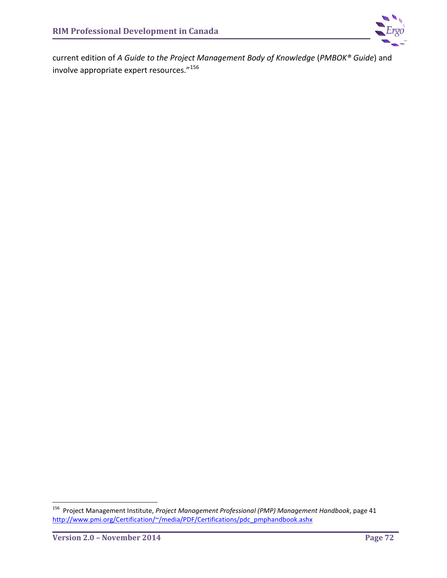

current edition of *A Guide to the Project Management Body of Knowledge* (*PMBOK® Guide*) and involve appropriate expert resources."[156](#page-76-0)

<span id="page-76-0"></span> <sup>156</sup> Project Management Institute, *Project Management Professional (PMP) Management Handbook*, page 41 [http://www.pmi.org/Certification/~/media/PDF/Certifications/pdc\\_pmphandbook.ashx](http://www.pmi.org/Certification/~/media/PDF/Certifications/pdc_pmphandbook.ashx)